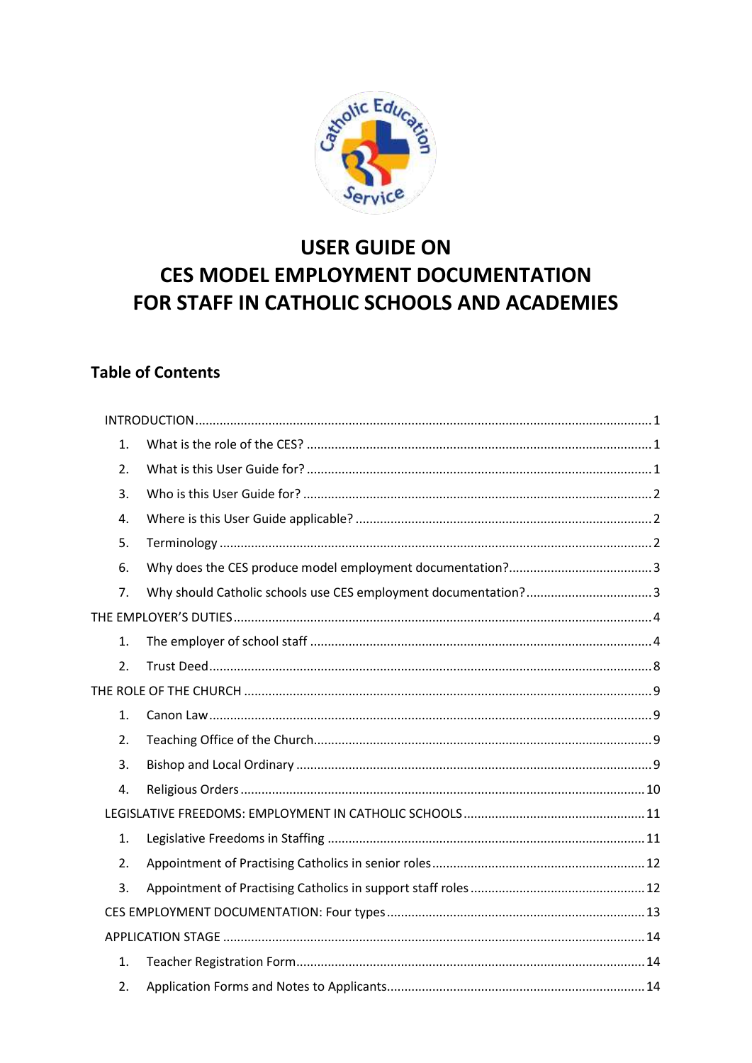

# **USER GUIDE ON CES MODEL EMPLOYMENT DOCUMENTATION** FOR STAFF IN CATHOLIC SCHOOLS AND ACADEMIES

# **Table of Contents**

| 1. |  |
|----|--|
| 2. |  |
| 3. |  |
| 4. |  |
| 5. |  |
| 6. |  |
| 7. |  |
|    |  |
| 1. |  |
| 2. |  |
|    |  |
| 1. |  |
| 2. |  |
| 3. |  |
| 4. |  |
|    |  |
| 1. |  |
| 2. |  |
| 3. |  |
|    |  |
|    |  |
| 1. |  |
| 2. |  |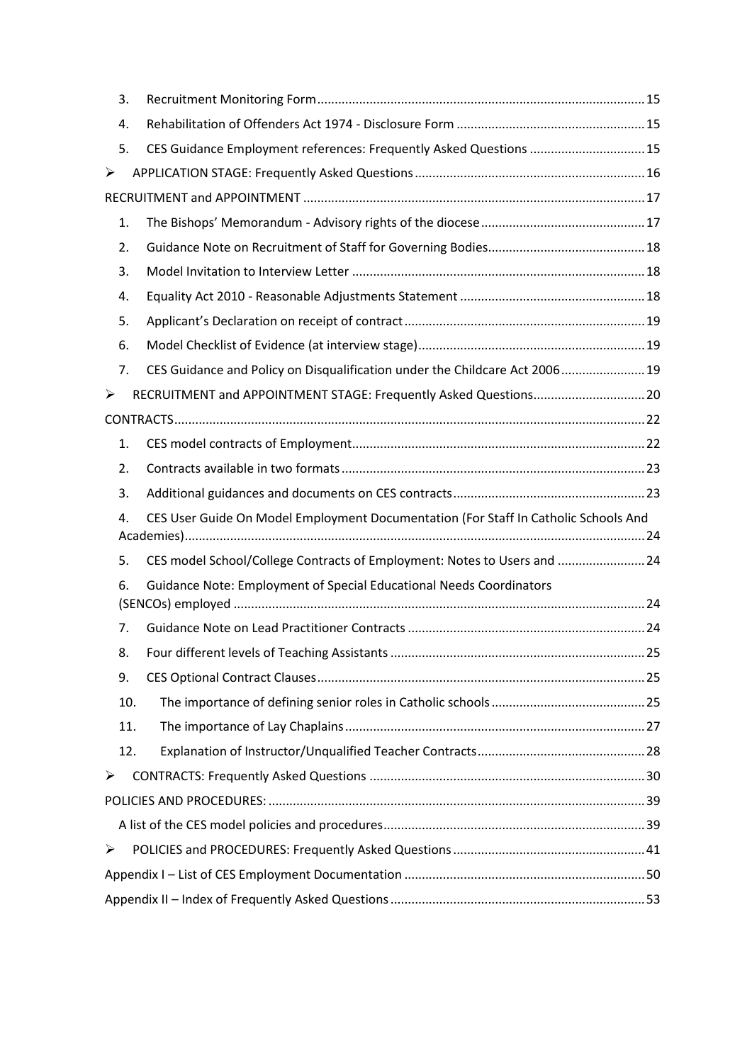| 3.  |                                                                                     |    |
|-----|-------------------------------------------------------------------------------------|----|
| 4.  |                                                                                     |    |
| 5.  | CES Guidance Employment references: Frequently Asked Questions  15                  |    |
| ➤   |                                                                                     |    |
|     |                                                                                     |    |
| 1.  |                                                                                     |    |
| 2.  |                                                                                     |    |
| 3.  |                                                                                     |    |
| 4.  |                                                                                     |    |
| 5.  |                                                                                     |    |
| 6.  |                                                                                     |    |
| 7.  | CES Guidance and Policy on Disqualification under the Childcare Act 2006 19         |    |
| ➤   | RECRUITMENT and APPOINTMENT STAGE: Frequently Asked Questions 20                    |    |
|     |                                                                                     |    |
| 1.  |                                                                                     |    |
| 2.  |                                                                                     |    |
|     |                                                                                     |    |
| 3.  |                                                                                     |    |
| 4.  | CES User Guide On Model Employment Documentation (For Staff In Catholic Schools And |    |
| 5.  | CES model School/College Contracts of Employment: Notes to Users and  24            |    |
| 6.  | Guidance Note: Employment of Special Educational Needs Coordinators                 |    |
| 7.  |                                                                                     |    |
| 8.  | Four different levels of Teaching Assistants                                        | 25 |
| 9.  |                                                                                     |    |
| 10. |                                                                                     |    |
| 11. |                                                                                     |    |
| 12. |                                                                                     |    |
| ➤   |                                                                                     |    |
|     |                                                                                     |    |
|     |                                                                                     |    |
| ➤   |                                                                                     |    |
|     |                                                                                     |    |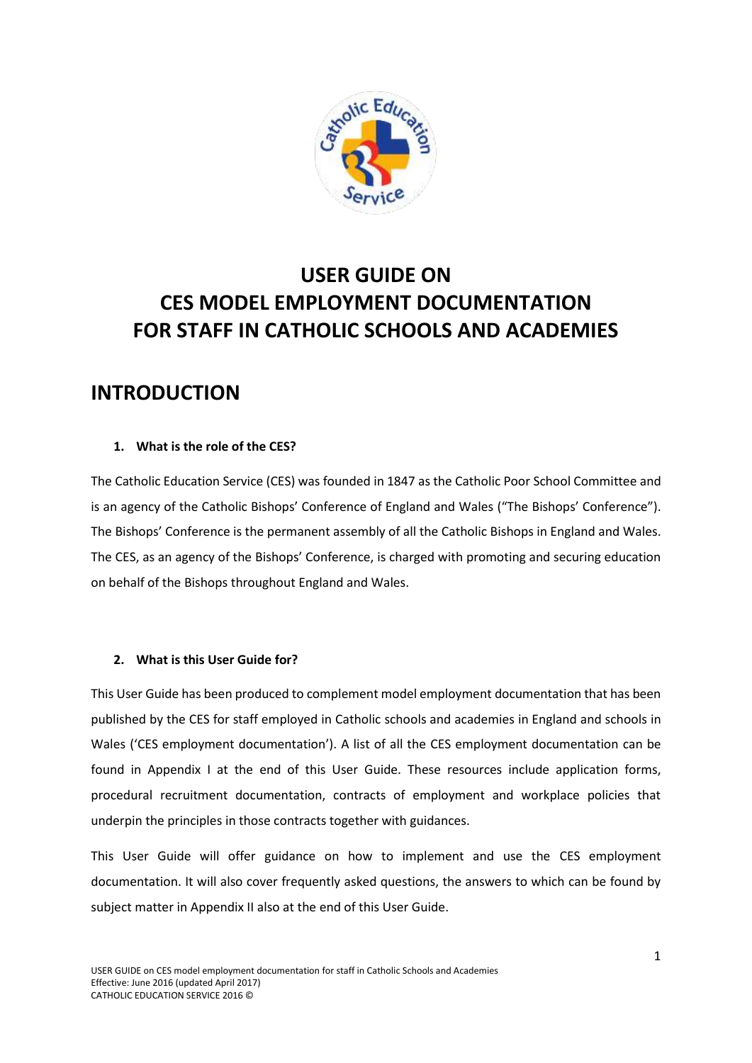

# **USER GUIDE ON CES MODEL EMPLOYMENT DOCUMENTATION FOR STAFF IN CATHOLIC SCHOOLS AND ACADEMIES**

# <span id="page-2-0"></span>**INTRODUCTION**

# <span id="page-2-1"></span>**1. What is the role of the CES?**

The Catholic Education Service (CES) was founded in 1847 as the Catholic Poor School Committee and is an agency of the Catholic Bishops' Conference of England and Wales ("The Bishops' Conference"). The Bishops' Conference is the permanent assembly of all the Catholic Bishops in England and Wales. The CES, as an agency of the Bishops' Conference, is charged with promoting and securing education on behalf of the Bishops throughout England and Wales.

# <span id="page-2-2"></span>**2. What is this User Guide for?**

This User Guide has been produced to complement model employment documentation that has been published by the CES for staff employed in Catholic schools and academies in England and schools in Wales ('CES employment documentation'). A list of all the CES employment documentation can be found in Appendix I at the end of this User Guide. These resources include application forms, procedural recruitment documentation, contracts of employment and workplace policies that underpin the principles in those contracts together with guidances.

This User Guide will offer guidance on how to implement and use the CES employment documentation. It will also cover frequently asked questions, the answers to which can be found by subject matter in Appendix II also at the end of this User Guide.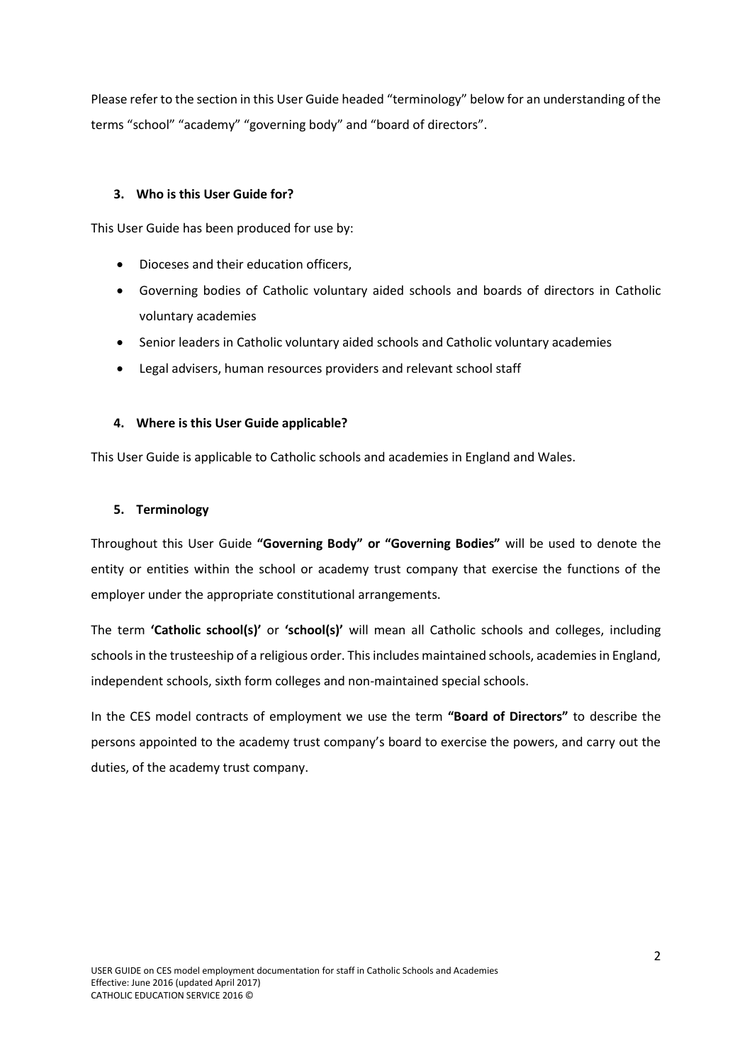Please refer to the section in this User Guide headed "terminology" below for an understanding of the terms "school" "academy" "governing body" and "board of directors".

#### <span id="page-3-0"></span>**3. Who is this User Guide for?**

This User Guide has been produced for use by:

- Dioceses and their education officers,
- Governing bodies of Catholic voluntary aided schools and boards of directors in Catholic voluntary academies
- Senior leaders in Catholic voluntary aided schools and Catholic voluntary academies
- Legal advisers, human resources providers and relevant school staff

#### <span id="page-3-1"></span>**4. Where is this User Guide applicable?**

This User Guide is applicable to Catholic schools and academies in England and Wales.

### <span id="page-3-2"></span>**5. Terminology**

Throughout this User Guide **"Governing Body" or "Governing Bodies"** will be used to denote the entity or entities within the school or academy trust company that exercise the functions of the employer under the appropriate constitutional arrangements.

The term **'Catholic school(s)'** or **'school(s)'** will mean all Catholic schools and colleges, including schools in the trusteeship of a religious order. This includes maintained schools, academies in England, independent schools, sixth form colleges and non-maintained special schools.

In the CES model contracts of employment we use the term **"Board of Directors"** to describe the persons appointed to the academy trust company's board to exercise the powers, and carry out the duties, of the academy trust company.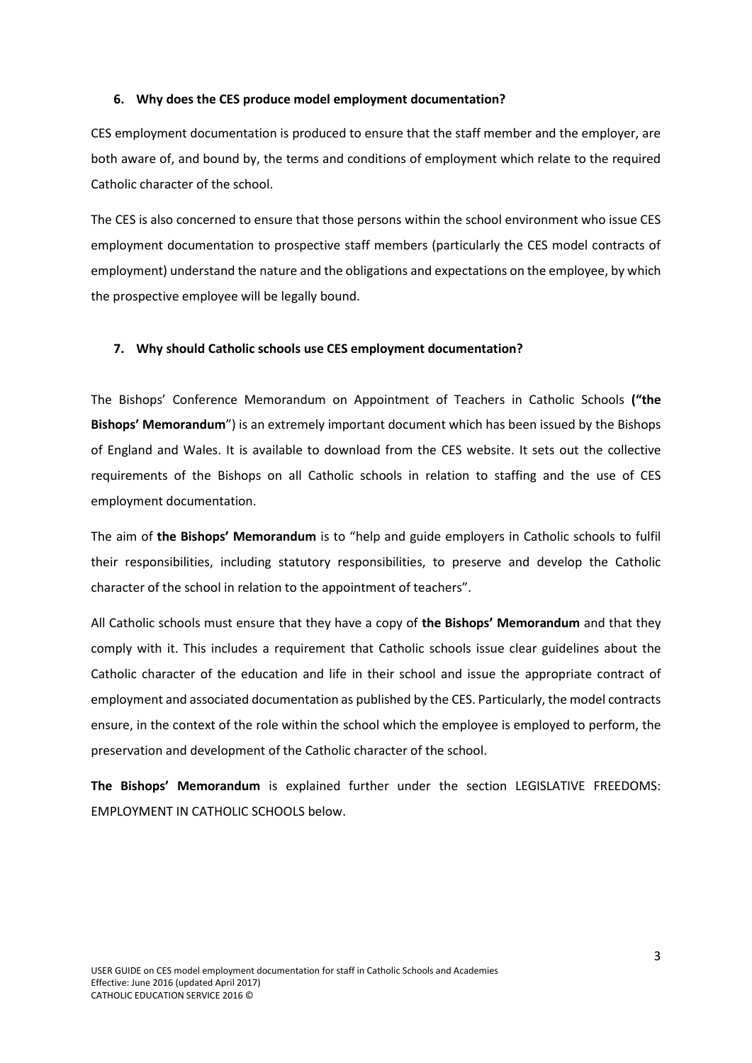#### <span id="page-4-0"></span>**6. Why does the CES produce model employment documentation?**

CES employment documentation is produced to ensure that the staff member and the employer, are both aware of, and bound by, the terms and conditions of employment which relate to the required Catholic character of the school.

The CES is also concerned to ensure that those persons within the school environment who issue CES employment documentation to prospective staff members (particularly the CES model contracts of employment) understand the nature and the obligations and expectations on the employee, by which the prospective employee will be legally bound.

#### <span id="page-4-1"></span>**7. Why should Catholic schools use CES employment documentation?**

The Bishops' Conference Memorandum on Appointment of Teachers in Catholic Schools **("the Bishops' Memorandum**") is an extremely important document which has been issued by the Bishops of England and Wales. It is available to download from the CES website. It sets out the collective requirements of the Bishops on all Catholic schools in relation to staffing and the use of CES employment documentation.

The aim of **the Bishops' Memorandum** is to "help and guide employers in Catholic schools to fulfil their responsibilities, including statutory responsibilities, to preserve and develop the Catholic character of the school in relation to the appointment of teachers".

All Catholic schools must ensure that they have a copy of **the Bishops' Memorandum** and that they comply with it. This includes a requirement that Catholic schools issue clear guidelines about the Catholic character of the education and life in their school and issue the appropriate contract of employment and associated documentation as published by the CES. Particularly, the model contracts ensure, in the context of the role within the school which the employee is employed to perform, the preservation and development of the Catholic character of the school.

**The Bishops' Memorandum** is explained further under the section LEGISLATIVE FREEDOMS: EMPLOYMENT IN CATHOLIC SCHOOLS below.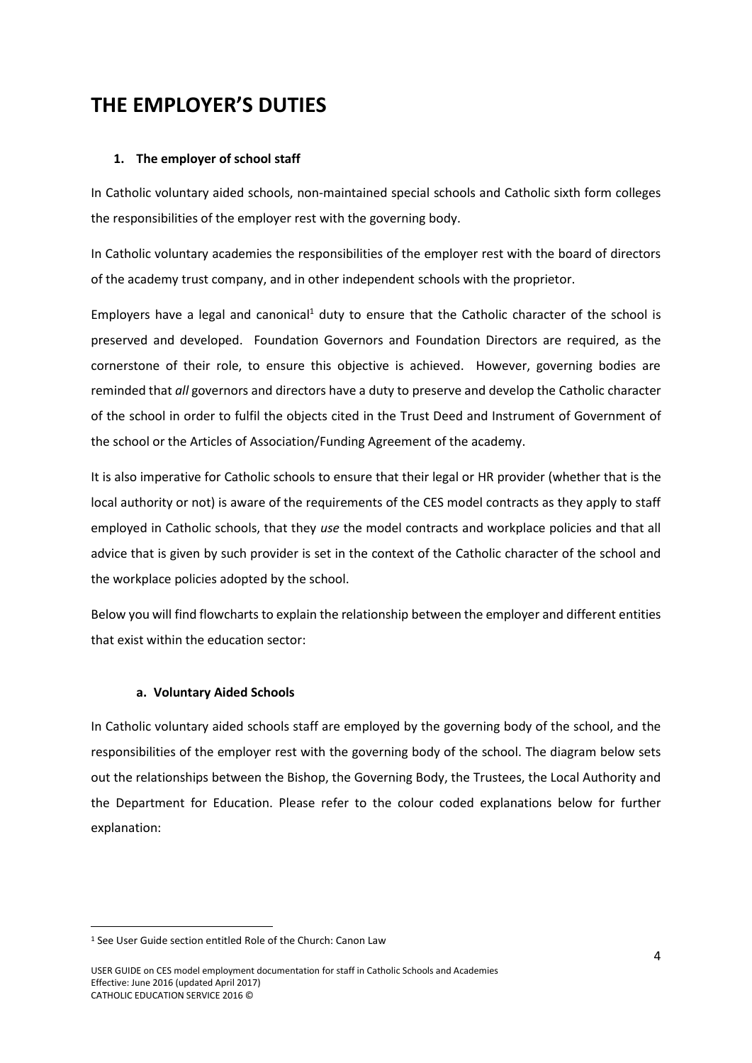# <span id="page-5-0"></span>**THE EMPLOYER'S DUTIES**

### <span id="page-5-1"></span>**1. The employer of school staff**

In Catholic voluntary aided schools, non-maintained special schools and Catholic sixth form colleges the responsibilities of the employer rest with the governing body.

In Catholic voluntary academies the responsibilities of the employer rest with the board of directors of the academy trust company, and in other independent schools with the proprietor.

Employers have a legal and canonical<sup>1</sup> duty to ensure that the Catholic character of the school is preserved and developed. Foundation Governors and Foundation Directors are required, as the cornerstone of their role, to ensure this objective is achieved. However, governing bodies are reminded that *all* governors and directors have a duty to preserve and develop the Catholic character of the school in order to fulfil the objects cited in the Trust Deed and Instrument of Government of the school or the Articles of Association/Funding Agreement of the academy.

It is also imperative for Catholic schools to ensure that their legal or HR provider (whether that is the local authority or not) is aware of the requirements of the CES model contracts as they apply to staff employed in Catholic schools, that they *use* the model contracts and workplace policies and that all advice that is given by such provider is set in the context of the Catholic character of the school and the workplace policies adopted by the school.

Below you will find flowcharts to explain the relationship between the employer and different entities that exist within the education sector:

#### **a. Voluntary Aided Schools**

In Catholic voluntary aided schools staff are employed by the governing body of the school, and the responsibilities of the employer rest with the governing body of the school. The diagram below sets out the relationships between the Bishop, the Governing Body, the Trustees, the Local Authority and the Department for Education. Please refer to the colour coded explanations below for further explanation:

<sup>1</sup> See User Guide section entitled Role of the Church: Canon Law

USER GUIDE on CES model employment documentation for staff in Catholic Schools and Academies Effective: June 2016 (updated April 2017) CATHOLIC EDUCATION SERVICE 2016 ©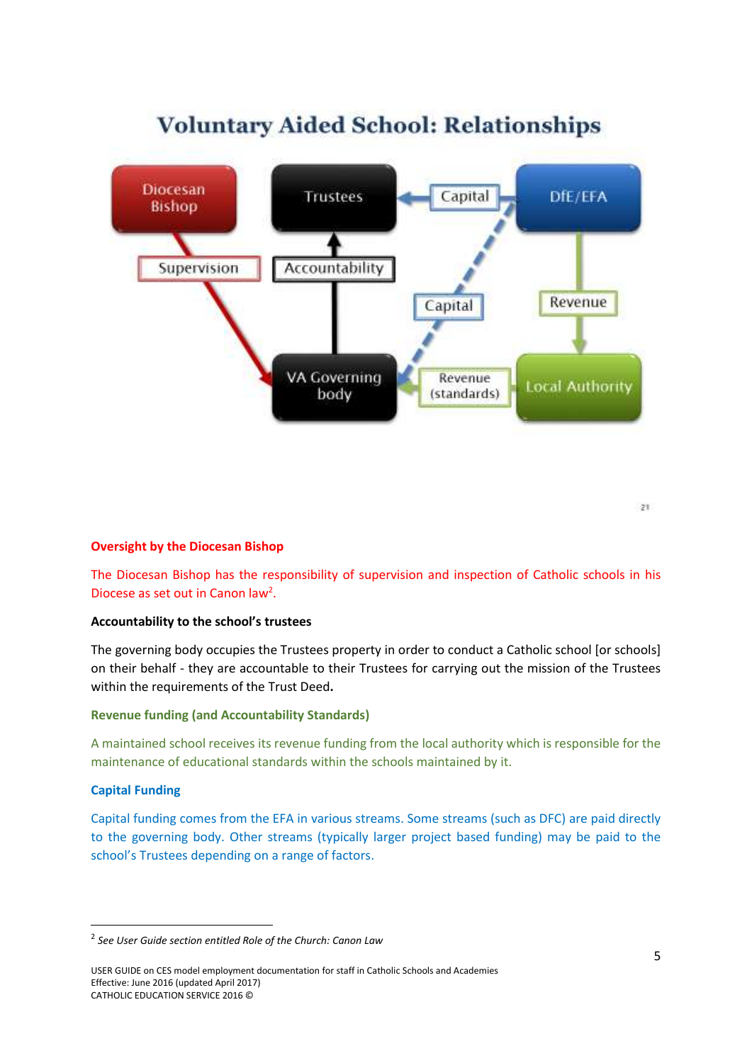

# **Voluntary Aided School: Relationships**

 $\overline{z}$ 1

# **Oversight by the Diocesan Bishop**

The Diocesan Bishop has the responsibility of supervision and inspection of Catholic schools in his Diocese as set out in Canon law<sup>2</sup>.

#### **Accountability to the school's trustees**

The governing body occupies the Trustees property in order to conduct a Catholic school [or schools] on their behalf - they are accountable to their Trustees for carrying out the mission of the Trustees within the requirements of the Trust Deed**.** 

#### **Revenue funding (and Accountability Standards)**

A maintained school receives its revenue funding from the local authority which is responsible for the maintenance of educational standards within the schools maintained by it.

#### **Capital Funding**

**.** 

Capital funding comes from the EFA in various streams. Some streams (such as DFC) are paid directly to the governing body. Other streams (typically larger project based funding) may be paid to the school's Trustees depending on a range of factors.

<sup>2</sup> *See User Guide section entitled Role of the Church: Canon Law*

USER GUIDE on CES model employment documentation for staff in Catholic Schools and Academies Effective: June 2016 (updated April 2017) CATHOLIC EDUCATION SERVICE 2016 ©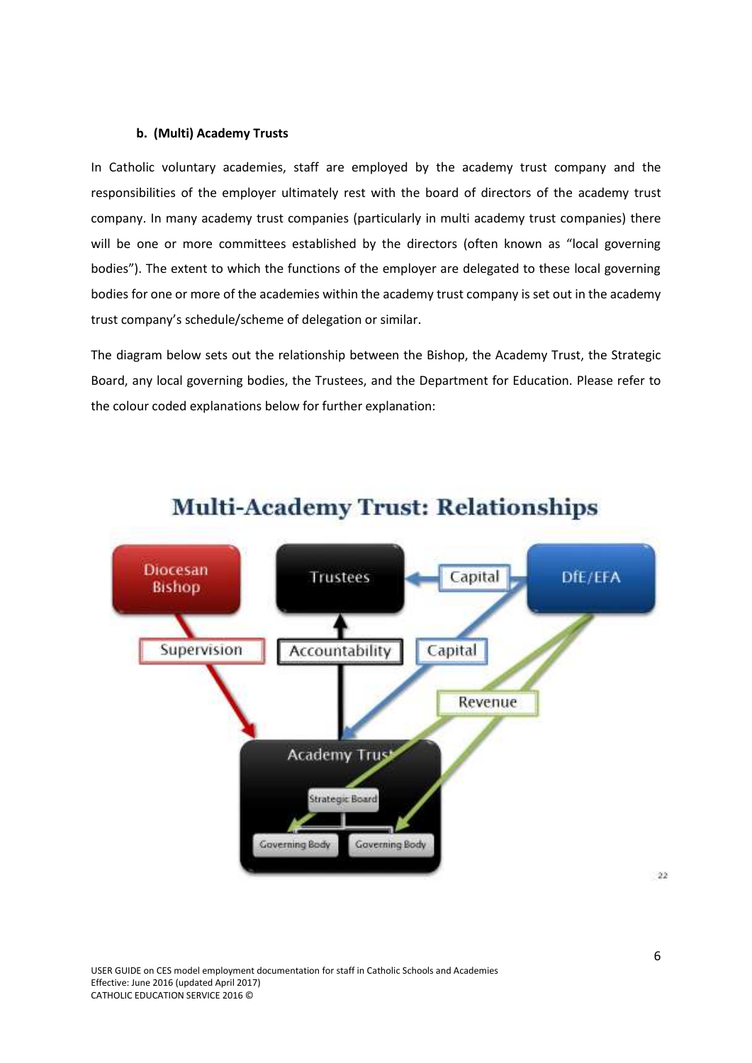#### **b. (Multi) Academy Trusts**

In Catholic voluntary academies, staff are employed by the academy trust company and the responsibilities of the employer ultimately rest with the board of directors of the academy trust company. In many academy trust companies (particularly in multi academy trust companies) there will be one or more committees established by the directors (often known as "local governing bodies"). The extent to which the functions of the employer are delegated to these local governing bodies for one or more of the academies within the academy trust company is set out in the academy trust company's schedule/scheme of delegation or similar.

The diagram below sets out the relationship between the Bishop, the Academy Trust, the Strategic Board, any local governing bodies, the Trustees, and the Department for Education. Please refer to the colour coded explanations below for further explanation:



# **Multi-Academy Trust: Relationships**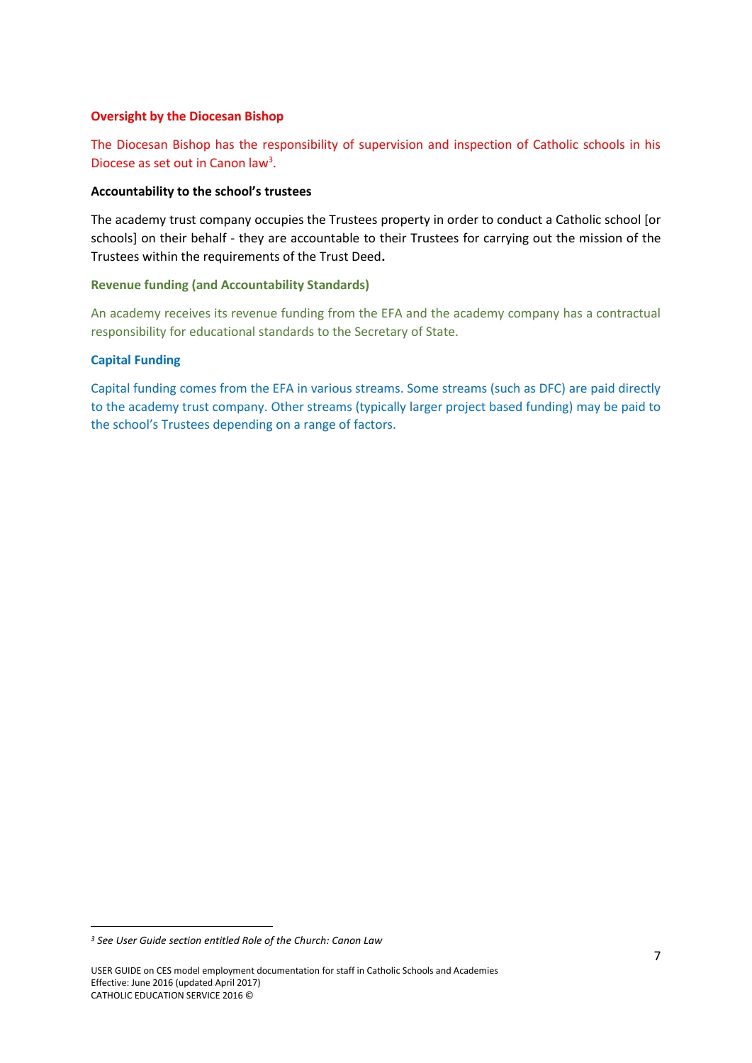#### **Oversight by the Diocesan Bishop**

The Diocesan Bishop has the responsibility of supervision and inspection of Catholic schools in his Diocese as set out in Canon law<sup>3</sup>.

#### **Accountability to the school's trustees**

The academy trust company occupies the Trustees property in order to conduct a Catholic school [or schools] on their behalf - they are accountable to their Trustees for carrying out the mission of the Trustees within the requirements of the Trust Deed**.** 

#### **Revenue funding (and Accountability Standards)**

An academy receives its revenue funding from the EFA and the academy company has a contractual responsibility for educational standards to the Secretary of State.

#### **Capital Funding**

Capital funding comes from the EFA in various streams. Some streams (such as DFC) are paid directly to the academy trust company. Other streams (typically larger project based funding) may be paid to the school's Trustees depending on a range of factors.

*<sup>3</sup> See User Guide section entitled Role of the Church: Canon Law*

USER GUIDE on CES model employment documentation for staff in Catholic Schools and Academies Effective: June 2016 (updated April 2017) CATHOLIC EDUCATION SERVICE 2016 ©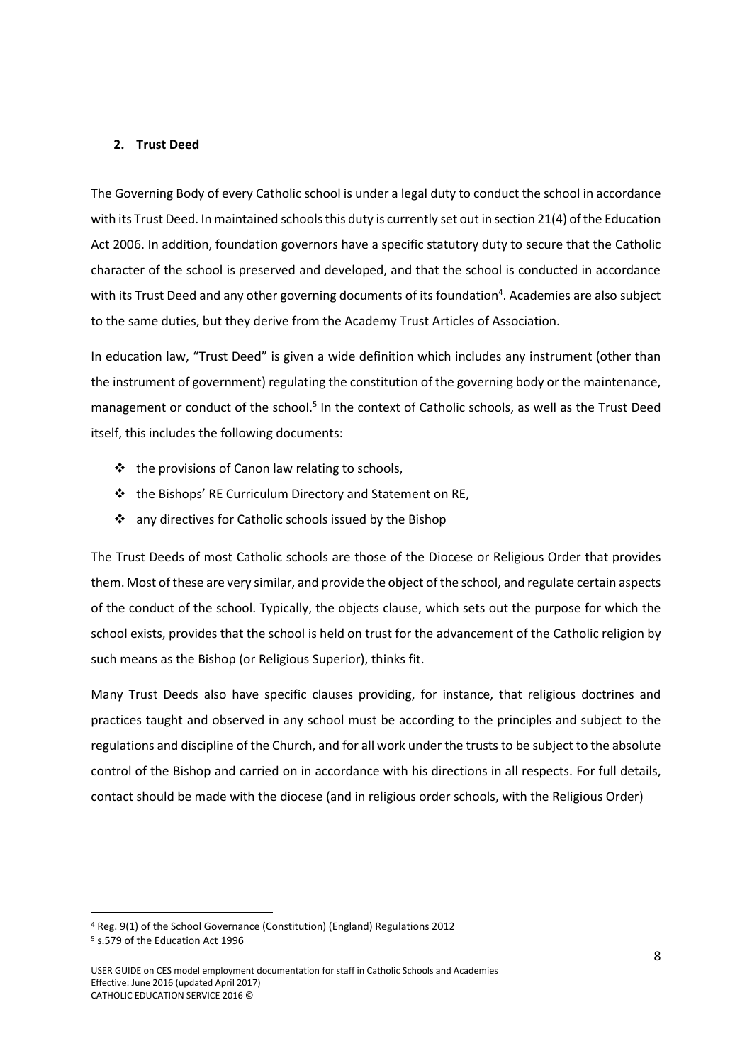#### <span id="page-9-0"></span>**2. Trust Deed**

The Governing Body of every Catholic school is under a legal duty to conduct the school in accordance with its Trust Deed. In maintained schools this duty is currently set out in section 21(4) of the Education Act 2006. In addition, foundation governors have a specific statutory duty to secure that the Catholic character of the school is preserved and developed, and that the school is conducted in accordance with its Trust Deed and any other governing documents of its foundation<sup>4</sup>. Academies are also subject to the same duties, but they derive from the Academy Trust Articles of Association.

In education law, "Trust Deed" is given a wide definition which includes any instrument (other than the instrument of government) regulating the constitution of the governing body or the maintenance, management or conduct of the school.<sup>5</sup> In the context of Catholic schools, as well as the Trust Deed itself, this includes the following documents:

- $\triangleq$  the provisions of Canon law relating to schools,
- the Bishops' RE Curriculum Directory and Statement on RE,
- $\cdot$  any directives for Catholic schools issued by the Bishop

The Trust Deeds of most Catholic schools are those of the Diocese or Religious Order that provides them. Most of these are very similar, and provide the object of the school, and regulate certain aspects of the conduct of the school. Typically, the objects clause, which sets out the purpose for which the school exists, provides that the school is held on trust for the advancement of the Catholic religion by such means as the Bishop (or Religious Superior), thinks fit.

Many Trust Deeds also have specific clauses providing, for instance, that religious doctrines and practices taught and observed in any school must be according to the principles and subject to the regulations and discipline of the Church, and for all work under the trusts to be subject to the absolute control of the Bishop and carried on in accordance with his directions in all respects. For full details, contact should be made with the diocese (and in religious order schools, with the Religious Order)

1

<sup>4</sup> Reg. 9(1) of the School Governance (Constitution) (England) Regulations 2012

<sup>5</sup> s.579 of the Education Act 1996

USER GUIDE on CES model employment documentation for staff in Catholic Schools and Academies Effective: June 2016 (updated April 2017) CATHOLIC EDUCATION SERVICE 2016 ©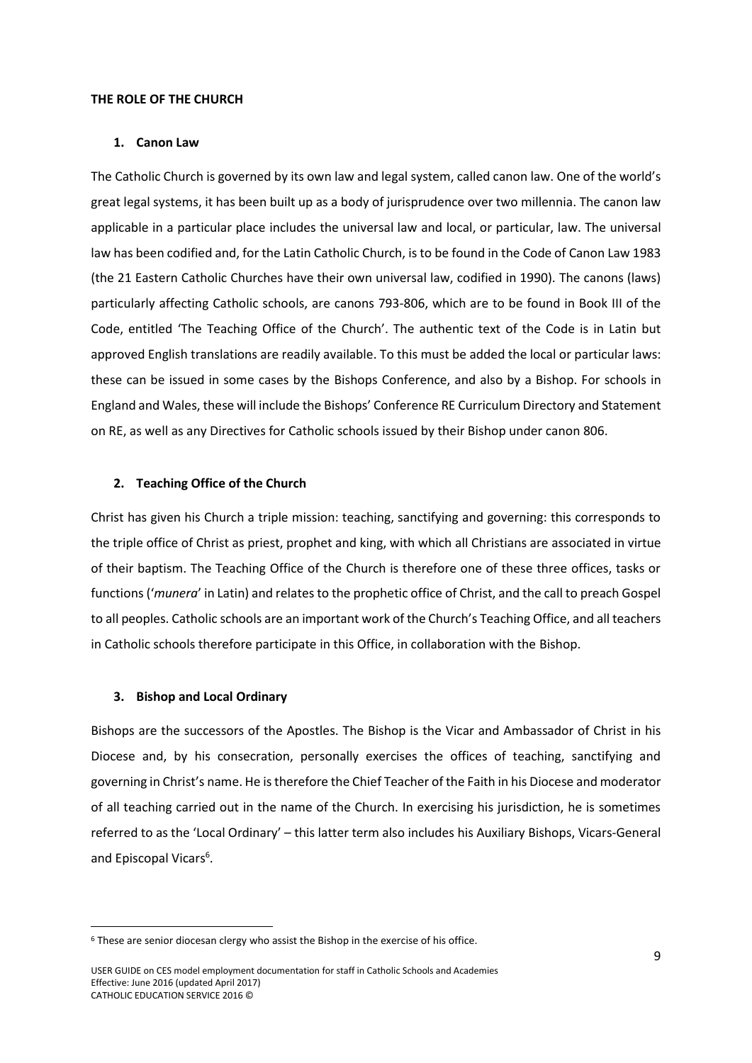#### <span id="page-10-0"></span>**THE ROLE OF THE CHURCH**

#### <span id="page-10-1"></span>**1. Canon Law**

The Catholic Church is governed by its own law and legal system, called canon law. One of the world's great legal systems, it has been built up as a body of jurisprudence over two millennia. The canon law applicable in a particular place includes the universal law and local, or particular, law. The universal law has been codified and, for the Latin Catholic Church, is to be found in the Code of Canon Law 1983 (the 21 Eastern Catholic Churches have their own universal law, codified in 1990). The canons (laws) particularly affecting Catholic schools, are canons 793-806, which are to be found in Book III of the Code, entitled 'The Teaching Office of the Church'. The authentic text of the Code is in Latin but approved English translations are readily available. To this must be added the local or particular laws: these can be issued in some cases by the Bishops Conference, and also by a Bishop. For schools in England and Wales, these will include the Bishops' Conference RE Curriculum Directory and Statement on RE, as well as any Directives for Catholic schools issued by their Bishop under canon 806.

#### <span id="page-10-2"></span>**2. Teaching Office of the Church**

Christ has given his Church a triple mission: teaching, sanctifying and governing: this corresponds to the triple office of Christ as priest, prophet and king, with which all Christians are associated in virtue of their baptism. The Teaching Office of the Church is therefore one of these three offices, tasks or functions ('*munera*' in Latin) and relates to the prophetic office of Christ, and the call to preach Gospel to all peoples. Catholic schools are an important work of the Church's Teaching Office, and all teachers in Catholic schools therefore participate in this Office, in collaboration with the Bishop.

#### <span id="page-10-3"></span>**3. Bishop and Local Ordinary**

**.** 

Bishops are the successors of the Apostles. The Bishop is the Vicar and Ambassador of Christ in his Diocese and, by his consecration, personally exercises the offices of teaching, sanctifying and governing in Christ's name. He is therefore the Chief Teacher of the Faith in his Diocese and moderator of all teaching carried out in the name of the Church. In exercising his jurisdiction, he is sometimes referred to as the 'Local Ordinary' – this latter term also includes his Auxiliary Bishops, Vicars-General and Episcopal Vicars<sup>6</sup>.

<sup>6</sup> These are senior diocesan clergy who assist the Bishop in the exercise of his office.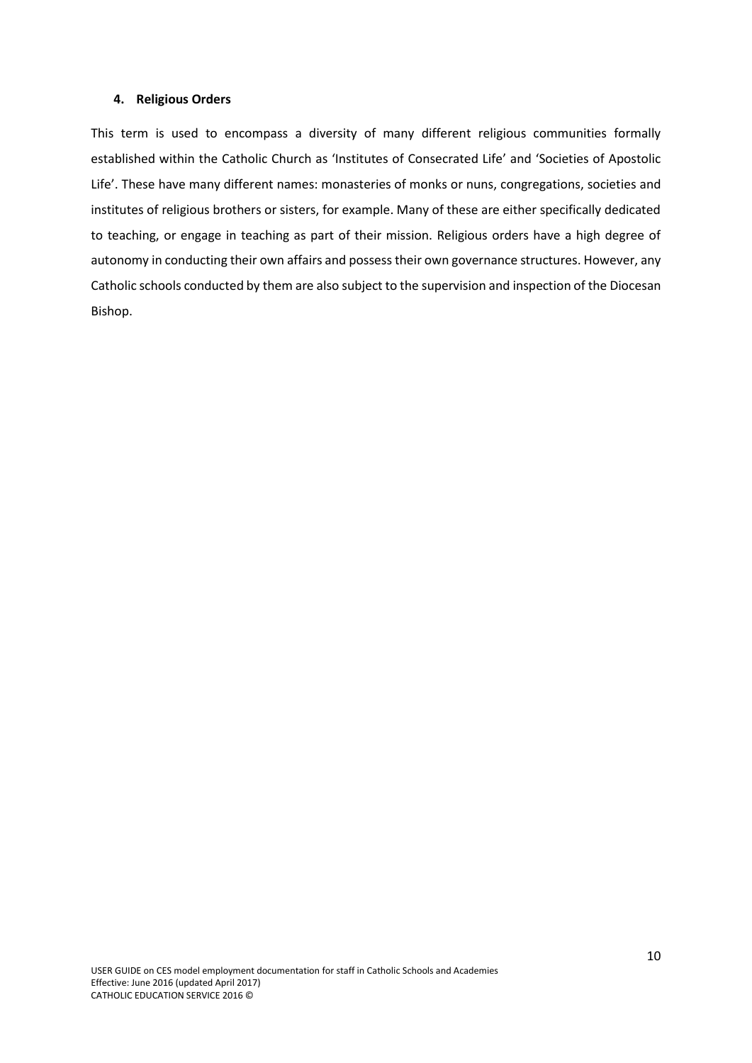#### <span id="page-11-0"></span>**4. Religious Orders**

This term is used to encompass a diversity of many different religious communities formally established within the Catholic Church as 'Institutes of Consecrated Life' and 'Societies of Apostolic Life'. These have many different names: monasteries of monks or nuns, congregations, societies and institutes of religious brothers or sisters, for example. Many of these are either specifically dedicated to teaching, or engage in teaching as part of their mission. Religious orders have a high degree of autonomy in conducting their own affairs and possess their own governance structures. However, any Catholic schools conducted by them are also subject to the supervision and inspection of the Diocesan Bishop.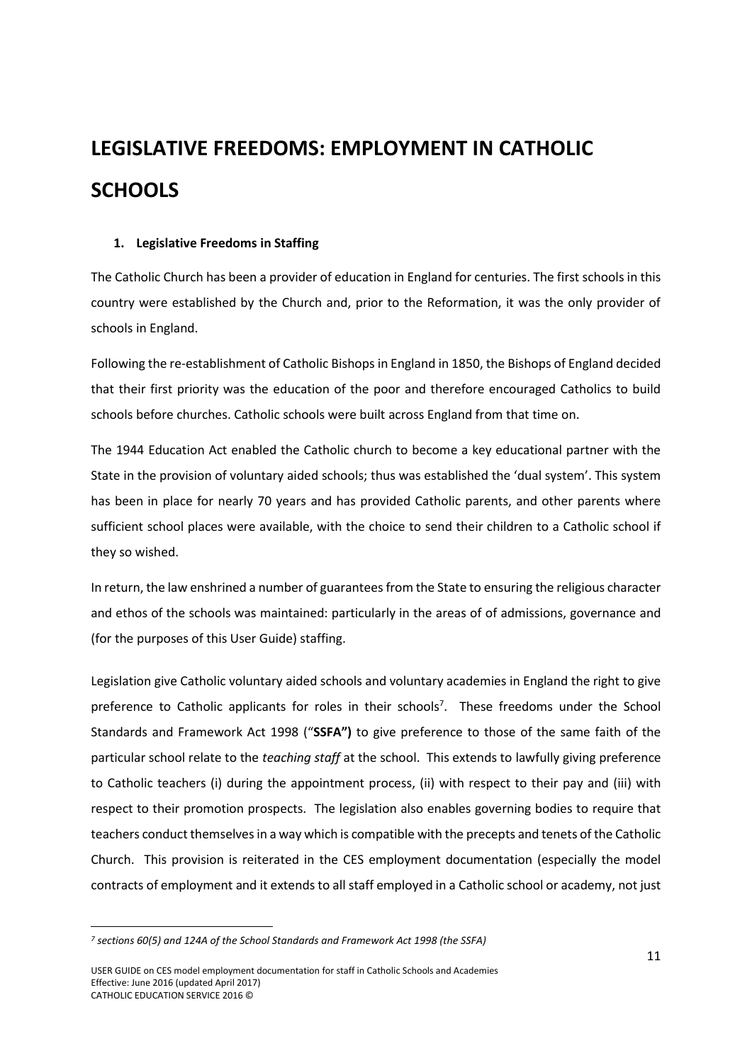# <span id="page-12-0"></span>**LEGISLATIVE FREEDOMS: EMPLOYMENT IN CATHOLIC SCHOOLS**

#### <span id="page-12-1"></span>**1. Legislative Freedoms in Staffing**

The Catholic Church has been a provider of education in England for centuries. The first schools in this country were established by the Church and, prior to the Reformation, it was the only provider of schools in England.

Following the re-establishment of Catholic Bishops in England in 1850, the Bishops of England decided that their first priority was the education of the poor and therefore encouraged Catholics to build schools before churches. Catholic schools were built across England from that time on.

The 1944 Education Act enabled the Catholic church to become a key educational partner with the State in the provision of voluntary aided schools; thus was established the 'dual system'. This system has been in place for nearly 70 years and has provided Catholic parents, and other parents where sufficient school places were available, with the choice to send their children to a Catholic school if they so wished.

In return, the law enshrined a number of guarantees from the State to ensuring the religious character and ethos of the schools was maintained: particularly in the areas of of admissions, governance and (for the purposes of this User Guide) staffing.

Legislation give Catholic voluntary aided schools and voluntary academies in England the right to give preference to Catholic applicants for roles in their schools<sup>7</sup>. These freedoms under the School Standards and Framework Act 1998 ("**SSFA")** to give preference to those of the same faith of the particular school relate to the *teaching staff* at the school. This extends to lawfully giving preference to Catholic teachers (i) during the appointment process, (ii) with respect to their pay and (iii) with respect to their promotion prospects. The legislation also enables governing bodies to require that teachers conduct themselves in a way which is compatible with the precepts and tenets of the Catholic Church. This provision is reiterated in the CES employment documentation (especially the model contracts of employment and it extends to all staff employed in a Catholic school or academy, not just

*<sup>7</sup> sections 60(5) and 124A of the School Standards and Framework Act 1998 (the SSFA)*

USER GUIDE on CES model employment documentation for staff in Catholic Schools and Academies Effective: June 2016 (updated April 2017) CATHOLIC EDUCATION SERVICE 2016 ©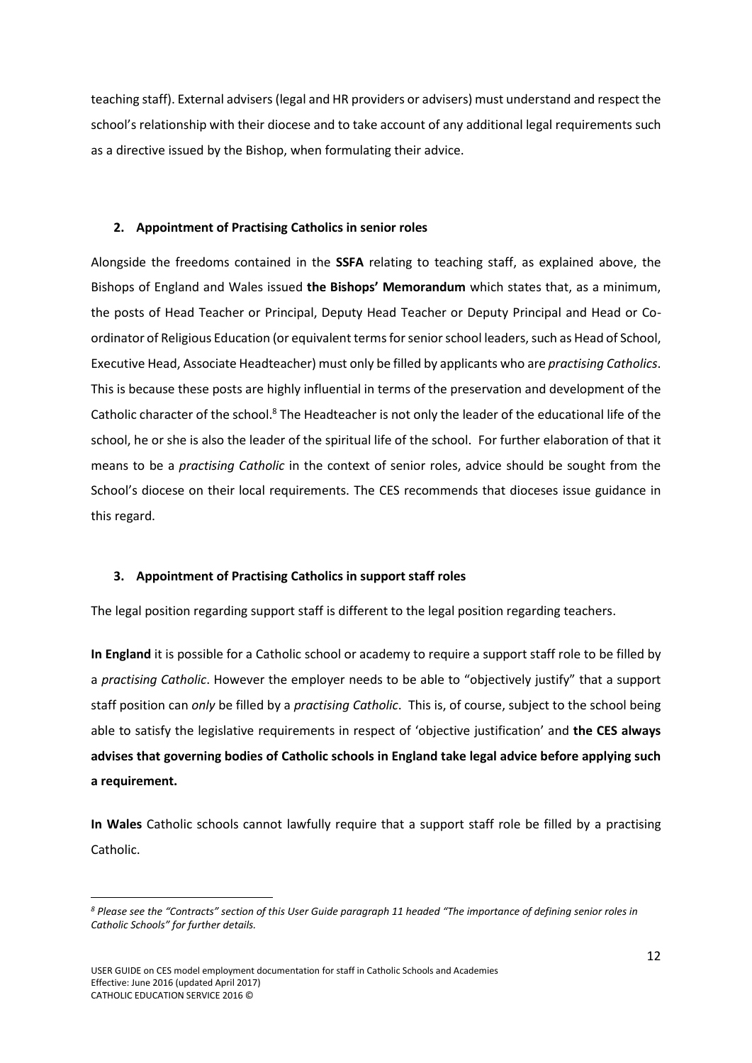teaching staff). External advisers (legal and HR providers or advisers) must understand and respect the school's relationship with their diocese and to take account of any additional legal requirements such as a directive issued by the Bishop, when formulating their advice.

#### <span id="page-13-0"></span>**2. Appointment of Practising Catholics in senior roles**

Alongside the freedoms contained in the **SSFA** relating to teaching staff, as explained above, the Bishops of England and Wales issued **the Bishops' Memorandum** which states that, as a minimum, the posts of Head Teacher or Principal, Deputy Head Teacher or Deputy Principal and Head or Coordinator of Religious Education (or equivalent terms for senior school leaders, such as Head of School, Executive Head, Associate Headteacher) must only be filled by applicants who are *practising Catholics*. This is because these posts are highly influential in terms of the preservation and development of the Catholic character of the school.<sup>8</sup> The Headteacher is not only the leader of the educational life of the school, he or she is also the leader of the spiritual life of the school. For further elaboration of that it means to be a *practising Catholic* in the context of senior roles, advice should be sought from the School's diocese on their local requirements. The CES recommends that dioceses issue guidance in this regard.

#### <span id="page-13-1"></span>**3. Appointment of Practising Catholics in support staff roles**

The legal position regarding support staff is different to the legal position regarding teachers.

**In England** it is possible for a Catholic school or academy to require a support staff role to be filled by a *practising Catholic*. However the employer needs to be able to "objectively justify" that a support staff position can *only* be filled by a *practising Catholic*. This is, of course, subject to the school being able to satisfy the legislative requirements in respect of 'objective justification' and **the CES always advises that governing bodies of Catholic schools in England take legal advice before applying such a requirement.** 

**In Wales** Catholic schools cannot lawfully require that a support staff role be filled by a practising Catholic.

*<sup>8</sup> Please see the "Contracts" section of this User Guide paragraph 11 headed "The importance of defining senior roles in Catholic Schools" for further details.*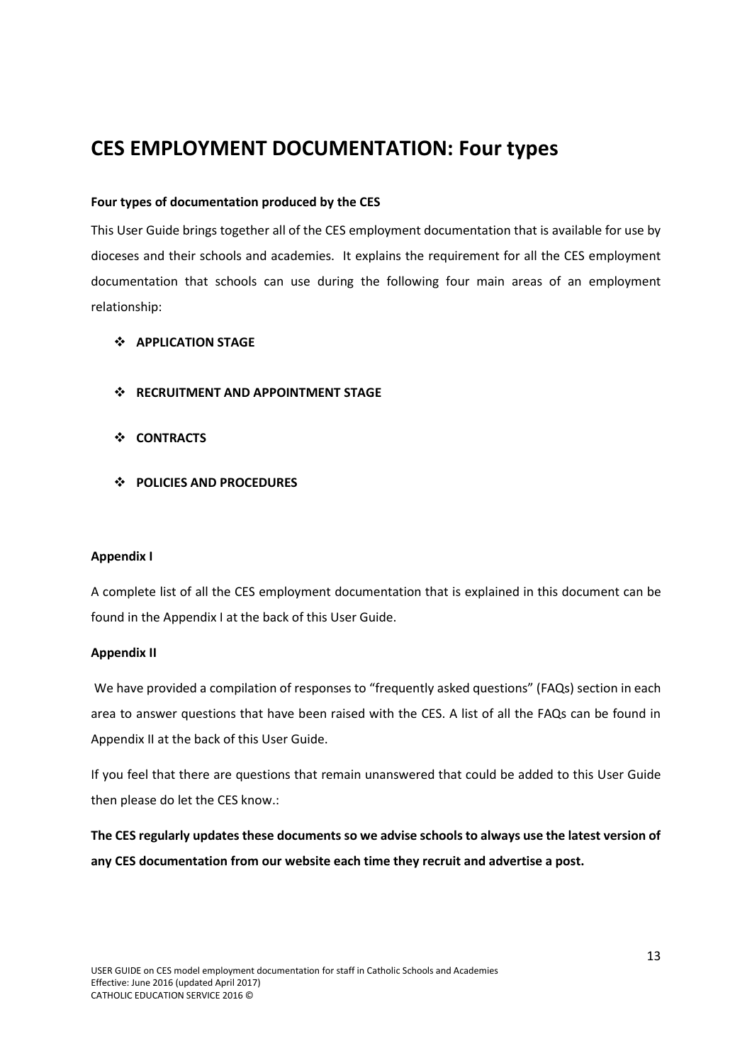# <span id="page-14-0"></span>**CES EMPLOYMENT DOCUMENTATION: Four types**

### **Four types of documentation produced by the CES**

This User Guide brings together all of the CES employment documentation that is available for use by dioceses and their schools and academies. It explains the requirement for all the CES employment documentation that schools can use during the following four main areas of an employment relationship:

### **APPLICATION STAGE**

- **RECRUITMENT AND APPOINTMENT STAGE**
- **CONTRACTS**
- **POLICIES AND PROCEDURES**

#### **Appendix I**

A complete list of all the CES employment documentation that is explained in this document can be found in the Appendix I at the back of this User Guide.

#### **Appendix II**

We have provided a compilation of responses to "frequently asked questions" (FAQs) section in each area to answer questions that have been raised with the CES. A list of all the FAQs can be found in Appendix II at the back of this User Guide.

If you feel that there are questions that remain unanswered that could be added to this User Guide then please do let the CES know.:

**The CES regularly updates these documents so we advise schools to always use the latest version of any CES documentation from our website each time they recruit and advertise a post.**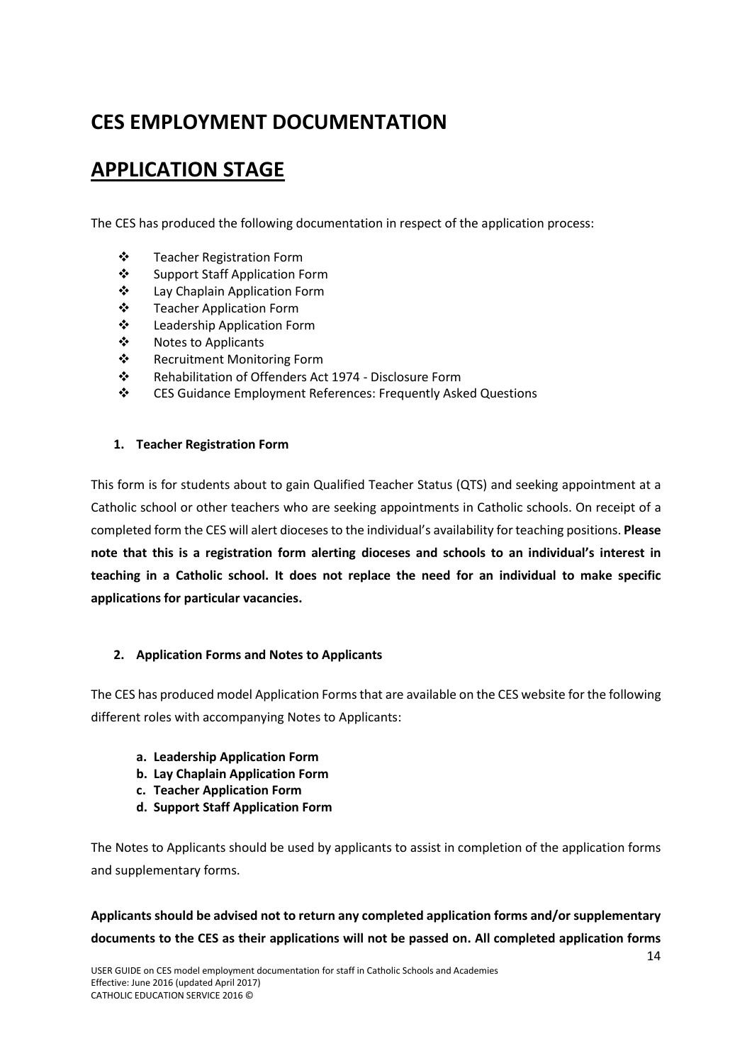# **CES EMPLOYMENT DOCUMENTATION**

# <span id="page-15-0"></span>**APPLICATION STAGE**

The CES has produced the following documentation in respect of the application process:

- Teacher Registration Form
- Support Staff Application Form
- Lay Chaplain Application Form
- Teacher Application Form
- Leadership Application Form
- ❖ Notes to Applicants
- **❖** Recruitment Monitoring Form
- Rehabilitation of Offenders Act 1974 Disclosure Form
- CES Guidance Employment References: Frequently Asked Questions

# <span id="page-15-1"></span>**1. Teacher Registration Form**

This form is for students about to gain Qualified Teacher Status (QTS) and seeking appointment at a Catholic school or other teachers who are seeking appointments in Catholic schools. On receipt of a completed form the CES will alert diocesesto the individual's availability for teaching positions. **Please note that this is a registration form alerting dioceses and schools to an individual's interest in teaching in a Catholic school. It does not replace the need for an individual to make specific applications for particular vacancies.**

# <span id="page-15-2"></span>**2. Application Forms and Notes to Applicants**

The CES has produced model Application Forms that are available on the CES website for the following different roles with accompanying Notes to Applicants:

- **a. Leadership Application Form**
- **b. Lay Chaplain Application Form**
- **c. Teacher Application Form**
- **d. Support Staff Application Form**

The Notes to Applicants should be used by applicants to assist in completion of the application forms and supplementary forms.

**Applicants should be advised not to return any completed application forms and/or supplementary documents to the CES as their applications will not be passed on. All completed application forms**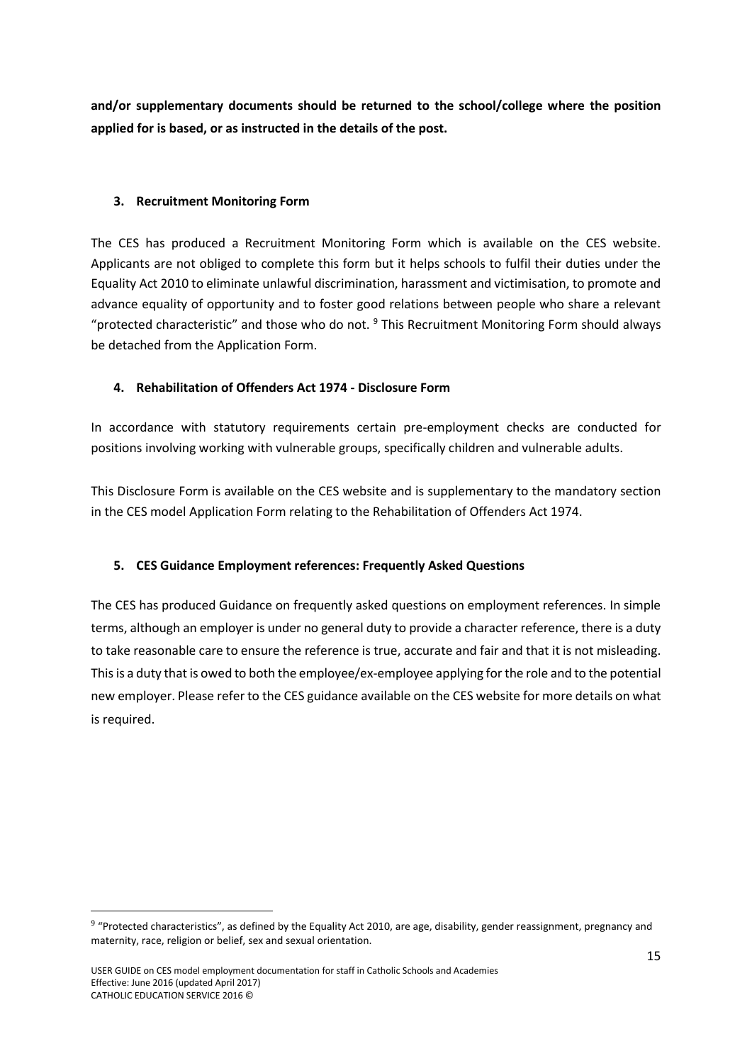**and/or supplementary documents should be returned to the school/college where the position applied for is based, or as instructed in the details of the post.**

# <span id="page-16-0"></span>**3. Recruitment Monitoring Form**

The CES has produced a Recruitment Monitoring Form which is available on the CES website. Applicants are not obliged to complete this form but it helps schools to fulfil their duties under the Equality Act 2010 to eliminate unlawful discrimination, harassment and victimisation, to promote and advance equality of opportunity and to foster good relations between people who share a relevant "protected characteristic" and those who do not.  $9$  This Recruitment Monitoring Form should always be detached from the Application Form.

# <span id="page-16-1"></span>**4. Rehabilitation of Offenders Act 1974 - Disclosure Form**

In accordance with statutory requirements certain pre-employment checks are conducted for positions involving working with vulnerable groups, specifically children and vulnerable adults.

This Disclosure Form is available on the CES website and is supplementary to the mandatory section in the CES model Application Form relating to the Rehabilitation of Offenders Act 1974.

# <span id="page-16-2"></span>**5. CES Guidance Employment references: Frequently Asked Questions**

The CES has produced Guidance on frequently asked questions on employment references. In simple terms, although an employer is under no general duty to provide a character reference, there is a duty to take reasonable care to ensure the reference is true, accurate and fair and that it is not misleading. This is a duty that is owed to both the employee/ex-employee applying for the role and to the potential new employer. Please refer to the CES guidance available on the CES website for more details on what is required.

1

<sup>&</sup>lt;sup>9</sup> "Protected characteristics", as defined by the Equality Act 2010, are age, disability, gender reassignment, pregnancy and maternity, race, religion or belief, sex and sexual orientation.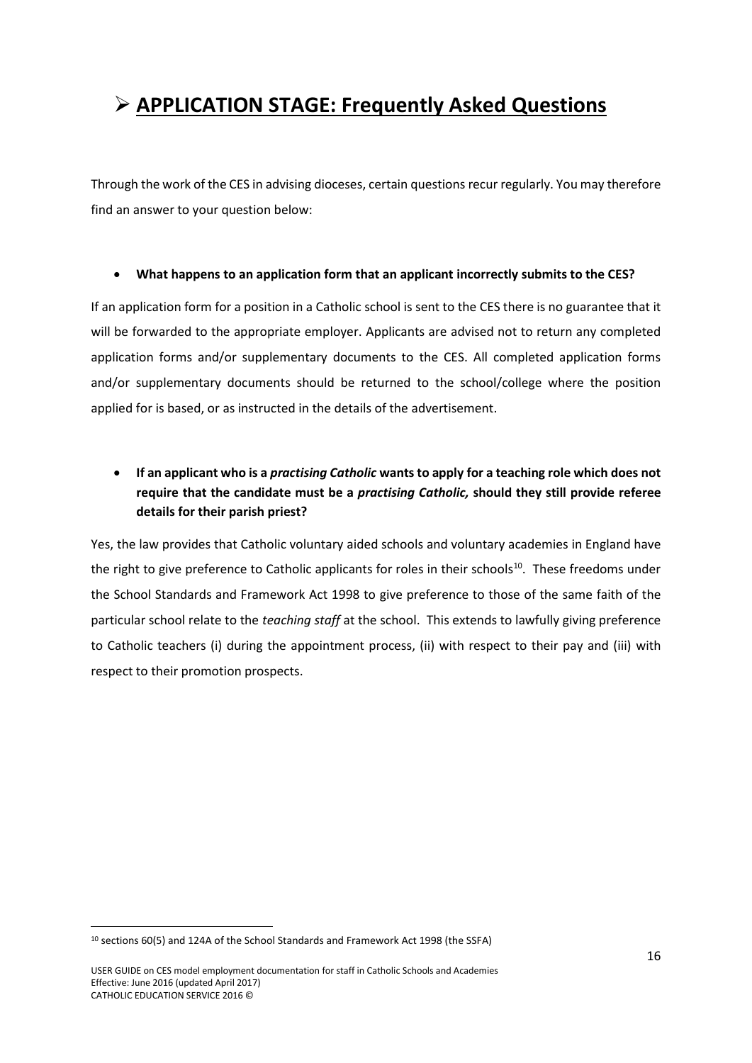# <span id="page-17-0"></span>**APPLICATION STAGE: Frequently Asked Questions**

Through the work of the CES in advising dioceses, certain questions recur regularly. You may therefore find an answer to your question below:

#### **What happens to an application form that an applicant incorrectly submits to the CES?**

If an application form for a position in a Catholic school is sent to the CES there is no guarantee that it will be forwarded to the appropriate employer. Applicants are advised not to return any completed application forms and/or supplementary documents to the CES. All completed application forms and/or supplementary documents should be returned to the school/college where the position applied for is based, or as instructed in the details of the advertisement.

# **If an applicant who is a** *practising Catholic* **wants to apply for a teaching role which does not require that the candidate must be a** *practising Catholic,* **should they still provide referee details for their parish priest?**

Yes, the law provides that Catholic voluntary aided schools and voluntary academies in England have the right to give preference to Catholic applicants for roles in their schools $10$ . These freedoms under the School Standards and Framework Act 1998 to give preference to those of the same faith of the particular school relate to the *teaching staff* at the school. This extends to lawfully giving preference to Catholic teachers (i) during the appointment process, (ii) with respect to their pay and (iii) with respect to their promotion prospects.

<sup>10</sup> sections 60(5) and 124A of the School Standards and Framework Act 1998 (the SSFA)

USER GUIDE on CES model employment documentation for staff in Catholic Schools and Academies Effective: June 2016 (updated April 2017) CATHOLIC EDUCATION SERVICE 2016 ©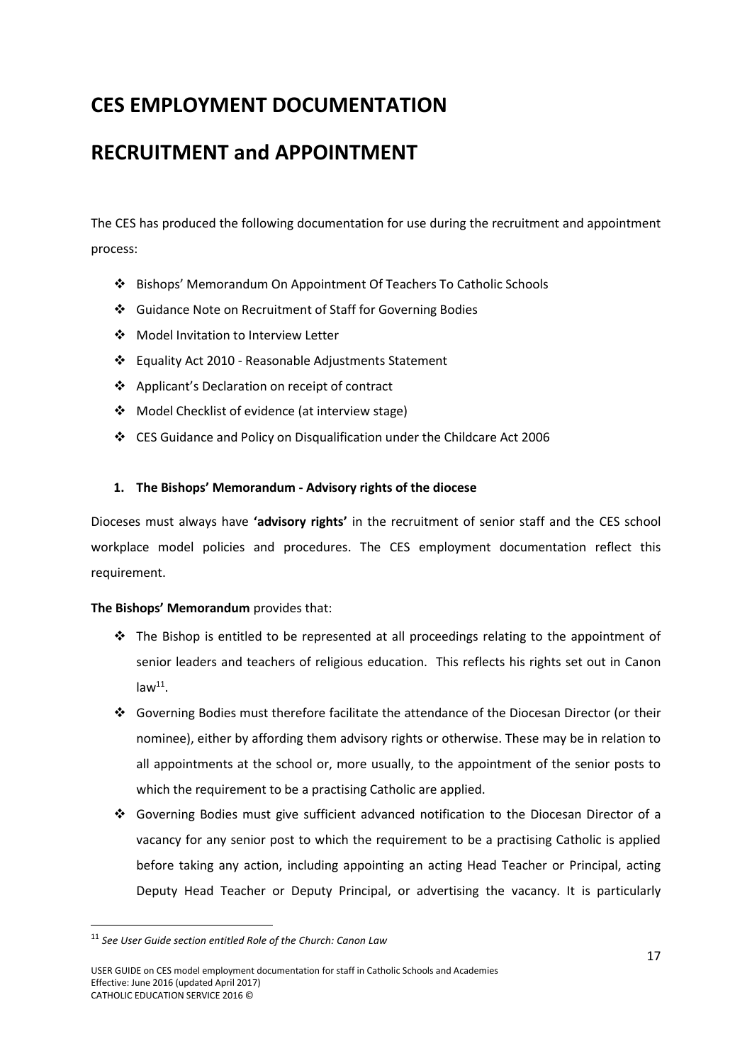# **CES EMPLOYMENT DOCUMENTATION**

# <span id="page-18-0"></span>**RECRUITMENT and APPOINTMENT**

The CES has produced the following documentation for use during the recruitment and appointment process:

- Bishops' Memorandum On Appointment Of Teachers To Catholic Schools
- Guidance Note on Recruitment of Staff for Governing Bodies
- Model Invitation to Interview Letter
- Equality Act 2010 Reasonable Adjustments Statement
- Applicant's Declaration on receipt of contract
- Model Checklist of evidence (at interview stage)
- CES Guidance and Policy on Disqualification under the Childcare Act 2006

# <span id="page-18-1"></span>**1. The Bishops' Memorandum - Advisory rights of the diocese**

Dioceses must always have **'advisory rights'** in the recruitment of senior staff and the CES school workplace model policies and procedures. The CES employment documentation reflect this requirement.

# **The Bishops' Memorandum** provides that:

- $\cdot \cdot$  The Bishop is entitled to be represented at all proceedings relating to the appointment of senior leaders and teachers of religious education. This reflects his rights set out in Canon  $law<sup>11</sup>$ .
- Governing Bodies must therefore facilitate the attendance of the Diocesan Director (or their nominee), either by affording them advisory rights or otherwise. These may be in relation to all appointments at the school or, more usually, to the appointment of the senior posts to which the requirement to be a practising Catholic are applied.
- Governing Bodies must give sufficient advanced notification to the Diocesan Director of a vacancy for any senior post to which the requirement to be a practising Catholic is applied before taking any action, including appointing an acting Head Teacher or Principal, acting Deputy Head Teacher or Deputy Principal, or advertising the vacancy. It is particularly

<sup>11</sup> *See User Guide section entitled Role of the Church: Canon Law*

USER GUIDE on CES model employment documentation for staff in Catholic Schools and Academies Effective: June 2016 (updated April 2017) CATHOLIC EDUCATION SERVICE 2016 ©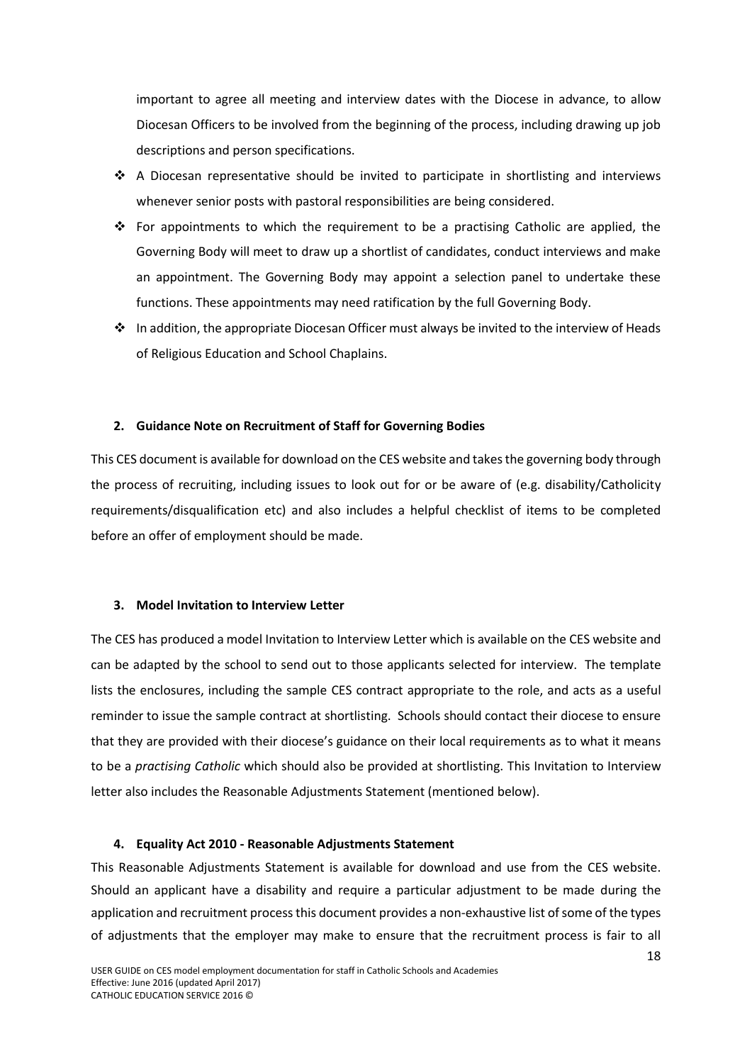important to agree all meeting and interview dates with the Diocese in advance, to allow Diocesan Officers to be involved from the beginning of the process, including drawing up job descriptions and person specifications.

- $\div$  A Diocesan representative should be invited to participate in shortlisting and interviews whenever senior posts with pastoral responsibilities are being considered.
- For appointments to which the requirement to be a practising Catholic are applied, the Governing Body will meet to draw up a shortlist of candidates, conduct interviews and make an appointment. The Governing Body may appoint a selection panel to undertake these functions. These appointments may need ratification by the full Governing Body.
- $\cdot \cdot$  In addition, the appropriate Diocesan Officer must always be invited to the interview of Heads of Religious Education and School Chaplains.

#### <span id="page-19-0"></span>**2. Guidance Note on Recruitment of Staff for Governing Bodies**

This CES document is available for download on the CES website and takes the governing body through the process of recruiting, including issues to look out for or be aware of (e.g. disability/Catholicity requirements/disqualification etc) and also includes a helpful checklist of items to be completed before an offer of employment should be made.

#### <span id="page-19-1"></span>**3. Model Invitation to Interview Letter**

The CES has produced a model Invitation to Interview Letter which is available on the CES website and can be adapted by the school to send out to those applicants selected for interview. The template lists the enclosures, including the sample CES contract appropriate to the role, and acts as a useful reminder to issue the sample contract at shortlisting. Schools should contact their diocese to ensure that they are provided with their diocese's guidance on their local requirements as to what it means to be a *practising Catholic* which should also be provided at shortlisting. This Invitation to Interview letter also includes the Reasonable Adjustments Statement (mentioned below).

#### **4. Equality Act 2010 - Reasonable Adjustments Statement**

<span id="page-19-2"></span>This Reasonable Adjustments Statement is available for download and use from the CES website. Should an applicant have a disability and require a particular adjustment to be made during the application and recruitment process this document provides a non-exhaustive list of some of the types of adjustments that the employer may make to ensure that the recruitment process is fair to all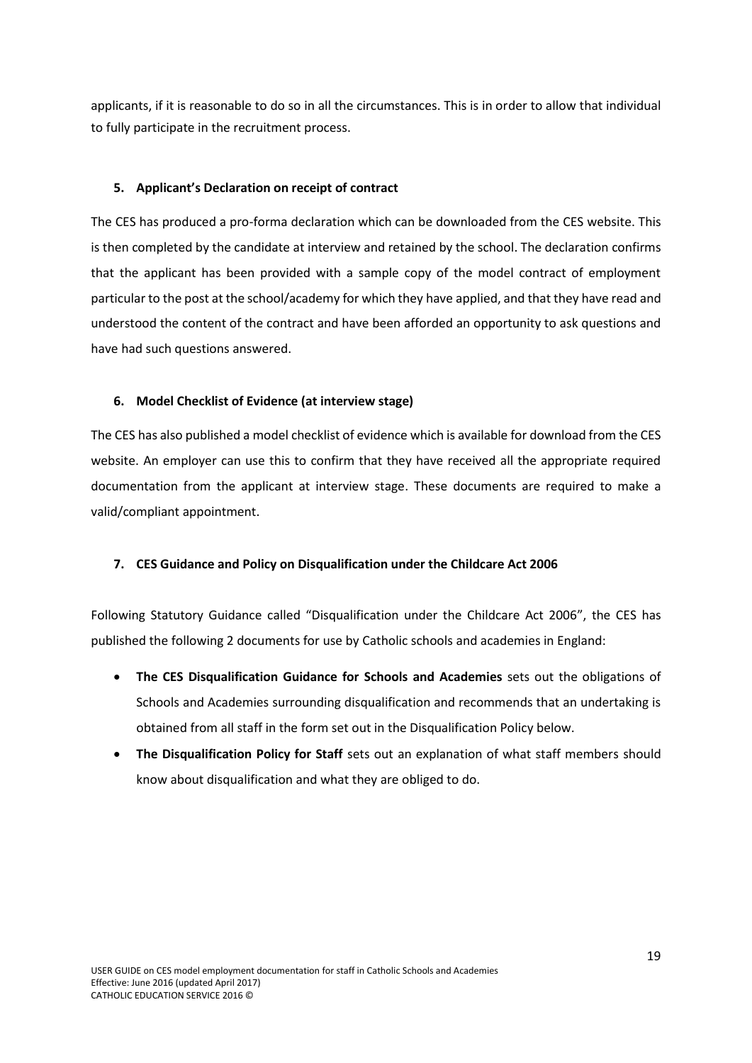applicants, if it is reasonable to do so in all the circumstances. This is in order to allow that individual to fully participate in the recruitment process.

### <span id="page-20-0"></span>**5. Applicant's Declaration on receipt of contract**

The CES has produced a pro-forma declaration which can be downloaded from the CES website. This is then completed by the candidate at interview and retained by the school. The declaration confirms that the applicant has been provided with a sample copy of the model contract of employment particular to the post at the school/academy for which they have applied, and that they have read and understood the content of the contract and have been afforded an opportunity to ask questions and have had such questions answered.

### <span id="page-20-1"></span>**6. Model Checklist of Evidence (at interview stage)**

The CES has also published a model checklist of evidence which is available for download from the CES website. An employer can use this to confirm that they have received all the appropriate required documentation from the applicant at interview stage. These documents are required to make a valid/compliant appointment.

#### <span id="page-20-2"></span>**7. CES Guidance and Policy on Disqualification under the Childcare Act 2006**

Following Statutory Guidance called "Disqualification under the Childcare Act 2006", the CES has published the following 2 documents for use by Catholic schools and academies in England:

- **The CES Disqualification Guidance for Schools and Academies** sets out the obligations of Schools and Academies surrounding disqualification and recommends that an undertaking is obtained from all staff in the form set out in the Disqualification Policy below.
- **The Disqualification Policy for Staff** sets out an explanation of what staff members should know about disqualification and what they are obliged to do.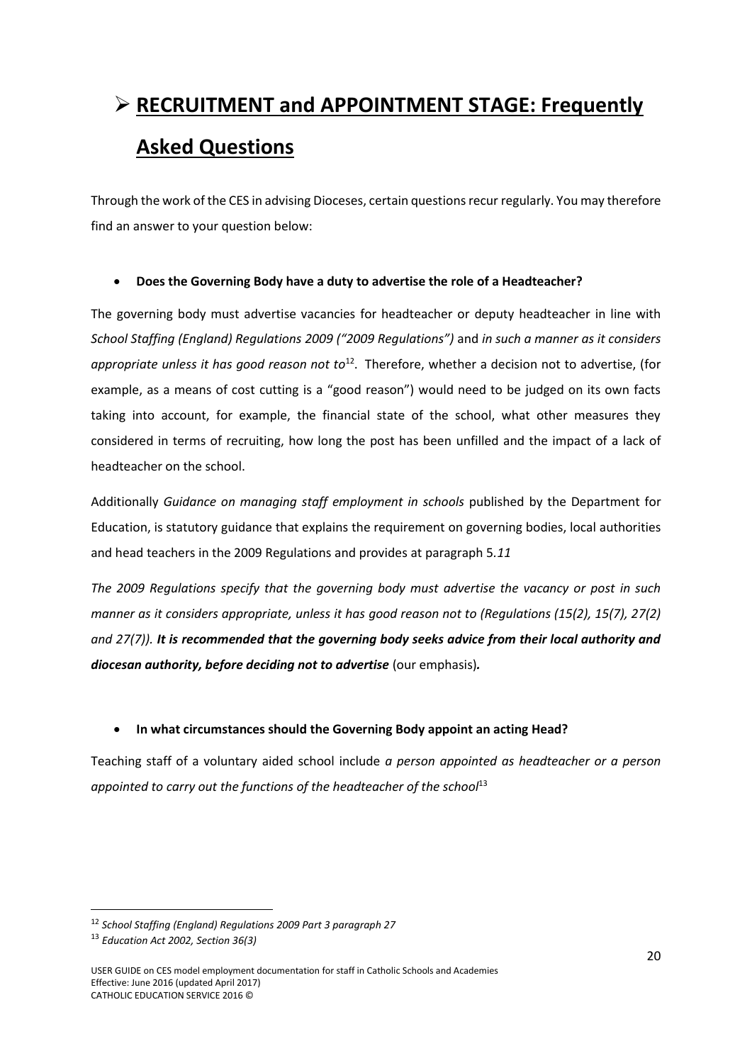# <span id="page-21-0"></span> **RECRUITMENT and APPOINTMENT STAGE: Frequently Asked Questions**

Through the work of the CES in advising Dioceses, certain questions recur regularly. You may therefore find an answer to your question below:

### **Does the Governing Body have a duty to advertise the role of a Headteacher?**

The governing body must advertise vacancies for headteacher or deputy headteacher in line with *School Staffing (England) Regulations 2009 ("2009 Regulations")* and *in such a manner as it considers*  appropriate unless it has good reason not to<sup>12</sup>. Therefore, whether a decision not to advertise, (for example, as a means of cost cutting is a "good reason") would need to be judged on its own facts taking into account, for example, the financial state of the school, what other measures they considered in terms of recruiting, how long the post has been unfilled and the impact of a lack of headteacher on the school.

Additionally *Guidance on managing staff employment in schools* published by the Department for Education, is statutory guidance that explains the requirement on governing bodies, local authorities and head teachers in the 2009 Regulations and provides at paragraph 5*.11* 

*The 2009 Regulations specify that the governing body must advertise the vacancy or post in such manner as it considers appropriate, unless it has good reason not to (Regulations (15(2), 15(7), 27(2) and 27(7)). It is recommended that the governing body seeks advice from their local authority and diocesan authority, before deciding not to advertise* (our emphasis)*.*

# **In what circumstances should the Governing Body appoint an acting Head?**

Teaching staff of a voluntary aided school include *a person appointed as headteacher or a person*  appointed to carry out the functions of the headteacher of the school<sup>13</sup>

<sup>12</sup> *School Staffing (England) Regulations 2009 Part 3 paragraph 27*

<sup>13</sup> *Education Act 2002, Section 36(3)*

USER GUIDE on CES model employment documentation for staff in Catholic Schools and Academies Effective: June 2016 (updated April 2017) CATHOLIC EDUCATION SERVICE 2016 ©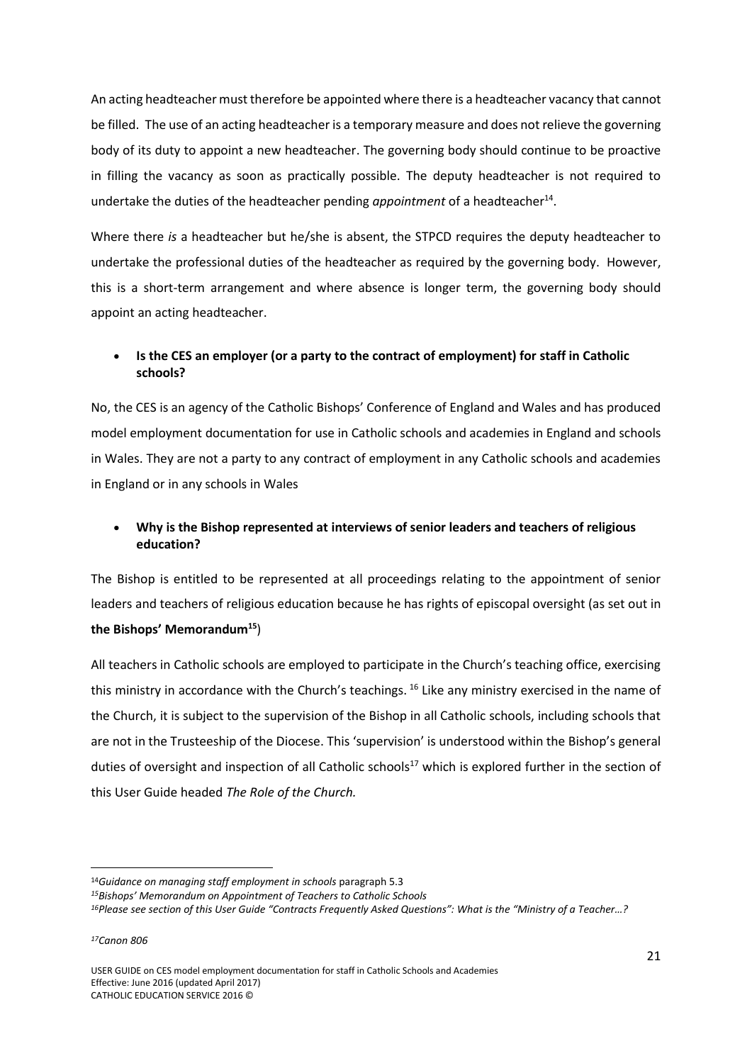An acting headteacher must therefore be appointed where there is a headteacher vacancy that cannot be filled. The use of an acting headteacher is a temporary measure and does not relieve the governing body of its duty to appoint a new headteacher. The governing body should continue to be proactive in filling the vacancy as soon as practically possible. The deputy headteacher is not required to undertake the duties of the headteacher pending *appointment* of a headteacher<sup>14</sup>.

Where there *is* a headteacher but he/she is absent, the STPCD requires the deputy headteacher to undertake the professional duties of the headteacher as required by the governing body. However, this is a short-term arrangement and where absence is longer term, the governing body should appoint an acting headteacher.

# **Is the CES an employer (or a party to the contract of employment) for staff in Catholic schools?**

No, the CES is an agency of the Catholic Bishops' Conference of England and Wales and has produced model employment documentation for use in Catholic schools and academies in England and schools in Wales. They are not a party to any contract of employment in any Catholic schools and academies in England or in any schools in Wales

# **Why is the Bishop represented at interviews of senior leaders and teachers of religious education?**

The Bishop is entitled to be represented at all proceedings relating to the appointment of senior leaders and teachers of religious education because he has rights of episcopal oversight (as set out in **the Bishops' Memorandum<sup>15</sup>**)

All teachers in Catholic schools are employed to participate in the Church's teaching office, exercising this ministry in accordance with the Church's teachings. <sup>16</sup> Like any ministry exercised in the name of the Church, it is subject to the supervision of the Bishop in all Catholic schools, including schools that are not in the Trusteeship of the Diocese. This 'supervision' is understood within the Bishop's general duties of oversight and inspection of all Catholic schools<sup>17</sup> which is explored further in the section of this User Guide headed *The Role of the Church.*

**.** 

USER GUIDE on CES model employment documentation for staff in Catholic Schools and Academies Effective: June 2016 (updated April 2017) CATHOLIC EDUCATION SERVICE 2016 ©

<sup>14</sup>*Guidance on managing staff employment in schools* paragraph 5.3

*<sup>15</sup>Bishops' Memorandum on Appointment of Teachers to Catholic Schools*

*<sup>16</sup>Please see section of this User Guide "Contracts Frequently Asked Questions": What is the "Ministry of a Teacher…?*

*<sup>17</sup>Canon 806*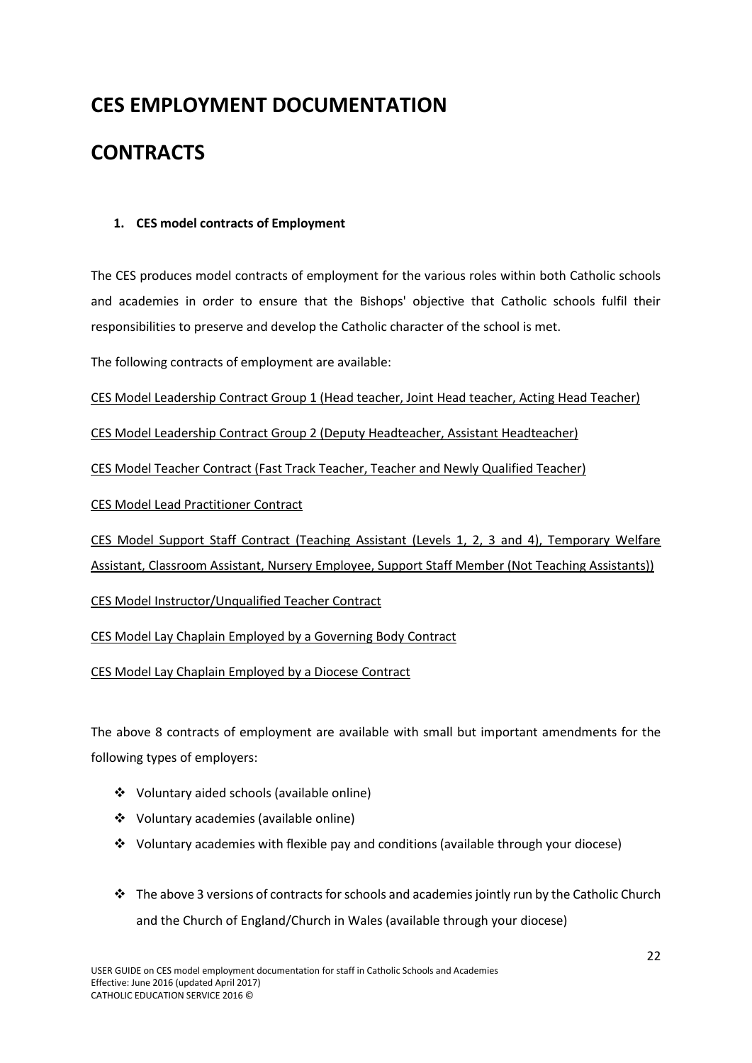# **CES EMPLOYMENT DOCUMENTATION**

# <span id="page-23-0"></span>**CONTRACTS**

# <span id="page-23-1"></span>**1. CES model contracts of Employment**

The CES produces model contracts of employment for the various roles within both Catholic schools and academies in order to ensure that the Bishops' objective that Catholic schools fulfil their responsibilities to preserve and develop the Catholic character of the school is met.

The following contracts of employment are available:

CES Model Leadership Contract Group 1 (Head teacher, Joint Head teacher, Acting Head Teacher)

CES Model Leadership Contract Group 2 (Deputy Headteacher, Assistant Headteacher)

CES Model Teacher Contract (Fast Track Teacher, Teacher and Newly Qualified Teacher)

CES Model Lead Practitioner Contract

CES Model Support Staff Contract (Teaching Assistant (Levels 1, 2, 3 and 4), Temporary Welfare Assistant, Classroom Assistant, Nursery Employee, Support Staff Member (Not Teaching Assistants))

CES Model Instructor/Unqualified Teacher Contract

CES Model Lay Chaplain Employed by a Governing Body Contract

CES Model Lay Chaplain Employed by a Diocese Contract

The above 8 contracts of employment are available with small but important amendments for the following types of employers:

- Voluntary aided schools (available online)
- Voluntary academies (available online)
- $\div$  Voluntary academies with flexible pay and conditions (available through your diocese)
- $\cdot \cdot$  The above 3 versions of contracts for schools and academies jointly run by the Catholic Church and the Church of England/Church in Wales (available through your diocese)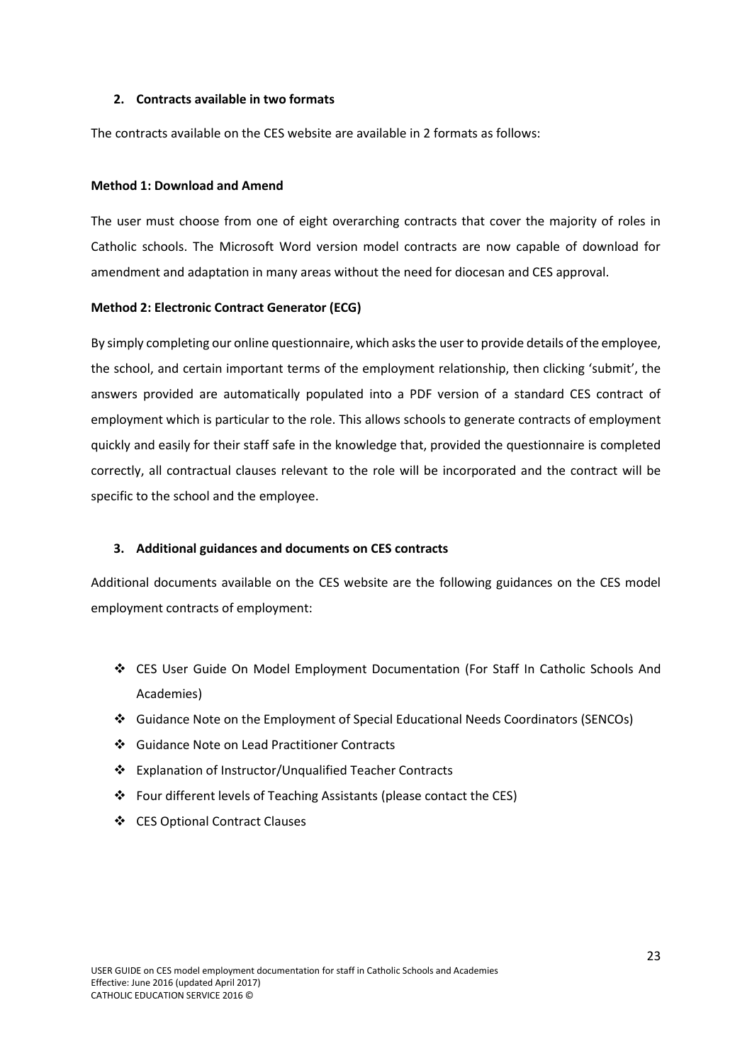#### <span id="page-24-0"></span>**2. Contracts available in two formats**

The contracts available on the CES website are available in 2 formats as follows:

#### **Method 1: Download and Amend**

The user must choose from one of eight overarching contracts that cover the majority of roles in Catholic schools. The Microsoft Word version model contracts are now capable of download for amendment and adaptation in many areas without the need for diocesan and CES approval.

#### **Method 2: Electronic Contract Generator (ECG)**

By simply completing our online questionnaire, which asks the user to provide details of the employee, the school, and certain important terms of the employment relationship, then clicking 'submit', the answers provided are automatically populated into a PDF version of a standard CES contract of employment which is particular to the role. This allows schools to generate contracts of employment quickly and easily for their staff safe in the knowledge that, provided the questionnaire is completed correctly, all contractual clauses relevant to the role will be incorporated and the contract will be specific to the school and the employee.

#### <span id="page-24-1"></span>**3. Additional guidances and documents on CES contracts**

Additional documents available on the CES website are the following guidances on the CES model employment contracts of employment:

- CES User Guide On Model Employment Documentation (For Staff In Catholic Schools And Academies)
- Guidance Note on the Employment of Special Educational Needs Coordinators (SENCOs)
- Guidance Note on Lead Practitioner Contracts
- Explanation of Instructor/Unqualified Teacher Contracts
- Four different levels of Teaching Assistants (please contact the CES)
- CES Optional Contract Clauses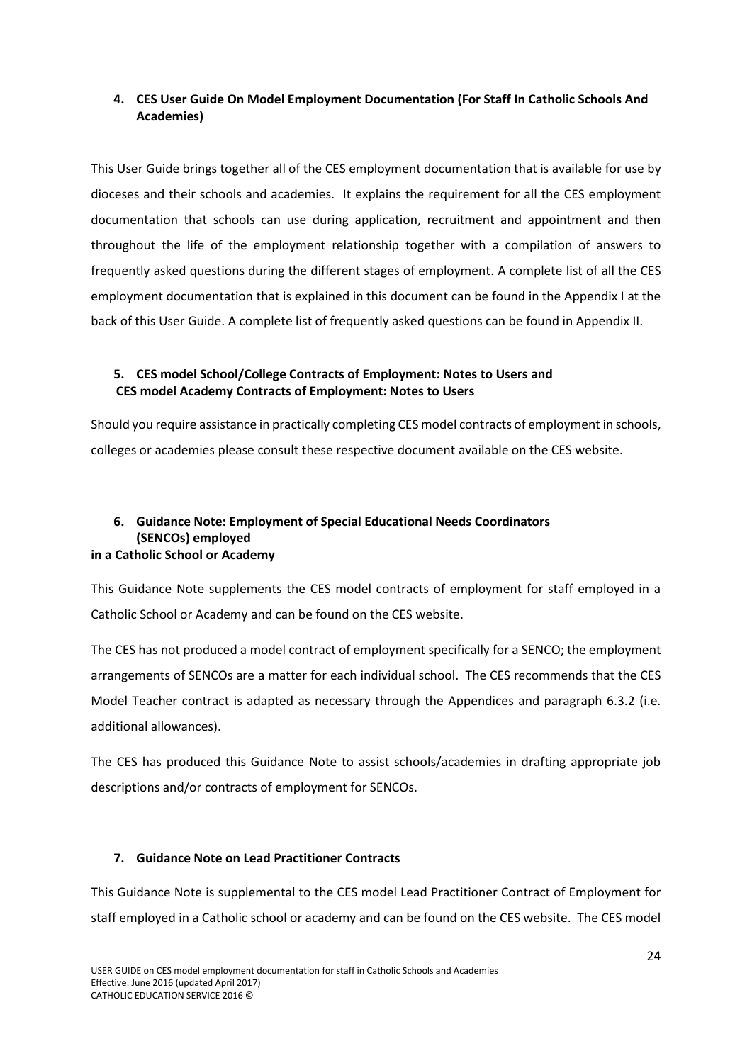# <span id="page-25-0"></span>**4. CES User Guide On Model Employment Documentation (For Staff In Catholic Schools And Academies)**

This User Guide brings together all of the CES employment documentation that is available for use by dioceses and their schools and academies. It explains the requirement for all the CES employment documentation that schools can use during application, recruitment and appointment and then throughout the life of the employment relationship together with a compilation of answers to frequently asked questions during the different stages of employment. A complete list of all the CES employment documentation that is explained in this document can be found in the Appendix I at the back of this User Guide. A complete list of frequently asked questions can be found in Appendix II.

# <span id="page-25-1"></span>**5. CES model School/College Contracts of Employment: Notes to Users and CES model Academy Contracts of Employment: Notes to Users**

Should you require assistance in practically completing CES model contracts of employment in schools, colleges or academies please consult these respective document available on the CES website.

### <span id="page-25-2"></span>**6. Guidance Note: Employment of Special Educational Needs Coordinators (SENCOs) employed in a Catholic School or Academy**

This Guidance Note supplements the CES model contracts of employment for staff employed in a Catholic School or Academy and can be found on the CES website.

The CES has not produced a model contract of employment specifically for a SENCO; the employment arrangements of SENCOs are a matter for each individual school. The CES recommends that the CES Model Teacher contract is adapted as necessary through the Appendices and paragraph 6.3.2 (i.e. additional allowances).

The CES has produced this Guidance Note to assist schools/academies in drafting appropriate job descriptions and/or contracts of employment for SENCOs.

# <span id="page-25-3"></span>**7. Guidance Note on Lead Practitioner Contracts**

This Guidance Note is supplemental to the CES model Lead Practitioner Contract of Employment for staff employed in a Catholic school or academy and can be found on the CES website. The CES model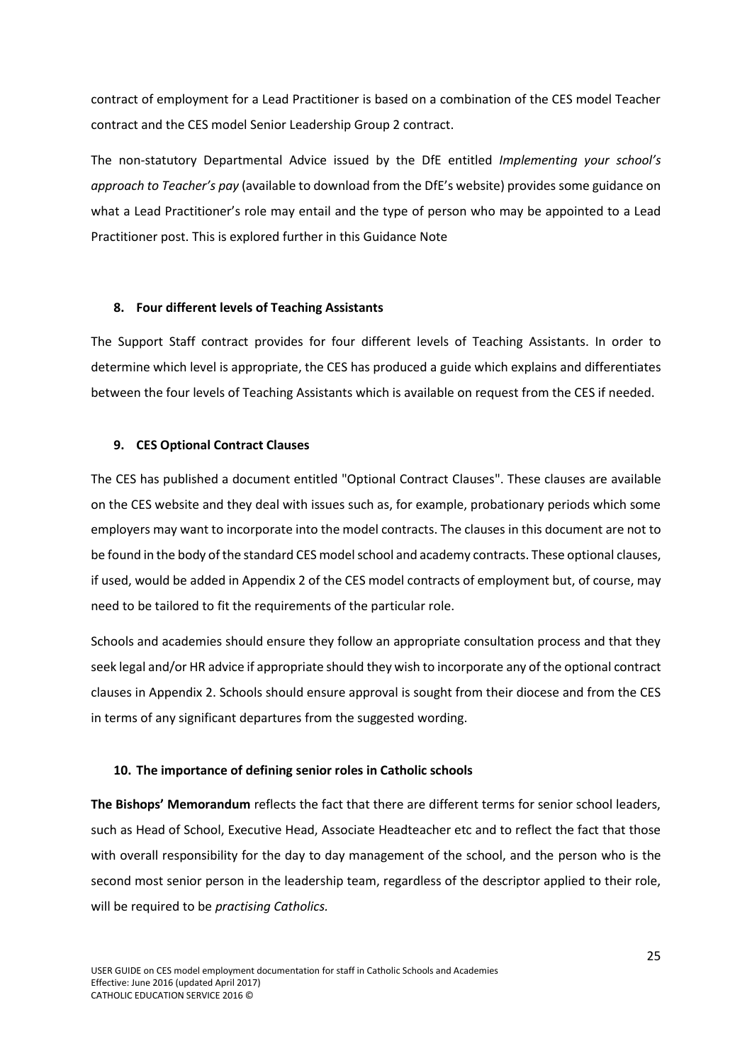contract of employment for a Lead Practitioner is based on a combination of the CES model Teacher contract and the CES model Senior Leadership Group 2 contract.

The non-statutory Departmental Advice issued by the DfE entitled *Implementing your school's approach to Teacher's pay* (available to download from the DfE's website) provides some guidance on what a Lead Practitioner's role may entail and the type of person who may be appointed to a Lead Practitioner post. This is explored further in this Guidance Note

#### <span id="page-26-0"></span>**8. Four different levels of Teaching Assistants**

The Support Staff contract provides for four different levels of Teaching Assistants. In order to determine which level is appropriate, the CES has produced a guide which explains and differentiates between the four levels of Teaching Assistants which is available on request from the CES if needed.

#### <span id="page-26-1"></span>**9. CES Optional Contract Clauses**

The CES has published a document entitled "Optional Contract Clauses". These clauses are available on the CES website and they deal with issues such as, for example, probationary periods which some employers may want to incorporate into the model contracts. The clauses in this document are not to be found in the body of the standard CES model school and academy contracts. These optional clauses, if used, would be added in Appendix 2 of the CES model contracts of employment but, of course, may need to be tailored to fit the requirements of the particular role.

Schools and academies should ensure they follow an appropriate consultation process and that they seek legal and/or HR advice if appropriate should they wish to incorporate any of the optional contract clauses in Appendix 2. Schools should ensure approval is sought from their diocese and from the CES in terms of any significant departures from the suggested wording.

#### <span id="page-26-2"></span>**10. The importance of defining senior roles in Catholic schools**

**The Bishops' Memorandum** reflects the fact that there are different terms for senior school leaders, such as Head of School, Executive Head, Associate Headteacher etc and to reflect the fact that those with overall responsibility for the day to day management of the school, and the person who is the second most senior person in the leadership team, regardless of the descriptor applied to their role, will be required to be *practising Catholics.*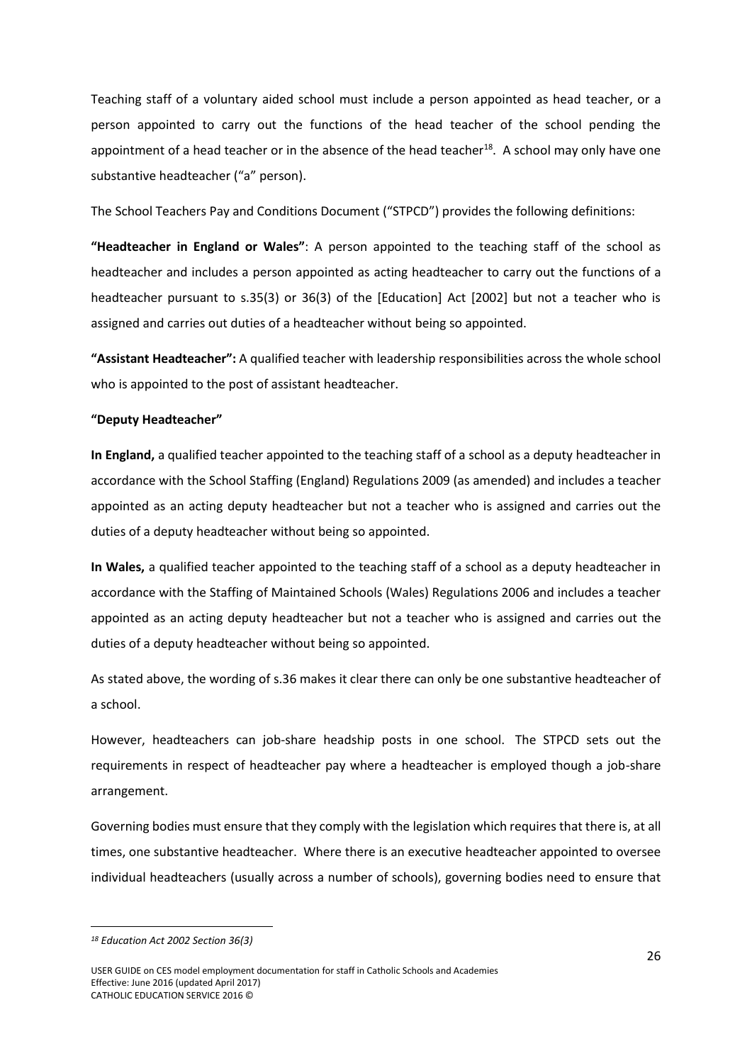Teaching staff of a voluntary aided school must include a person appointed as head teacher, or a person appointed to carry out the functions of the head teacher of the school pending the appointment of a head teacher or in the absence of the head teacher<sup>18</sup>. A school may only have one substantive headteacher ("a" person).

The School Teachers Pay and Conditions Document ("STPCD") provides the following definitions:

**"Headteacher in England or Wales"**: A person appointed to the teaching staff of the school as headteacher and includes a person appointed as acting headteacher to carry out the functions of a headteacher pursuant to s.35(3) or 36(3) of the [Education] Act [2002] but not a teacher who is assigned and carries out duties of a headteacher without being so appointed.

**"Assistant Headteacher":** A qualified teacher with leadership responsibilities across the whole school who is appointed to the post of assistant headteacher.

#### **"Deputy Headteacher"**

**In England,** a qualified teacher appointed to the teaching staff of a school as a deputy headteacher in accordance with the School Staffing (England) Regulations 2009 (as amended) and includes a teacher appointed as an acting deputy headteacher but not a teacher who is assigned and carries out the duties of a deputy headteacher without being so appointed.

**In Wales,** a qualified teacher appointed to the teaching staff of a school as a deputy headteacher in accordance with the Staffing of Maintained Schools (Wales) Regulations 2006 and includes a teacher appointed as an acting deputy headteacher but not a teacher who is assigned and carries out the duties of a deputy headteacher without being so appointed.

As stated above, the wording of s.36 makes it clear there can only be one substantive headteacher of a school.

However, headteachers can job-share headship posts in one school. The STPCD sets out the requirements in respect of headteacher pay where a headteacher is employed though a job-share arrangement.

Governing bodies must ensure that they comply with the legislation which requires that there is, at all times, one substantive headteacher. Where there is an executive headteacher appointed to oversee individual headteachers (usually across a number of schools), governing bodies need to ensure that

*<sup>18</sup> Education Act 2002 Section 36(3)* 

USER GUIDE on CES model employment documentation for staff in Catholic Schools and Academies Effective: June 2016 (updated April 2017) CATHOLIC EDUCATION SERVICE 2016 ©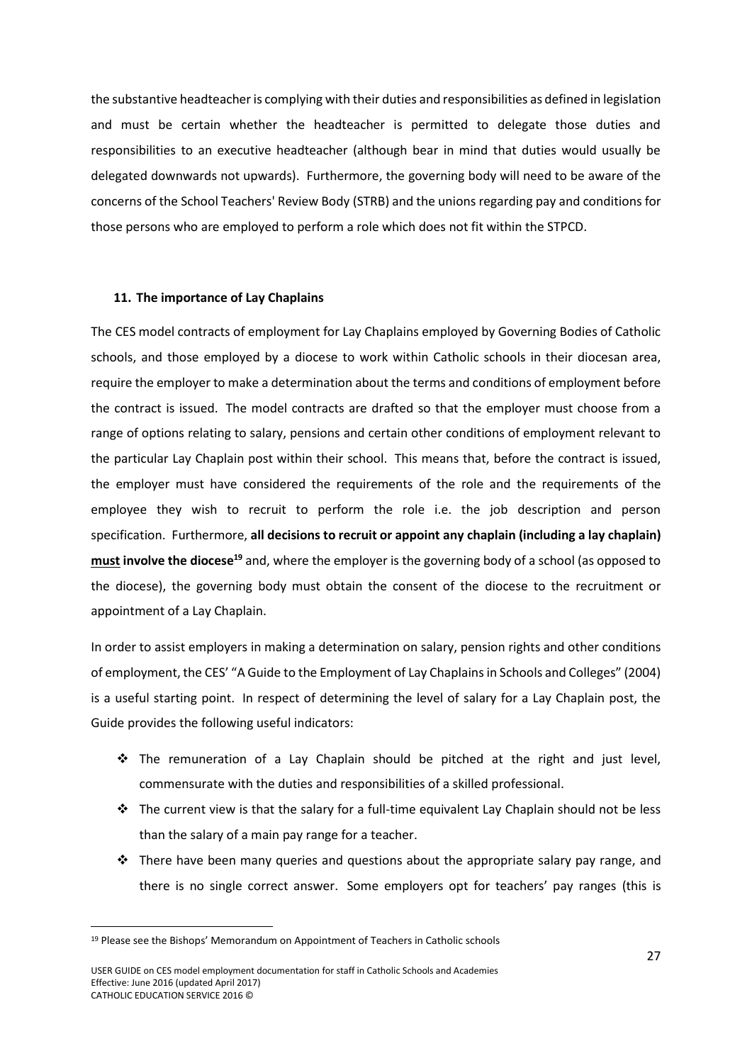the substantive headteacher is complying with their duties and responsibilities as defined in legislation and must be certain whether the headteacher is permitted to delegate those duties and responsibilities to an executive headteacher (although bear in mind that duties would usually be delegated downwards not upwards). Furthermore, the governing body will need to be aware of the concerns of th[e School Teachers' Review Body \(](https://www.gov.uk/government/collections/school-teachers-review-body-strb-reports)STRB) and the unions regarding pay and conditions for those persons who are employed to perform a role which does not fit within the STPCD.

#### <span id="page-28-0"></span>**11. The importance of Lay Chaplains**

The CES model contracts of employment for Lay Chaplains employed by Governing Bodies of Catholic schools, and those employed by a diocese to work within Catholic schools in their diocesan area, require the employer to make a determination about the terms and conditions of employment before the contract is issued. The model contracts are drafted so that the employer must choose from a range of options relating to salary, pensions and certain other conditions of employment relevant to the particular Lay Chaplain post within their school. This means that, before the contract is issued, the employer must have considered the requirements of the role and the requirements of the employee they wish to recruit to perform the role i.e. the job description and person specification. Furthermore, **all decisions to recruit or appoint any chaplain (including a lay chaplain) must involve the diocese<sup>19</sup>** and, where the employer is the governing body of a school (as opposed to the diocese), the governing body must obtain the consent of the diocese to the recruitment or appointment of a Lay Chaplain.

In order to assist employers in making a determination on salary, pension rights and other conditions of employment, the CES' "A Guide to the Employment of Lay Chaplains in Schools and Colleges" (2004) is a useful starting point. In respect of determining the level of salary for a Lay Chaplain post, the Guide provides the following useful indicators:

- $\div$  The remuneration of a Lay Chaplain should be pitched at the right and just level, commensurate with the duties and responsibilities of a skilled professional.
- $\div$  The current view is that the salary for a full-time equivalent Lay Chaplain should not be less than the salary of a main pay range for a teacher.
- $\div$  There have been many queries and questions about the appropriate salary pay range, and there is no single correct answer. Some employers opt for teachers' pay ranges (this is

<sup>19</sup> Please see the Bishops' Memorandum on Appointment of Teachers in Catholic schools

USER GUIDE on CES model employment documentation for staff in Catholic Schools and Academies Effective: June 2016 (updated April 2017) CATHOLIC EDUCATION SERVICE 2016 ©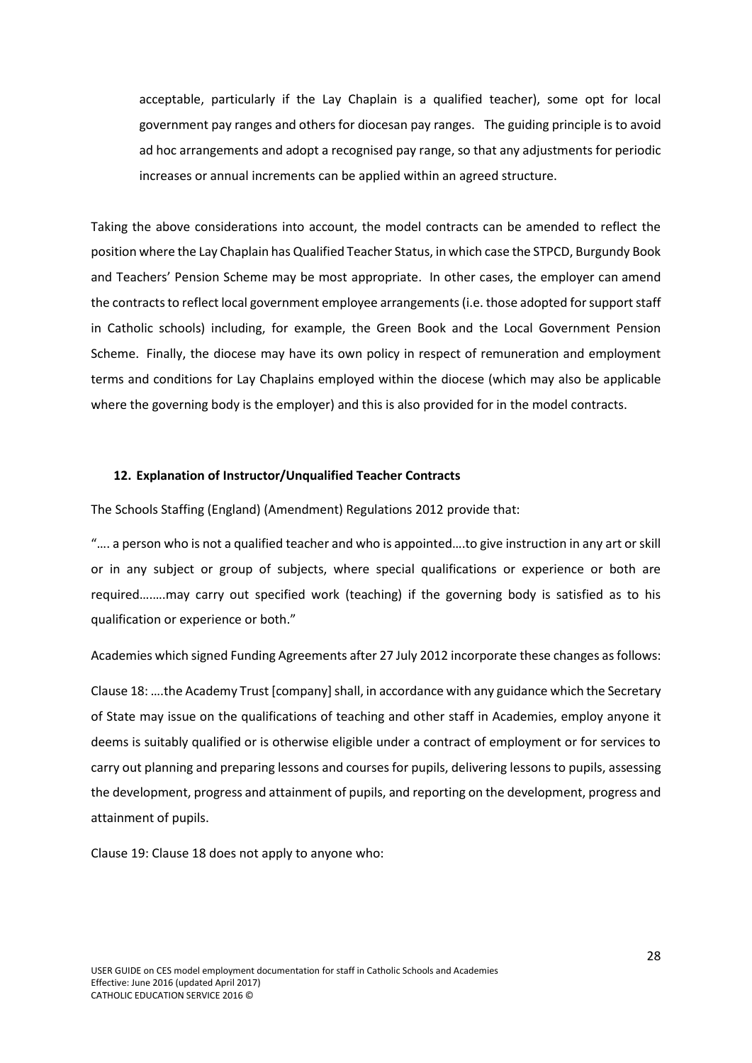acceptable, particularly if the Lay Chaplain is a qualified teacher), some opt for local government pay ranges and others for diocesan pay ranges. The guiding principle is to avoid ad hoc arrangements and adopt a recognised pay range, so that any adjustments for periodic increases or annual increments can be applied within an agreed structure.

Taking the above considerations into account, the model contracts can be amended to reflect the position where the Lay Chaplain has Qualified Teacher Status, in which case the STPCD, Burgundy Book and Teachers' Pension Scheme may be most appropriate. In other cases, the employer can amend the contracts to reflect local government employee arrangements (i.e. those adopted for support staff in Catholic schools) including, for example, the Green Book and the Local Government Pension Scheme. Finally, the diocese may have its own policy in respect of remuneration and employment terms and conditions for Lay Chaplains employed within the diocese (which may also be applicable where the governing body is the employer) and this is also provided for in the model contracts.

#### <span id="page-29-0"></span>**12. Explanation of Instructor/Unqualified Teacher Contracts**

The Schools Staffing (England) (Amendment) Regulations 2012 provide that:

"…. a person who is not a qualified teacher and who is appointed….to give instruction in any art or skill or in any subject or group of subjects, where special qualifications or experience or both are required….….may carry out specified work (teaching) if the governing body is satisfied as to his qualification or experience or both."

Academies which signed Funding Agreements after 27 July 2012 incorporate these changes as follows:

Clause 18: ….the Academy Trust [company]shall, in accordance with any guidance which the Secretary of State may issue on the qualifications of teaching and other staff in Academies, employ anyone it deems is suitably qualified or is otherwise eligible under a contract of employment or for services to carry out planning and preparing lessons and courses for pupils, delivering lessons to pupils, assessing the development, progress and attainment of pupils, and reporting on the development, progress and attainment of pupils.

Clause 19: Clause 18 does not apply to anyone who: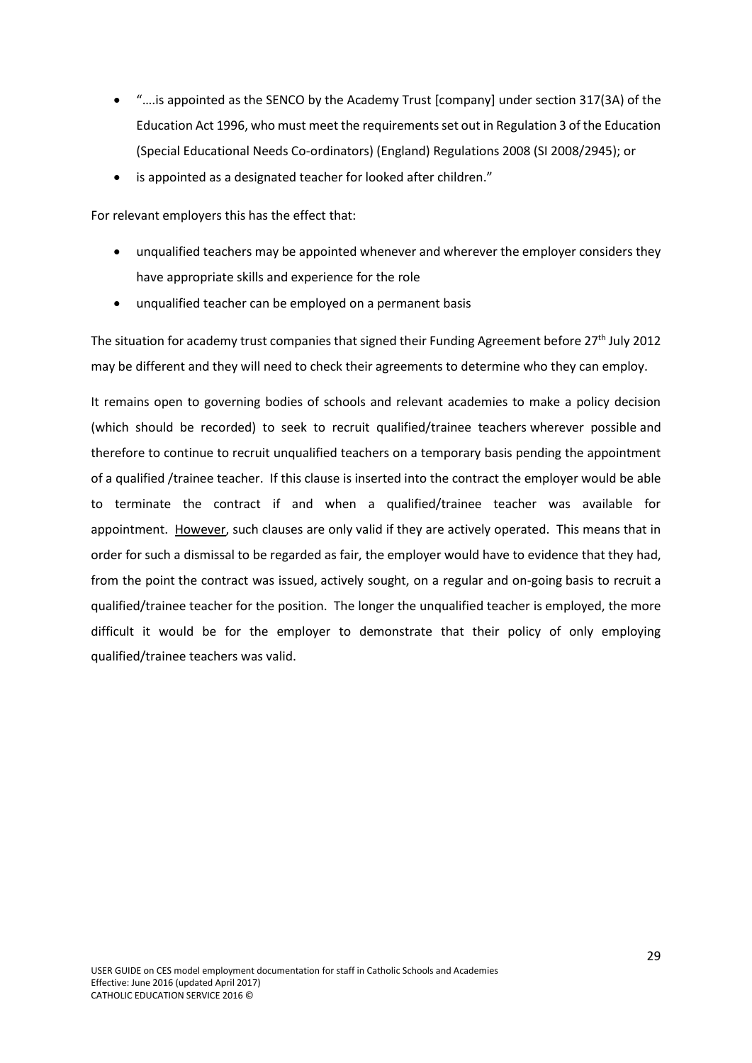- "….is appointed as the SENCO by the Academy Trust [company] under section 317(3A) of the Education Act 1996, who must meet the requirements set out in Regulation 3 of the Education (Special Educational Needs Co-ordinators) (England) Regulations 2008 (SI 2008/2945); or
- is appointed as a designated teacher for looked after children."

For relevant employers this has the effect that:

- unqualified teachers may be appointed whenever and wherever the employer considers they have appropriate skills and experience for the role
- unqualified teacher can be employed on a permanent basis

The situation for academy trust companies that signed their Funding Agreement before 27<sup>th</sup> July 2012 may be different and they will need to check their agreements to determine who they can employ.

It remains open to governing bodies of schools and relevant academies to make a policy decision (which should be recorded) to seek to recruit qualified/trainee teachers wherever possible and therefore to continue to recruit unqualified teachers on a temporary basis pending the appointment of a qualified /trainee teacher. If this clause is inserted into the contract the employer would be able to terminate the contract if and when a qualified/trainee teacher was available for appointment. However, such clauses are only valid if they are actively operated. This means that in order for such a dismissal to be regarded as fair, the employer would have to evidence that they had, from the point the contract was issued, actively sought, on a regular and on-going basis to recruit a qualified/trainee teacher for the position. The longer the unqualified teacher is employed, the more difficult it would be for the employer to demonstrate that their policy of only employing qualified/trainee teachers was valid.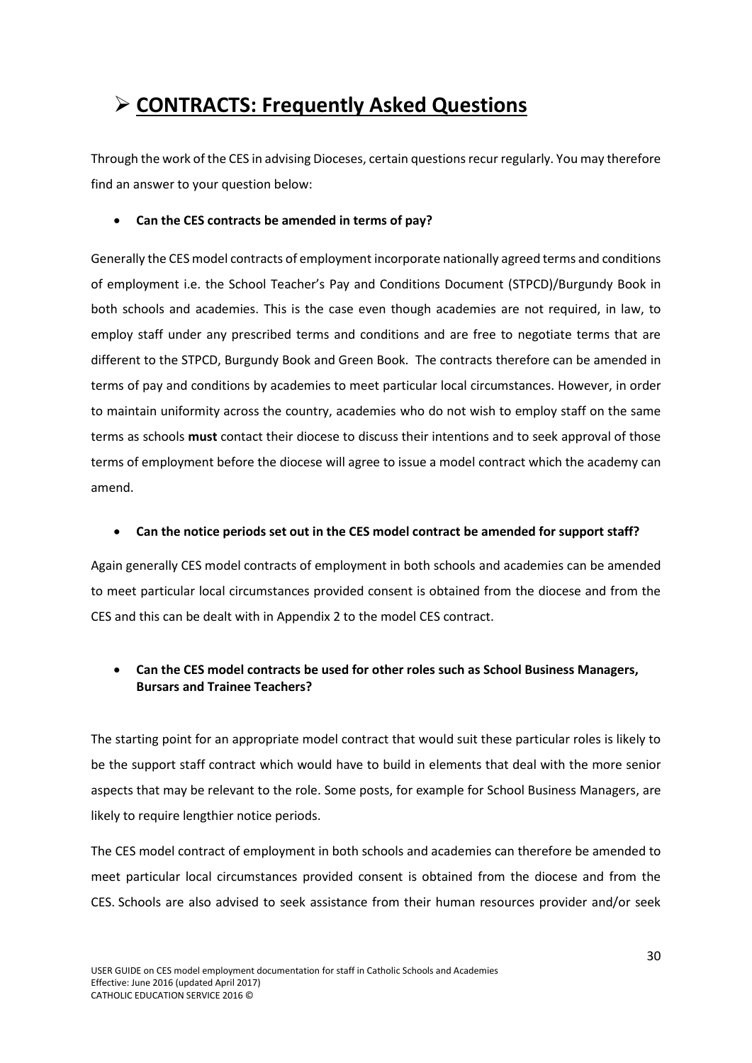# <span id="page-31-0"></span>**CONTRACTS: Frequently Asked Questions**

Through the work of the CES in advising Dioceses, certain questions recur regularly. You may therefore find an answer to your question below:

### **Can the CES contracts be amended in terms of pay?**

Generally the CES model contracts of employment incorporate nationally agreed terms and conditions of employment i.e. the School Teacher's Pay and Conditions Document (STPCD)/Burgundy Book in both schools and academies. This is the case even though academies are not required, in law, to employ staff under any prescribed terms and conditions and are free to negotiate terms that are different to the STPCD, Burgundy Book and Green Book. The contracts therefore can be amended in terms of pay and conditions by academies to meet particular local circumstances. However, in order to maintain uniformity across the country, academies who do not wish to employ staff on the same terms as schools **must** contact their diocese to discuss their intentions and to seek approval of those terms of employment before the diocese will agree to issue a model contract which the academy can amend.

### **Can the notice periods set out in the CES model contract be amended for support staff?**

Again generally CES model contracts of employment in both schools and academies can be amended to meet particular local circumstances provided consent is obtained from the diocese and from the CES and this can be dealt with in Appendix 2 to the model CES contract.

# **Can the CES model contracts be used for other roles such as School Business Managers, Bursars and Trainee Teachers?**

The starting point for an appropriate model contract that would suit these particular roles is likely to be the support staff contract which would have to build in elements that deal with the more senior aspects that may be relevant to the role. Some posts, for example for School Business Managers, are likely to require lengthier notice periods.

The CES model contract of employment in both schools and academies can therefore be amended to meet particular local circumstances provided consent is obtained from the diocese and from the CES. Schools are also advised to seek assistance from their human resources provider and/or seek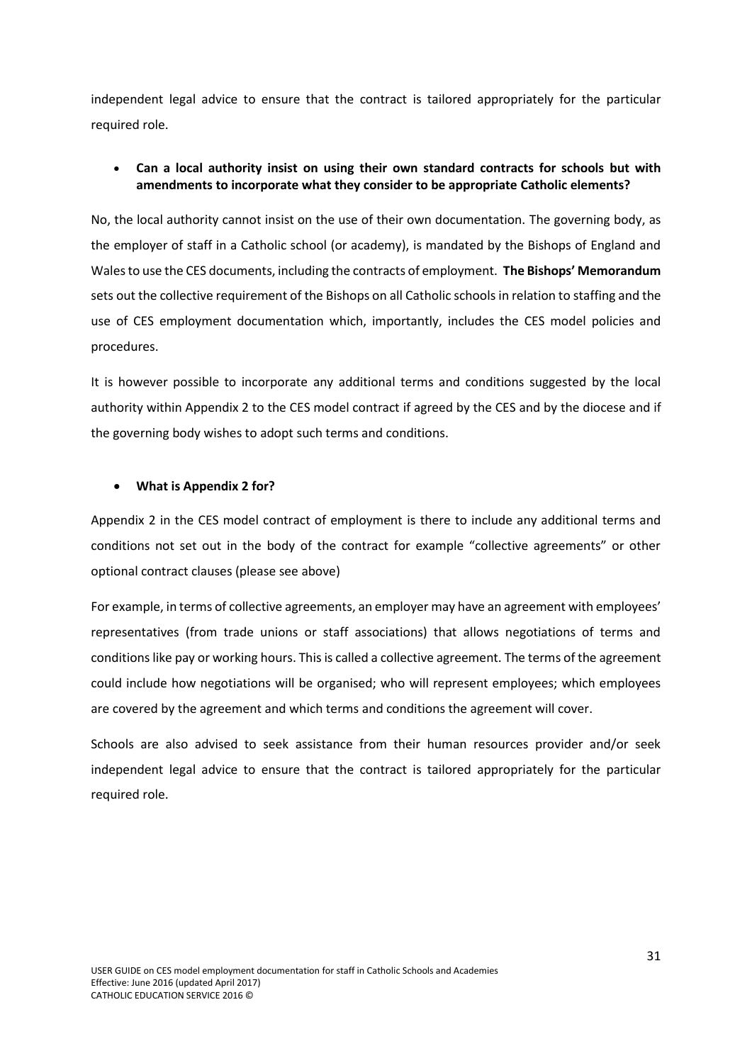independent legal advice to ensure that the contract is tailored appropriately for the particular required role.

# **Can a local authority insist on using their own standard contracts for schools but with amendments to incorporate what they consider to be appropriate Catholic elements?**

No, the local authority cannot insist on the use of their own documentation. The governing body, as the employer of staff in a Catholic school (or academy), is mandated by the Bishops of England and Wales to use the CES documents, including the contracts of employment. **The Bishops' Memorandum** sets out the collective requirement of the Bishops on all Catholic schools in relation to staffing and the use of CES employment documentation which, importantly, includes the CES model policies and procedures.

It is however possible to incorporate any additional terms and conditions suggested by the local authority within Appendix 2 to the CES model contract if agreed by the CES and by the diocese and if the governing body wishes to adopt such terms and conditions.

#### **What is Appendix 2 for?**

Appendix 2 in the CES model contract of employment is there to include any additional terms and conditions not set out in the body of the contract for example "collective agreements" or other optional contract clauses (please see above)

For example, in terms of collective agreements, an employer may have an agreement with employees' representatives (from trade unions or staff associations) that allows negotiations of terms and conditions like pay or working hours. This is called a collective agreement. The terms of the agreement could include how negotiations will be organised; who will represent employees; which employees are covered by the agreement and which terms and conditions the agreement will cover.

Schools are also advised to seek assistance from their human resources provider and/or seek independent legal advice to ensure that the contract is tailored appropriately for the particular required role.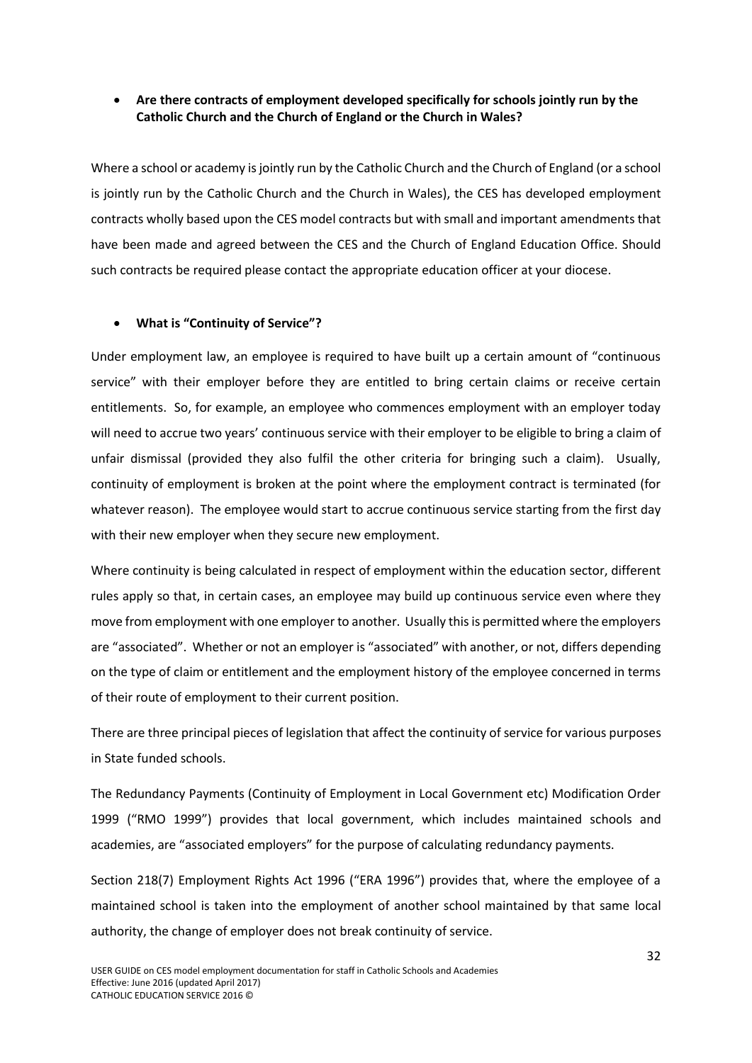# **Are there contracts of employment developed specifically for schools jointly run by the Catholic Church and the Church of England or the Church in Wales?**

Where a school or academy is jointly run by the Catholic Church and the Church of England (or a school is jointly run by the Catholic Church and the Church in Wales), the CES has developed employment contracts wholly based upon the CES model contracts but with small and important amendments that have been made and agreed between the CES and the Church of England Education Office. Should such contracts be required please contact the appropriate education officer at your diocese.

### **What is "Continuity of Service"?**

Under employment law, an employee is required to have built up a certain amount of "continuous service" with their employer before they are entitled to bring certain claims or receive certain entitlements. So, for example, an employee who commences employment with an employer today will need to accrue two years' continuous service with their employer to be eligible to bring a claim of unfair dismissal (provided they also fulfil the other criteria for bringing such a claim). Usually, continuity of employment is broken at the point where the employment contract is terminated (for whatever reason). The employee would start to accrue continuous service starting from the first day with their new employer when they secure new employment.

Where continuity is being calculated in respect of employment within the education sector, different rules apply so that, in certain cases, an employee may build up continuous service even where they move from employment with one employer to another. Usually this is permitted where the employers are "associated". Whether or not an employer is "associated" with another, or not, differs depending on the type of claim or entitlement and the employment history of the employee concerned in terms of their route of employment to their current position.

There are three principal pieces of legislation that affect the continuity of service for various purposes in State funded schools.

The Redundancy Payments (Continuity of Employment in Local Government etc) Modification Order 1999 ("RMO 1999") provides that local government, which includes maintained schools and academies, are "associated employers" for the purpose of calculating redundancy payments.

Section 218(7) Employment Rights Act 1996 ("ERA 1996") provides that, where the employee of a maintained school is taken into the employment of another school maintained by that same local authority, the change of employer does not break continuity of service.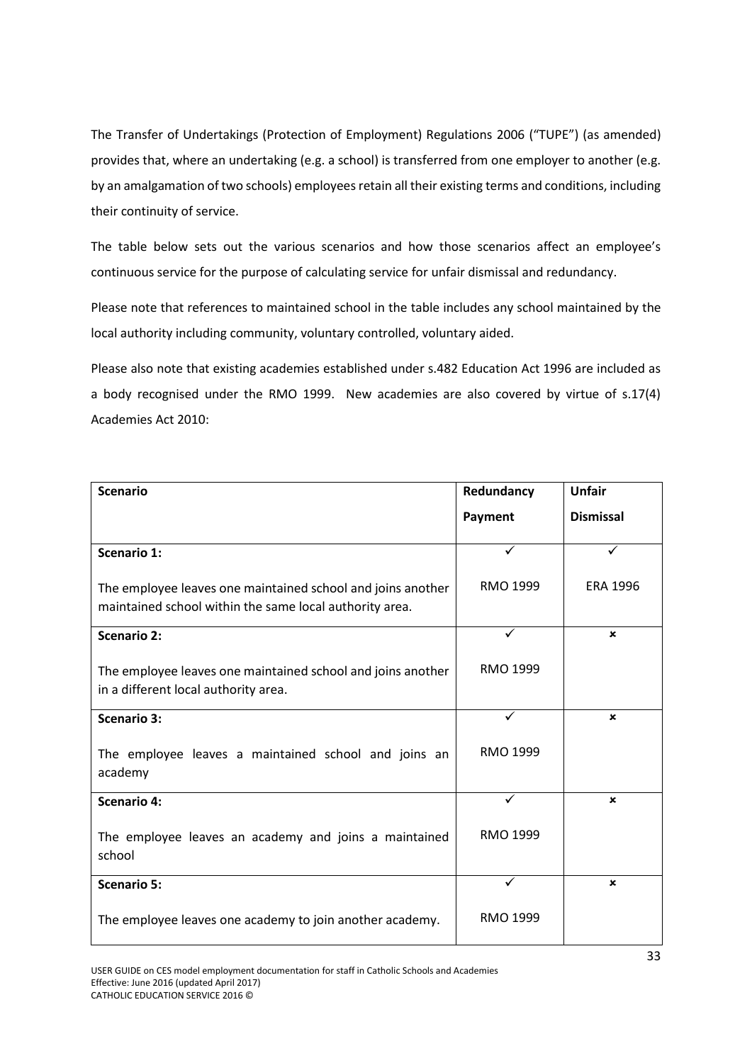The Transfer of Undertakings (Protection of Employment) Regulations 2006 ("TUPE") (as amended) provides that, where an undertaking (e.g. a school) is transferred from one employer to another (e.g. by an amalgamation of two schools) employees retain all their existing terms and conditions, including their continuity of service.

The table below sets out the various scenarios and how those scenarios affect an employee's continuous service for the purpose of calculating service for unfair dismissal and redundancy.

Please note that references to maintained school in the table includes any school maintained by the local authority including community, voluntary controlled, voluntary aided.

Please also note that existing academies established under s.482 Education Act 1996 are included as a body recognised under the RMO 1999. New academies are also covered by virtue of s.17(4) Academies Act 2010:

| <b>Scenario</b>                                                                                                        | Redundancy   | <b>Unfair</b>             |
|------------------------------------------------------------------------------------------------------------------------|--------------|---------------------------|
|                                                                                                                        | Payment      | <b>Dismissal</b>          |
| <b>Scenario 1:</b>                                                                                                     | ✓            |                           |
| The employee leaves one maintained school and joins another<br>maintained school within the same local authority area. | RMO 1999     | <b>ERA 1996</b>           |
| <b>Scenario 2:</b>                                                                                                     | $\checkmark$ | $\mathbf x$               |
| The employee leaves one maintained school and joins another<br>in a different local authority area.                    | RMO 1999     |                           |
| <b>Scenario 3:</b>                                                                                                     | ✓            | $\boldsymbol{\mathsf{x}}$ |
| The employee leaves a maintained school and joins an<br>academy                                                        | RMO 1999     |                           |
| <b>Scenario 4:</b>                                                                                                     | $\checkmark$ | ×                         |
| The employee leaves an academy and joins a maintained<br>school                                                        | RMO 1999     |                           |
| <b>Scenario 5:</b>                                                                                                     |              | ×                         |
| The employee leaves one academy to join another academy.                                                               | RMO 1999     |                           |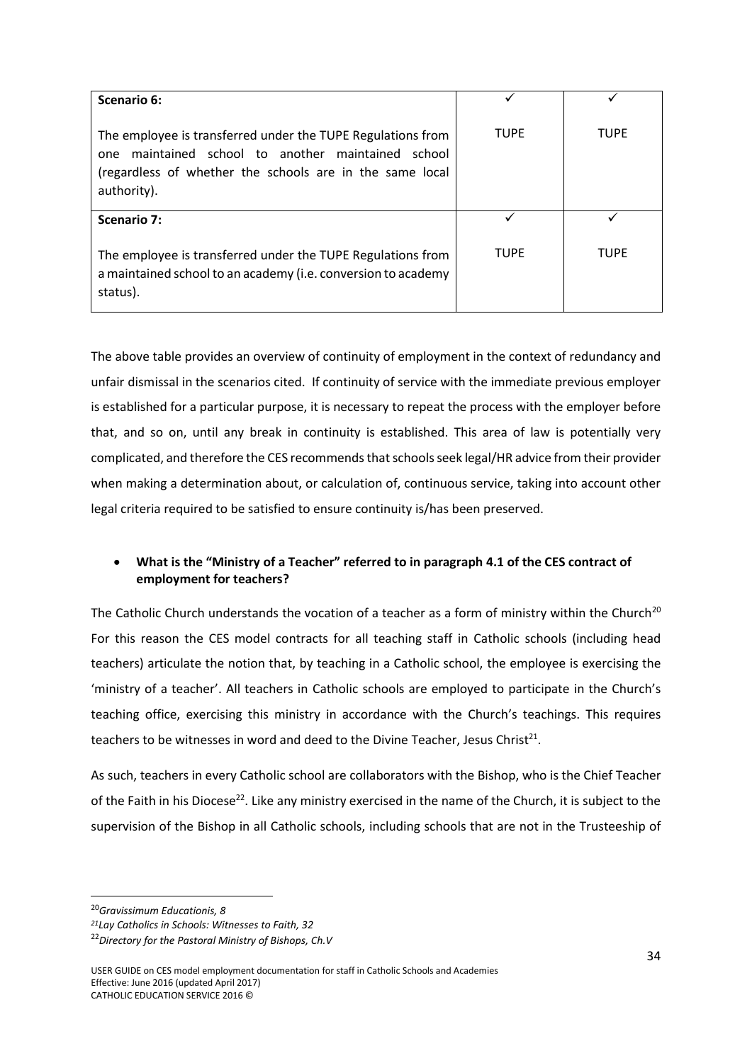| Scenario 6:                                                                                                                                                                                     |             |             |
|-------------------------------------------------------------------------------------------------------------------------------------------------------------------------------------------------|-------------|-------------|
| The employee is transferred under the TUPE Regulations from<br>maintained school to another maintained school<br>one<br>(regardless of whether the schools are in the same local<br>authority). | <b>TUPF</b> | <b>TUPE</b> |
| Scenario 7:                                                                                                                                                                                     |             |             |
| The employee is transferred under the TUPE Regulations from<br>a maintained school to an academy (i.e. conversion to academy<br>status).                                                        | <b>TUPF</b> | <b>TUPF</b> |

The above table provides an overview of continuity of employment in the context of redundancy and unfair dismissal in the scenarios cited. If continuity of service with the immediate previous employer is established for a particular purpose, it is necessary to repeat the process with the employer before that, and so on, until any break in continuity is established. This area of law is potentially very complicated, and therefore the CES recommends that schoolsseek legal/HR advice from their provider when making a determination about, or calculation of, continuous service, taking into account other legal criteria required to be satisfied to ensure continuity is/has been preserved.

# **What is the "Ministry of a Teacher" referred to in paragraph 4.1 of the CES contract of employment for teachers?**

The Catholic Church understands the vocation of a teacher as a form of ministry within the Church<sup>20</sup> For this reason the CES model contracts for all teaching staff in Catholic schools (including head teachers) articulate the notion that, by teaching in a Catholic school, the employee is exercising the 'ministry of a teacher'. All teachers in Catholic schools are employed to participate in the Church's teaching office, exercising this ministry in accordance with the Church's teachings. This requires teachers to be witnesses in word and deed to the Divine Teacher, Jesus Christ<sup>21</sup>.

As such, teachers in every Catholic school are collaborators with the Bishop, who is the Chief Teacher of the Faith in his Diocese<sup>22</sup>. Like any ministry exercised in the name of the Church, it is subject to the supervision of the Bishop in all Catholic schools, including schools that are not in the Trusteeship of

<sup>20</sup>*Gravissimum Educationis, 8*

*<sup>21</sup>Lay Catholics in Schools: Witnesses to Faith, 32*

<sup>22</sup>*Directory for the Pastoral Ministry of Bishops, Ch.V*

USER GUIDE on CES model employment documentation for staff in Catholic Schools and Academies Effective: June 2016 (updated April 2017) CATHOLIC EDUCATION SERVICE 2016 ©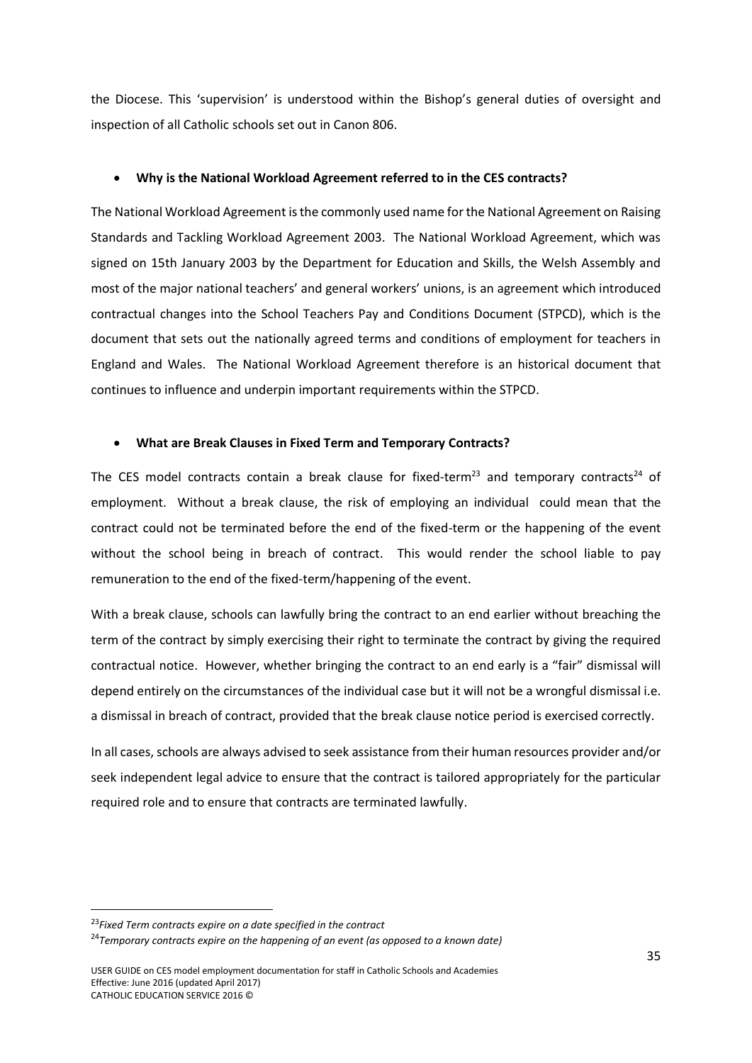the Diocese. This 'supervision' is understood within the Bishop's general duties of oversight and inspection of all Catholic schools set out in Canon 806.

#### **Why is the National Workload Agreement referred to in the CES contracts?**

The National Workload Agreement is the commonly used name for the National Agreement on Raising Standards and Tackling Workload Agreement 2003. The National Workload Agreement, which was signed on 15th January 2003 by the Department for Education and Skills, the Welsh Assembly and most of the major national teachers' and general workers' unions, is an agreement which introduced contractual changes into the School Teachers Pay and Conditions Document (STPCD), which is the document that sets out the nationally agreed terms and conditions of employment for teachers in England and Wales. The National Workload Agreement therefore is an historical document that continues to influence and underpin important requirements within the STPCD.

#### **What are Break Clauses in Fixed Term and Temporary Contracts?**

The CES model contracts contain a break clause for fixed-term<sup>23</sup> and temporary contracts<sup>24</sup> of employment. Without a break clause, the risk of employing an individual could mean that the contract could not be terminated before the end of the fixed-term or the happening of the event without the school being in breach of contract. This would render the school liable to pay remuneration to the end of the fixed-term/happening of the event.

With a break clause, schools can lawfully bring the contract to an end earlier without breaching the term of the contract by simply exercising their right to terminate the contract by giving the required contractual notice. However, whether bringing the contract to an end early is a "fair" dismissal will depend entirely on the circumstances of the individual case but it will not be a wrongful dismissal i.e. a dismissal in breach of contract, provided that the break clause notice period is exercised correctly.

In all cases, schools are always advised to seek assistance from their human resources provider and/or seek independent legal advice to ensure that the contract is tailored appropriately for the particular required role and to ensure that contracts are terminated lawfully.

<sup>23</sup>*Fixed Term contracts expire on a date specified in the contract*

<sup>24</sup>*Temporary contracts expire on the happening of an event (as opposed to a known date)*

USER GUIDE on CES model employment documentation for staff in Catholic Schools and Academies Effective: June 2016 (updated April 2017) CATHOLIC EDUCATION SERVICE 2016 ©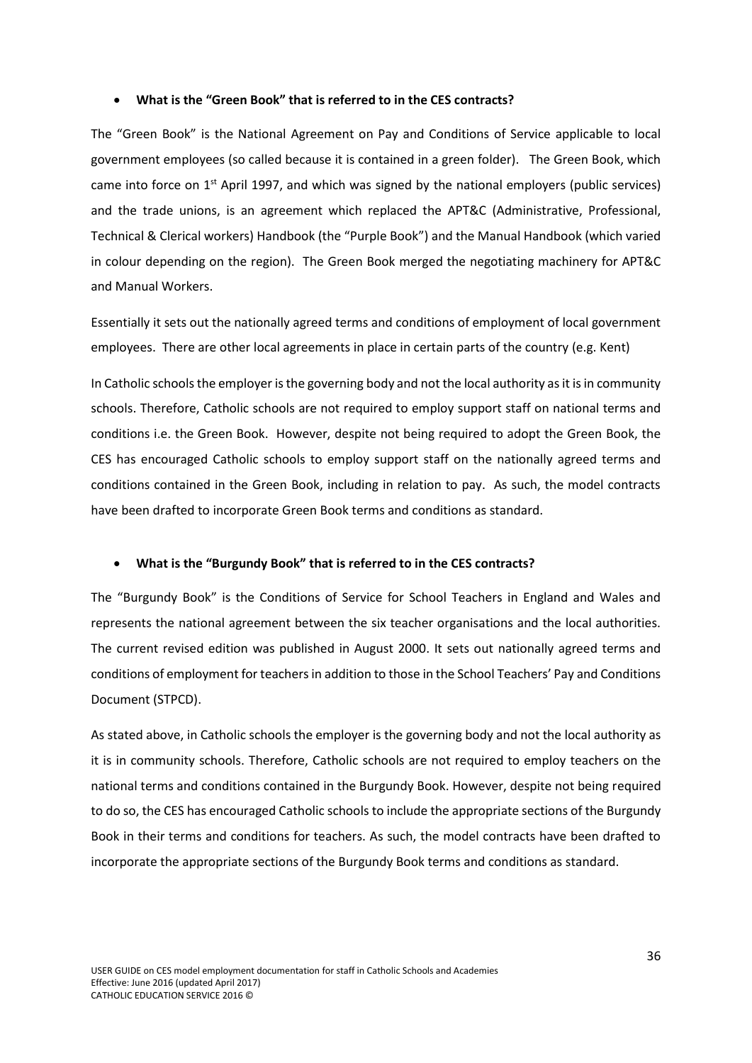#### **What is the "Green Book" that is referred to in the CES contracts?**

The "Green Book" is the National Agreement on Pay and Conditions of Service applicable to local government employees (so called because it is contained in a green folder). The Green Book, which came into force on  $1<sup>st</sup>$  April 1997, and which was signed by the national employers (public services) and the trade unions, is an agreement which replaced the APT&C (Administrative, Professional, Technical & Clerical workers) Handbook (the "Purple Book") and the Manual Handbook (which varied in colour depending on the region). The Green Book merged the negotiating machinery for APT&C and Manual Workers.

Essentially it sets out the nationally agreed terms and conditions of employment of local government employees. There are other local agreements in place in certain parts of the country (e.g. Kent)

In Catholic schools the employer is the governing body and not the local authority as it is in community schools. Therefore, Catholic schools are not required to employ support staff on national terms and conditions i.e. the Green Book. However, despite not being required to adopt the Green Book, the CES has encouraged Catholic schools to employ support staff on the nationally agreed terms and conditions contained in the Green Book, including in relation to pay. As such, the model contracts have been drafted to incorporate Green Book terms and conditions as standard.

#### **What is the "Burgundy Book" that is referred to in the CES contracts?**

The "Burgundy Book" is the Conditions of Service for School Teachers in England and Wales and represents the national agreement between the six teacher organisations and the local authorities. The current revised edition was published in August 2000. It sets out nationally agreed terms and conditions of employment for teachers in addition to those in the School Teachers' Pay and Conditions Document (STPCD).

As stated above, in Catholic schools the employer is the governing body and not the local authority as it is in community schools. Therefore, Catholic schools are not required to employ teachers on the national terms and conditions contained in the Burgundy Book. However, despite not being required to do so, the CES has encouraged Catholic schools to include the appropriate sections of the Burgundy Book in their terms and conditions for teachers. As such, the model contracts have been drafted to incorporate the appropriate sections of the Burgundy Book terms and conditions as standard.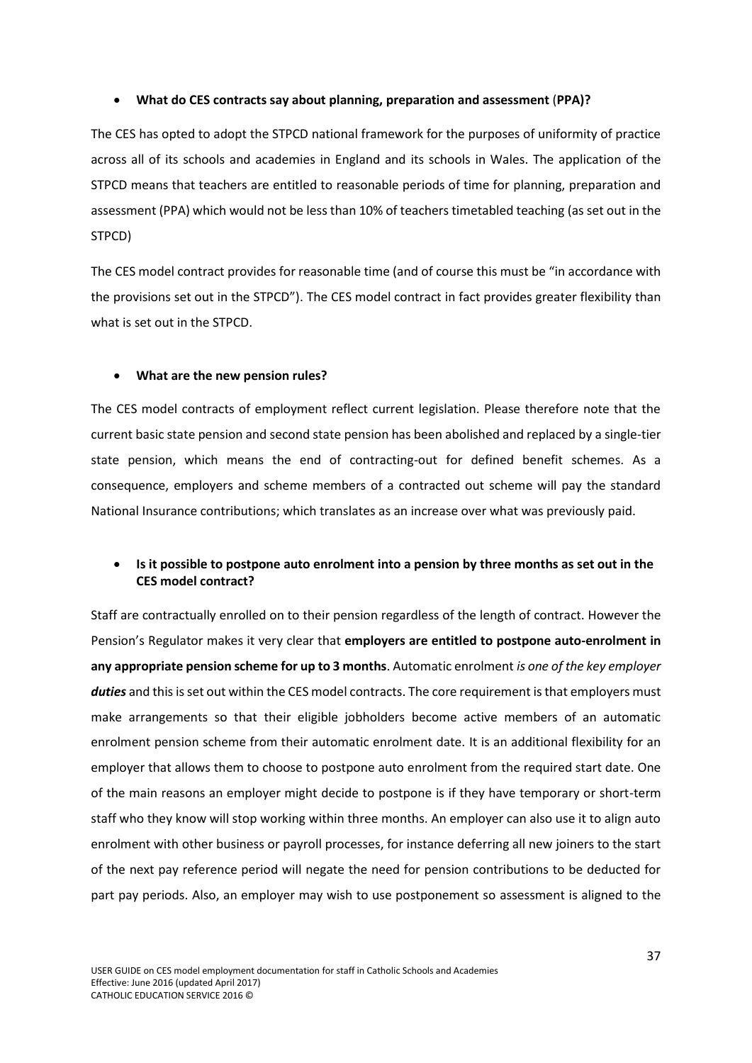#### **What do CES contracts say about planning, preparation and assessment** (**PPA)?**

The CES has opted to adopt the STPCD national framework for the purposes of uniformity of practice across all of its schools and academies in England and its schools in Wales. The application of the STPCD means that teachers are entitled to reasonable periods of time for planning, preparation and assessment (PPA) which would not be less than 10% of teachers timetabled teaching (as set out in the STPCD)

The CES model contract provides for reasonable time (and of course this must be "in accordance with the provisions set out in the STPCD"). The CES model contract in fact provides greater flexibility than what is set out in the STPCD.

#### **What are the new pension rules?**

The CES model contracts of employment reflect current legislation. Please therefore note that the current basic state pension and second state pension has been abolished and replaced by a single-tier state pension, which means the end of contracting-out for defined benefit schemes. As a consequence, employers and scheme members of a contracted out scheme will pay the standard National Insurance contributions; which translates as an increase over what was previously paid.

### **Is it possible to postpone auto enrolment into a pension by three months as set out in the CES model contract?**

Staff are contractually enrolled on to their pension regardless of the length of contract. However the Pension's Regulator makes it very clear that **employers are entitled to postpone auto-enrolment in any appropriate pension scheme for up to 3 months**. Automatic enrolment *is one of the key employer* duties and this is set out within the CES model contracts. The core requirement is that employers must make arrangements so that their eligible jobholders become active members of an automatic enrolment pension scheme from their automatic enrolment date. It is an additional flexibility for an employer that allows them to choose to postpone auto enrolment from the required start date. One of the main reasons an employer might decide to postpone is if they have temporary or short-term staff who they know will stop working within three months. An employer can also use it to align auto enrolment with other business or payroll processes, for instance deferring all new joiners to the start of the next pay reference period will negate the need for pension contributions to be deducted for part pay periods. Also, an employer may wish to use postponement so assessment is aligned to the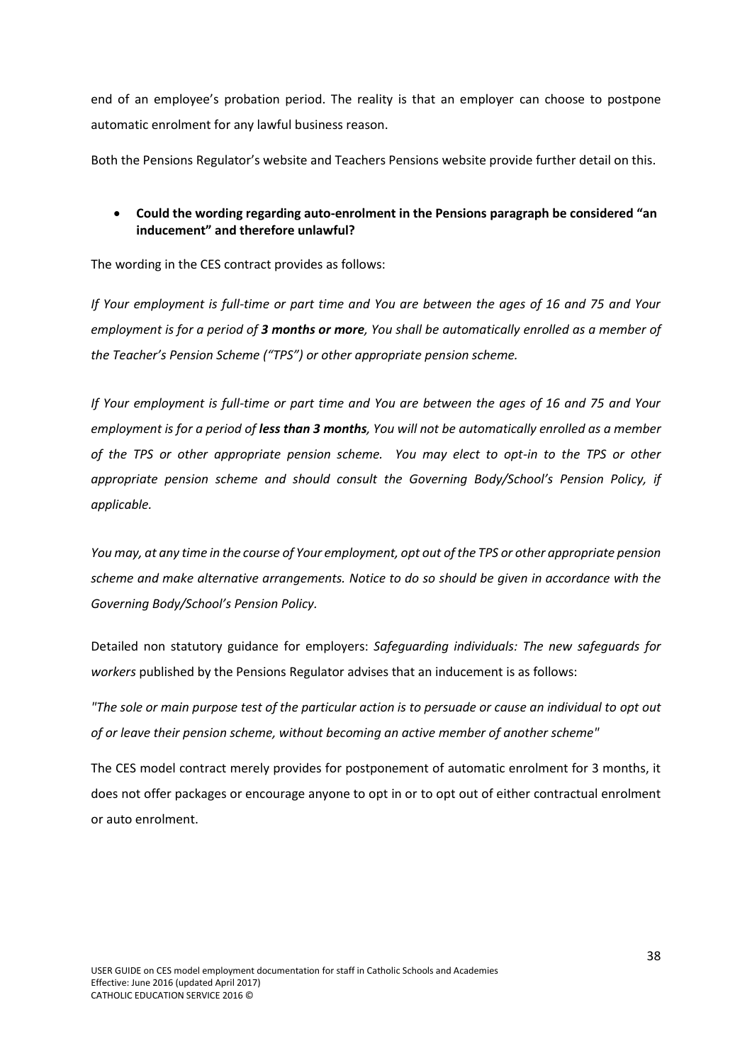end of an employee's probation period. The reality is that an employer can choose to postpone automatic enrolment for any lawful business reason.

Both the Pensions Regulator's website and Teachers Pensions website provide further detail on this.

# **Could the wording regarding auto-enrolment in the Pensions paragraph be considered "an inducement" and therefore unlawful?**

The wording in the CES contract provides as follows:

*If Your employment is full-time or part time and You are between the ages of 16 and 75 and Your employment is for a period of 3 months or more, You shall be automatically enrolled as a member of the Teacher's Pension Scheme ("TPS") or other appropriate pension scheme.* 

*If Your employment is full-time or part time and You are between the ages of 16 and 75 and Your employment is for a period of less than 3 months, You will not be automatically enrolled as a member of the TPS or other appropriate pension scheme. You may elect to opt-in to the TPS or other appropriate pension scheme and should consult the Governing Body/School's Pension Policy, if applicable.* 

*You may, at any time in the course of Your employment, opt out of the TPS or other appropriate pension scheme and make alternative arrangements. Notice to do so should be given in accordance with the Governing Body/School's Pension Policy.*

Detailed non statutory guidance for employers: *Safeguarding individuals: The new safeguards for workers* published by the Pensions Regulator advises that an inducement is as follows:

*"The sole or main purpose test of the particular action is to persuade or cause an individual to opt out of or leave their pension scheme, without becoming an active member of another scheme"*

The CES model contract merely provides for postponement of automatic enrolment for 3 months, it does not offer packages or encourage anyone to opt in or to opt out of either contractual enrolment or auto enrolment.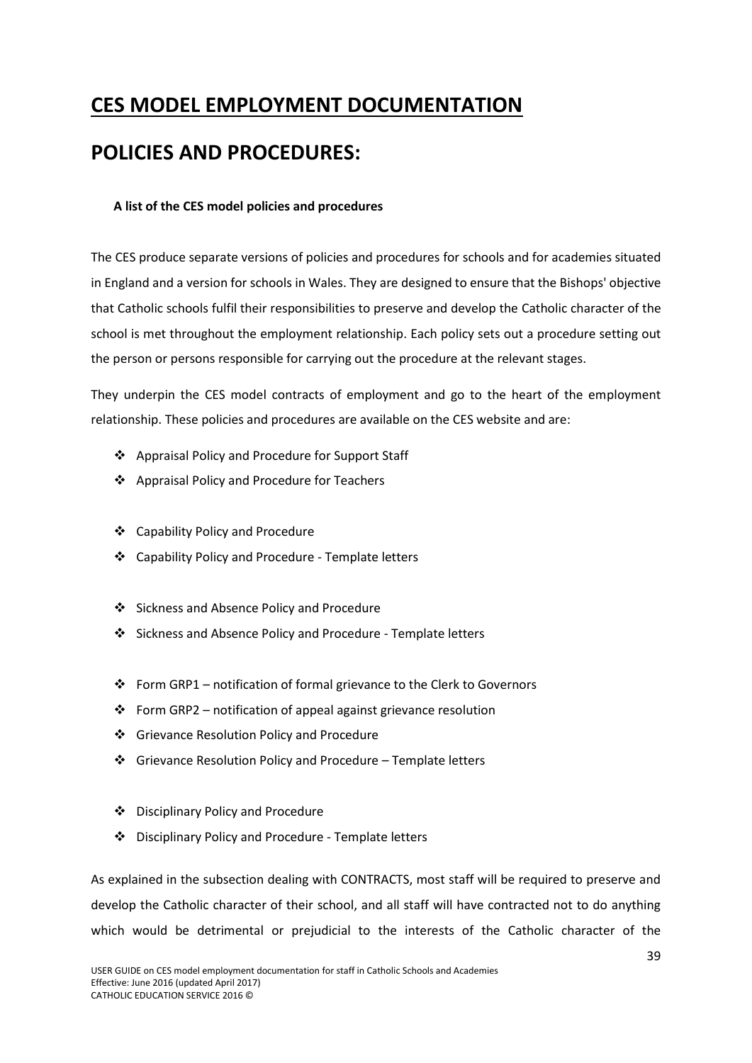# <span id="page-40-0"></span>**CES MODEL EMPLOYMENT DOCUMENTATION POLICIES AND PROCEDURES:**

### <span id="page-40-1"></span>**A list of the CES model policies and procedures**

The CES produce separate versions of policies and procedures for schools and for academies situated in England and a version for schools in Wales. They are designed to ensure that the Bishops' objective that Catholic schools fulfil their responsibilities to preserve and develop the Catholic character of the school is met throughout the employment relationship. Each policy sets out a procedure setting out the person or persons responsible for carrying out the procedure at the relevant stages.

They underpin the CES model contracts of employment and go to the heart of the employment relationship. These policies and procedures are available on the CES website and are:

- Appraisal Policy and Procedure for Support Staff
- ❖ Appraisal Policy and Procedure for Teachers
- Capability Policy and Procedure
- Capability Policy and Procedure Template letters
- Sickness and Absence Policy and Procedure
- Sickness and Absence Policy and Procedure Template letters
- Form GRP1 notification of formal grievance to the Clerk to Governors
- $\cdot \cdot$  Form GRP2 notification of appeal against grievance resolution
- ❖ Grievance Resolution Policy and Procedure
- $\div$  Grievance Resolution Policy and Procedure Template letters
- Disciplinary Policy and Procedure
- Disciplinary Policy and Procedure Template letters

As explained in the subsection dealing with CONTRACTS, most staff will be required to preserve and develop the Catholic character of their school, and all staff will have contracted not to do anything which would be detrimental or prejudicial to the interests of the Catholic character of the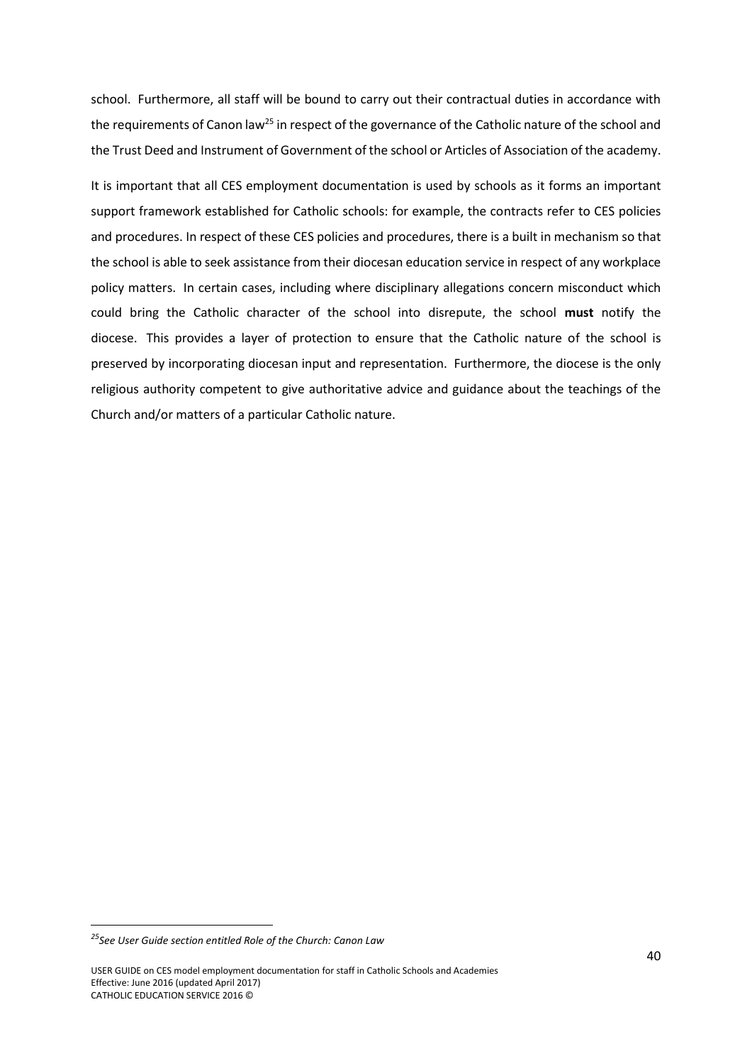school. Furthermore, all staff will be bound to carry out their contractual duties in accordance with the requirements of Canon law<sup>25</sup> in respect of the governance of the Catholic nature of the school and the Trust Deed and Instrument of Government of the school or Articles of Association of the academy.

It is important that all CES employment documentation is used by schools as it forms an important support framework established for Catholic schools: for example, the contracts refer to CES policies and procedures. In respect of these CES policies and procedures, there is a built in mechanism so that the school is able to seek assistance from their diocesan education service in respect of any workplace policy matters. In certain cases, including where disciplinary allegations concern misconduct which could bring the Catholic character of the school into disrepute, the school **must** notify the diocese. This provides a layer of protection to ensure that the Catholic nature of the school is preserved by incorporating diocesan input and representation. Furthermore, the diocese is the only religious authority competent to give authoritative advice and guidance about the teachings of the Church and/or matters of a particular Catholic nature.

*<sup>25</sup>See User Guide section entitled Role of the Church: Canon Law*

USER GUIDE on CES model employment documentation for staff in Catholic Schools and Academies Effective: June 2016 (updated April 2017) CATHOLIC EDUCATION SERVICE 2016 ©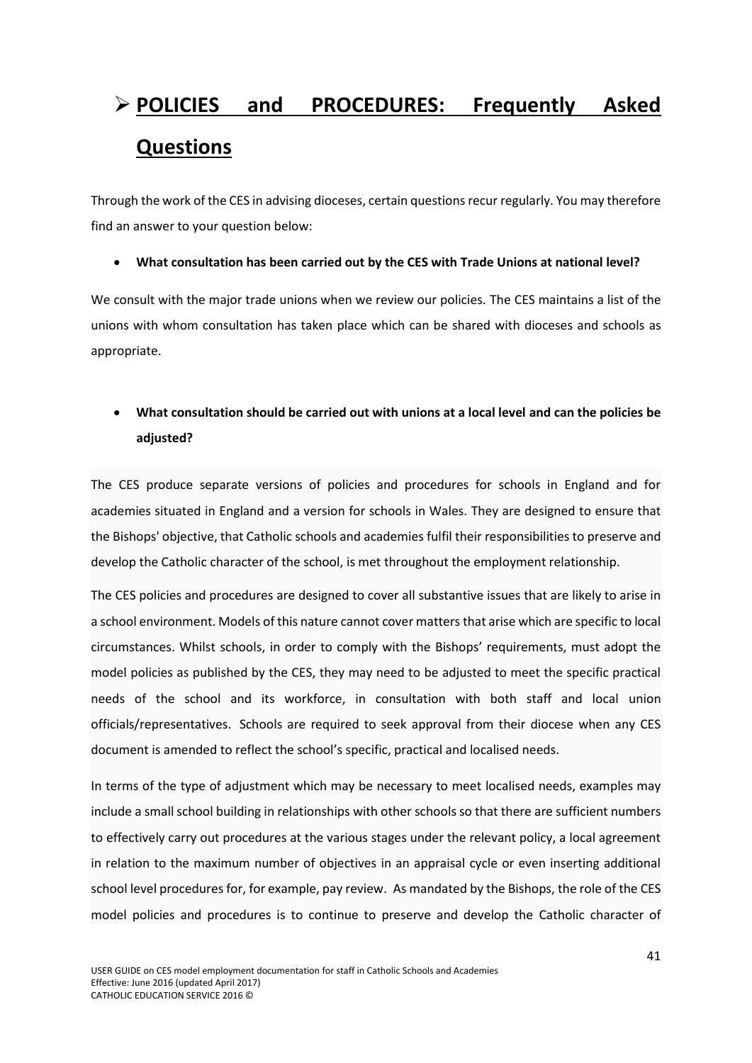# <span id="page-42-0"></span> **POLICIES and PROCEDURES: Frequently Asked Questions**

Through the work of the CES in advising dioceses, certain questions recur regularly. You may therefore find an answer to your question below:

**What consultation has been carried out by the CES with Trade Unions at national level?**

We consult with the major trade unions when we review our policies. The CES maintains a list of the unions with whom consultation has taken place which can be shared with dioceses and schools as appropriate.

# **What consultation should be carried out with unions at a local level and can the policies be adjusted?**

The CES produce separate versions of policies and procedures for schools in England and for academies situated in England and a version for schools in Wales. They are designed to ensure that the Bishops' objective, that Catholic schools and academies fulfil their responsibilities to preserve and develop the Catholic character of the school, is met throughout the employment relationship.

The CES policies and procedures are designed to cover all substantive issues that are likely to arise in a school environment. Models of this nature cannot cover matters that arise which are specific to local circumstances. Whilst schools, in order to comply with the Bishops' requirements, must adopt the model policies as published by the CES, they may need to be adjusted to meet the specific practical needs of the school and its workforce, in consultation with both staff and local union officials/representatives. Schools are required to seek approval from their diocese when any CES document is amended to reflect the school's specific, practical and localised needs.

In terms of the type of adjustment which may be necessary to meet localised needs, examples may include a small school building in relationships with other schools so that there are sufficient numbers to effectively carry out procedures at the various stages under the relevant policy, a local agreement in relation to the maximum number of objectives in an appraisal cycle or even inserting additional school level procedures for, for example, pay review. As mandated by the Bishops, the role of the CES model policies and procedures is to continue to preserve and develop the Catholic character of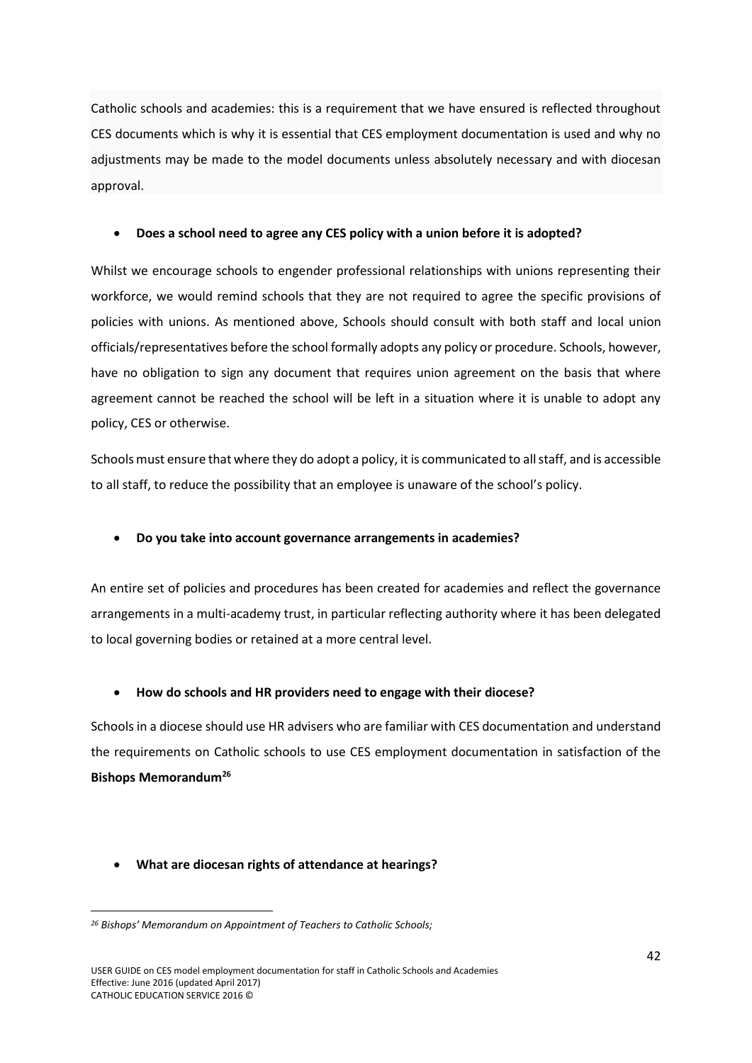Catholic schools and academies: this is a requirement that we have ensured is reflected throughout CES documents which is why it is essential that CES employment documentation is used and why no adjustments may be made to the model documents unless absolutely necessary and with diocesan approval.

#### **Does a school need to agree any CES policy with a union before it is adopted?**

Whilst we encourage schools to engender professional relationships with unions representing their workforce, we would remind schools that they are not required to agree the specific provisions of policies with unions. As mentioned above, Schools should consult with both staff and local union officials/representatives before the school formally adopts any policy or procedure. Schools, however, have no obligation to sign any document that requires union agreement on the basis that where agreement cannot be reached the school will be left in a situation where it is unable to adopt any policy, CES or otherwise.

Schools must ensure that where they do adopt a policy, it is communicated to all staff, and is accessible to all staff, to reduce the possibility that an employee is unaware of the school's policy.

#### **Do you take into account governance arrangements in academies?**

An entire set of policies and procedures has been created for academies and reflect the governance arrangements in a multi-academy trust, in particular reflecting authority where it has been delegated to local governing bodies or retained at a more central level.

#### **How do schools and HR providers need to engage with their diocese?**

Schoolsin a diocese should use HR advisers who are familiar with CES documentation and understand the requirements on Catholic schools to use CES employment documentation in satisfaction of the **Bishops Memorandum<sup>26</sup>**

#### **What are diocesan rights of attendance at hearings?**

1

*<sup>26</sup> Bishops' Memorandum on Appointment of Teachers to Catholic Schools;*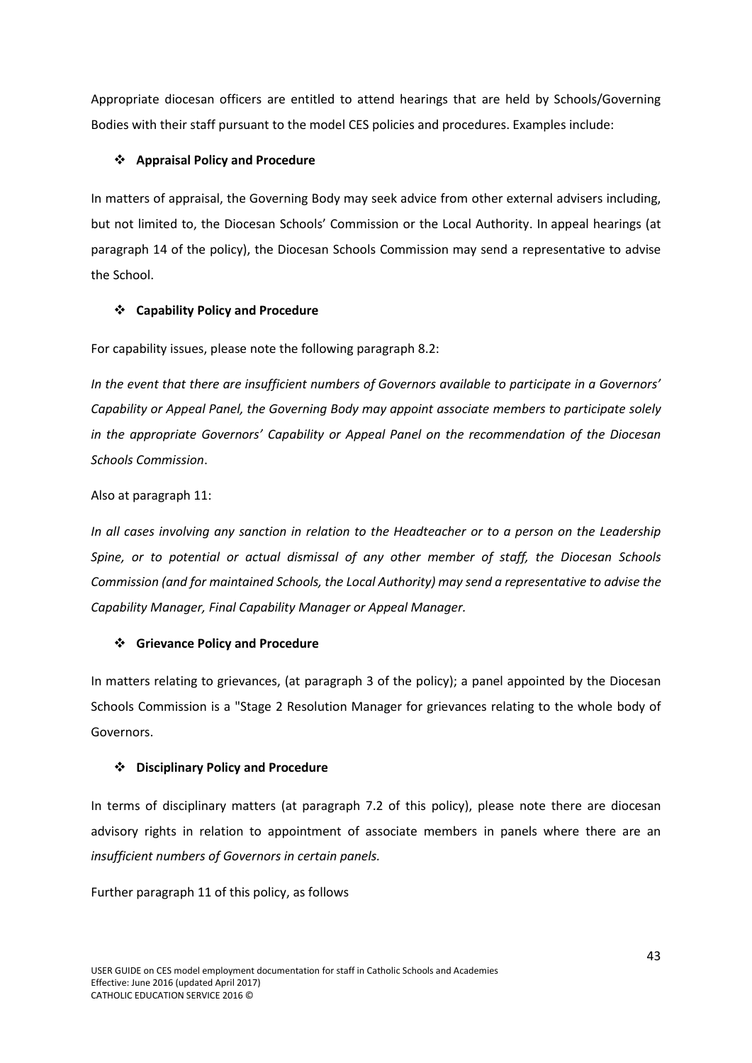Appropriate diocesan officers are entitled to attend hearings that are held by Schools/Governing Bodies with their staff pursuant to the model CES policies and procedures. Examples include:

# **Appraisal Policy and Procedure**

In matters of appraisal, the Governing Body may seek advice from other external advisers including, but not limited to, the Diocesan Schools' Commission or the Local Authority. In appeal hearings (at paragraph 14 of the policy), the Diocesan Schools Commission may send a representative to advise the School.

# **Capability Policy and Procedure**

For capability issues, please note the following paragraph 8.2:

*In the event that there are insufficient numbers of Governors available to participate in a Governors' Capability or Appeal Panel, the Governing Body may appoint associate members to participate solely in the appropriate Governors' Capability or Appeal Panel on the recommendation of the Diocesan Schools Commission*.

# Also at paragraph 11:

*In all cases involving any sanction in relation to the Headteacher or to a person on the Leadership Spine, or to potential or actual dismissal of any other member of staff, the Diocesan Schools Commission (and for maintained Schools, the Local Authority) may send a representative to advise the Capability Manager, Final Capability Manager or Appeal Manager.*

# **Grievance Policy and Procedure**

In matters relating to grievances, (at paragraph 3 of the policy); a panel appointed by the Diocesan Schools Commission is a "Stage 2 Resolution Manager for grievances relating to the whole body of Governors.

# **Disciplinary Policy and Procedure**

In terms of disciplinary matters (at paragraph 7.2 of this policy), please note there are diocesan advisory rights in relation to appointment of associate members in panels where there are an *insufficient numbers of Governors in certain panels.*

Further paragraph 11 of this policy, as follows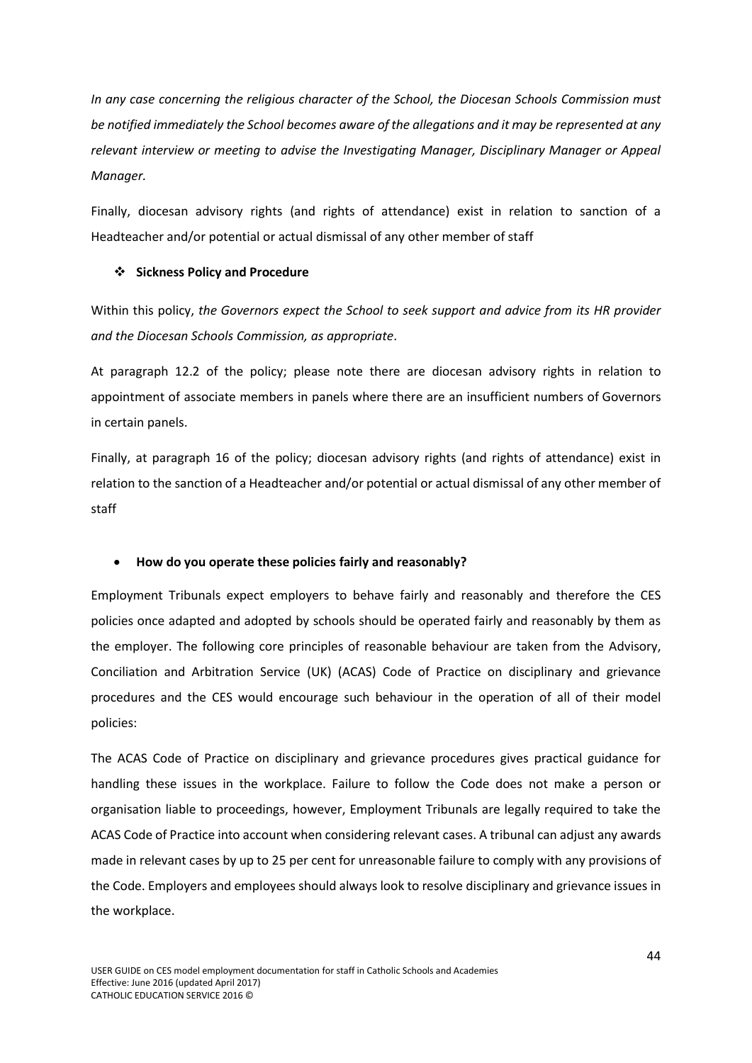*In any case concerning the religious character of the School, the Diocesan Schools Commission must be notified immediately the School becomes aware of the allegations and it may be represented at any relevant interview or meeting to advise the Investigating Manager, Disciplinary Manager or Appeal Manager.*

Finally, diocesan advisory rights (and rights of attendance) exist in relation to sanction of a Headteacher and/or potential or actual dismissal of any other member of staff

### **Sickness Policy and Procedure**

Within this policy, *the Governors expect the School to seek support and advice from its HR provider and the Diocesan Schools Commission, as appropriate*.

At paragraph 12.2 of the policy; please note there are diocesan advisory rights in relation to appointment of associate members in panels where there are an insufficient numbers of Governors in certain panels.

Finally, at paragraph 16 of the policy; diocesan advisory rights (and rights of attendance) exist in relation to the sanction of a Headteacher and/or potential or actual dismissal of any other member of staff

# **How do you operate these policies fairly and reasonably?**

Employment Tribunals expect employers to behave fairly and reasonably and therefore the CES policies once adapted and adopted by schools should be operated fairly and reasonably by them as the employer. The following core principles of reasonable behaviour are taken from the Advisory, Conciliation and Arbitration Service (UK) (ACAS) Code of Practice on disciplinary and grievance procedures and the CES would encourage such behaviour in the operation of all of their model policies:

The ACAS Code of Practice on disciplinary and grievance procedures gives practical guidance for handling these issues in the workplace. Failure to follow the Code does not make a person or organisation liable to proceedings, however, Employment Tribunals are legally required to take the ACAS Code of Practice into account when considering relevant cases. A tribunal can adjust any awards made in relevant cases by up to 25 per cent for unreasonable failure to comply with any provisions of the Code. Employers and employees should always look to resolve disciplinary and grievance issues in the workplace.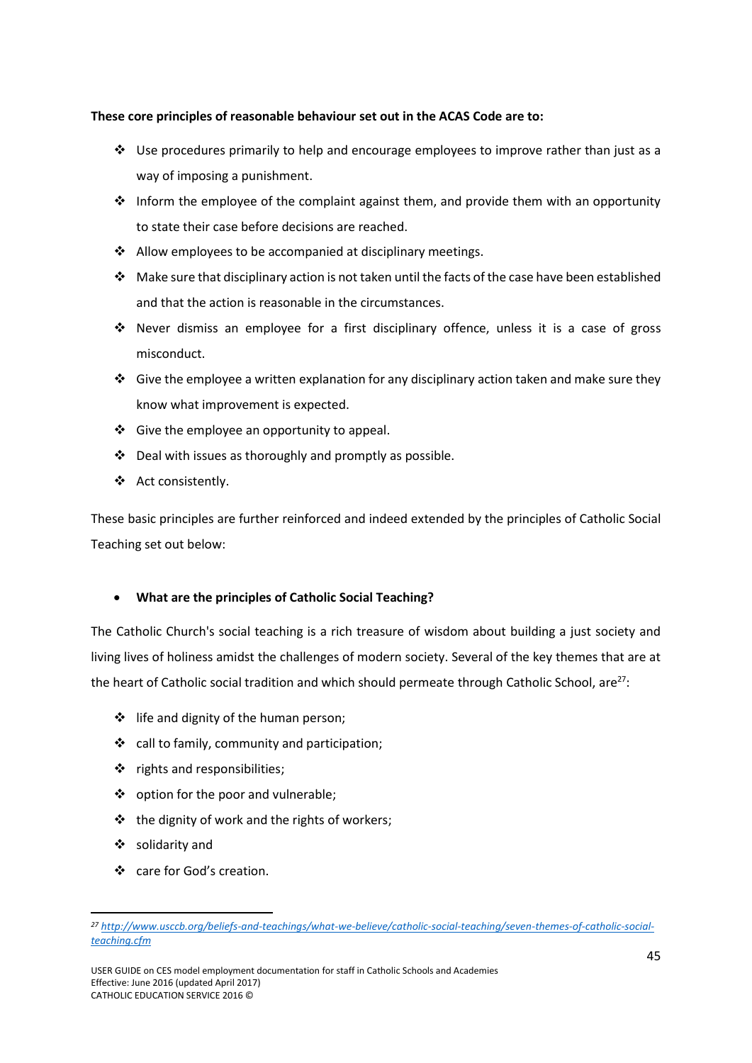#### **These core principles of reasonable behaviour set out in the ACAS Code are to:**

- $\cdot \cdot$  Use procedures primarily to help and encourage employees to improve rather than just as a way of imposing a punishment.
- $\cdot \cdot$  Inform the employee of the complaint against them, and provide them with an opportunity to state their case before decisions are reached.
- $\triangleleft$  Allow employees to be accompanied at disciplinary meetings.
- $\cdot \cdot$  Make sure that disciplinary action is not taken until the facts of the case have been established and that the action is reasonable in the circumstances.
- Never dismiss an employee for a first disciplinary offence, unless it is a case of gross misconduct.
- Give the employee a written explanation for any disciplinary action taken and make sure they know what improvement is expected.
- Give the employee an opportunity to appeal.
- Deal with issues as thoroughly and promptly as possible.
- ❖ Act consistently.

These basic principles are further reinforced and indeed extended by the principles of Catholic Social Teaching set out below:

# **What are the principles of Catholic Social Teaching?**

The Catholic Church's social teaching is a rich treasure of wisdom about building a just society and living lives of holiness amidst the challenges of modern society. Several of the key themes that are at the heart of Catholic social tradition and which should permeate through Catholic School, are $^{27}$ :

- $\div$  life and dignity of the human person;
- call to family, community and participation;
- $\triangle$  rights and responsibilities;
- ❖ option for the poor and vulnerable;
- $\cdot$  the dignity of work and the rights of workers;
- $\div$  solidarity and

1

❖ care for God's creation.

*<sup>27</sup> [http://www.usccb.org/beliefs-and-teachings/what-we-believe/catholic-social-teaching/seven-themes-of-catholic-social](http://www.usccb.org/beliefs-and-teachings/what-we-believe/catholic-social-teaching/seven-themes-of-catholic-social-teaching.cfm)[teaching.cfm](http://www.usccb.org/beliefs-and-teachings/what-we-believe/catholic-social-teaching/seven-themes-of-catholic-social-teaching.cfm)*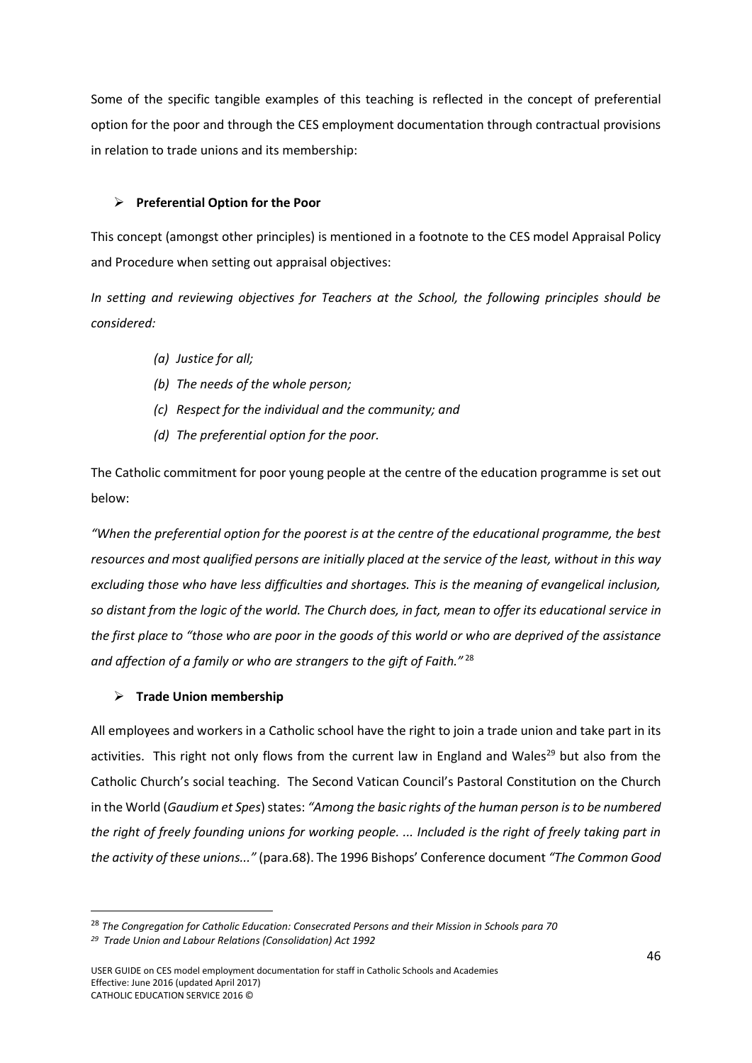Some of the specific tangible examples of this teaching is reflected in the concept of preferential option for the poor and through the CES employment documentation through contractual provisions in relation to trade unions and its membership:

### **Preferential Option for the Poor**

This concept (amongst other principles) is mentioned in a footnote to the CES model Appraisal Policy and Procedure when setting out appraisal objectives:

*In setting and reviewing objectives for Teachers at the School, the following principles should be considered:* 

- *(a) Justice for all;*
- *(b) The needs of the whole person;*
- *(c) Respect for the individual and the community; and*
- *(d) The preferential option for the poor.*

The Catholic commitment for poor young people at the centre of the education programme is set out below:

*"When the preferential option for the poorest is at the centre of the educational programme, the best resources and most qualified persons are initially placed at the service of the least, without in this way excluding those who have less difficulties and shortages. This is the meaning of evangelical inclusion, so distant from the logic of the world. The Church does, in fact, mean to offer its educational service in the first place to "those who are poor in the goods of this world or who are deprived of the assistance and affection of a family or who are strangers to the gift of Faith."* <sup>28</sup>

#### **Trade Union membership**

All employees and workers in a Catholic school have the right to join a trade union and take part in its activities. This right not only flows from the current law in England and Wales<sup>29</sup> but also from the Catholic Church's social teaching. The Second Vatican Council's Pastoral Constitution on the Church in the World (*Gaudium et Spes*) states: *"Among the basic rights of the human person is to be numbered the right of freely founding unions for working people. ... Included is the right of freely taking part in the activity of these unions..."* (para.68). The 1996 Bishops' Conference document *"The Common Good* 

1

<sup>&</sup>lt;sup>28</sup> The Congregation for Catholic Education: Consecrated Persons and their Mission in Schools para 70

*<sup>29</sup> Trade Union and Labour Relations (Consolidation) Act 1992*

USER GUIDE on CES model employment documentation for staff in Catholic Schools and Academies Effective: June 2016 (updated April 2017) CATHOLIC EDUCATION SERVICE 2016 ©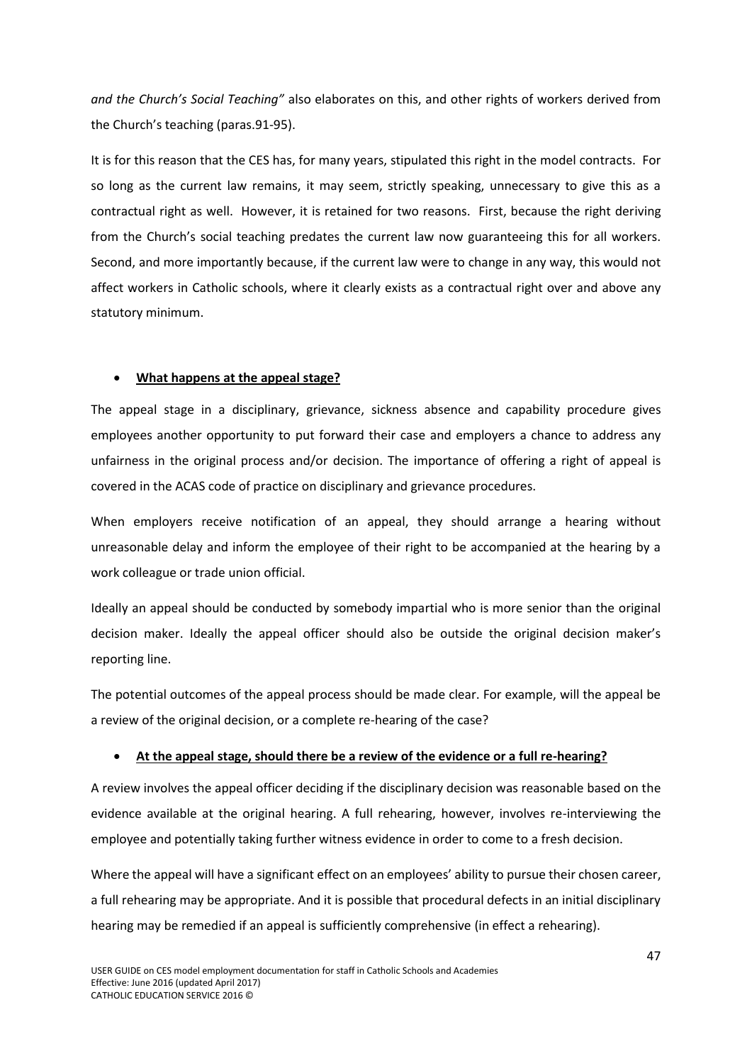*and the Church's Social Teaching"* also elaborates on this, and other rights of workers derived from the Church's teaching (paras.91-95).

It is for this reason that the CES has, for many years, stipulated this right in the model contracts. For so long as the current law remains, it may seem, strictly speaking, unnecessary to give this as a contractual right as well. However, it is retained for two reasons. First, because the right deriving from the Church's social teaching predates the current law now guaranteeing this for all workers. Second, and more importantly because, if the current law were to change in any way, this would not affect workers in Catholic schools, where it clearly exists as a contractual right over and above any statutory minimum.

### **What happens at the appeal stage?**

The appeal stage in a disciplinary, grievance, sickness absence and capability procedure gives employees another opportunity to put forward their case and employers a chance to address any unfairness in the original process and/or decision. The importance of offering a right of appeal is covered in the ACAS code of practice on disciplinary and grievance procedures.

When employers receive notification of an appeal, they should arrange a hearing without unreasonable delay and inform the employee of their right to be accompanied at the hearing by a work colleague or trade union official.

Ideally an appeal should be conducted by somebody impartial who is more senior than the original decision maker. Ideally the appeal officer should also be outside the original decision maker's reporting line.

The potential outcomes of the appeal process should be made clear. For example, will the appeal be a review of the original decision, or a complete re-hearing of the case?

# **At the appeal stage, should there be a review of the evidence or a full re-hearing?**

A review involves the appeal officer deciding if the disciplinary decision was reasonable based on the evidence available at the original hearing. A full rehearing, however, involves re-interviewing the employee and potentially taking further witness evidence in order to come to a fresh decision.

Where the appeal will have a significant effect on an employees' ability to pursue their chosen career, a full rehearing may be appropriate. And it is possible that procedural defects in an initial disciplinary hearing may be remedied if an appeal is sufficiently comprehensive (in effect a rehearing).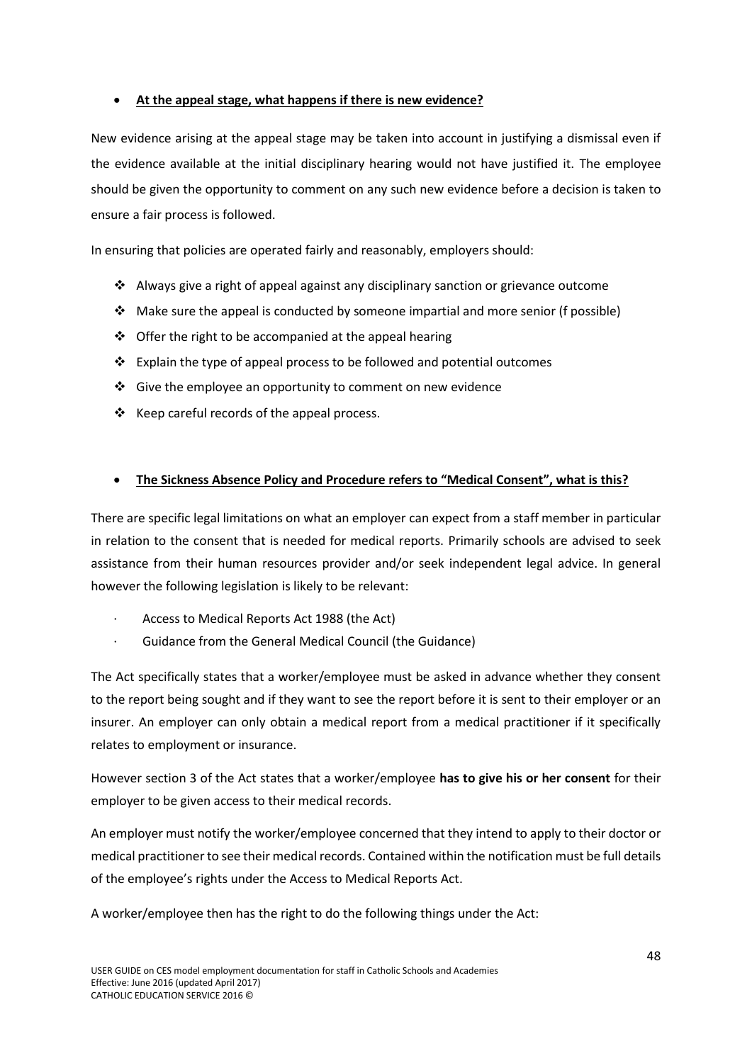# **At the appeal stage, what happens if there is new evidence?**

New evidence arising at the appeal stage may be taken into account in justifying a dismissal even if the evidence available at the initial disciplinary hearing would not have justified it. The employee should be given the opportunity to comment on any such new evidence before a decision is taken to ensure a fair process is followed.

In ensuring that policies are operated fairly and reasonably, employers should:

- Always give a right of appeal against any disciplinary sanction or grievance outcome
- $\cdot$  Make sure the appeal is conducted by someone impartial and more senior (f possible)
- $\triangle$  Offer the right to be accompanied at the appeal hearing
- $\cdot$  Explain the type of appeal process to be followed and potential outcomes
- Give the employee an opportunity to comment on new evidence
- $\div$  Keep careful records of the appeal process.

### **The Sickness Absence Policy and Procedure refers to "Medical Consent", what is this?**

There are specific legal limitations on what an employer can expect from a staff member in particular in relation to the consent that is needed for medical reports. Primarily schools are advised to seek assistance from their human resources provider and/or seek independent legal advice. In general however the following legislation is likely to be relevant:

- · Access to Medical Reports Act 1988 (the Act)
- Guidance from the General Medical Council (the Guidance)

The Act specifically states that a worker/employee must be asked in advance whether they consent to the report being sought and if they want to see the report before it is sent to their employer or an insurer. An employer can only obtain a medical report from a medical practitioner if it specifically relates to employment or insurance.

However section 3 of the Act states that a worker/employee **has to give his or her consent** for their employer to be given access to their medical records.

An employer must notify the worker/employee concerned that they intend to apply to their doctor or medical practitioner to see their medical records. Contained within the notification must be full details of the employee's rights under the Access to Medical Reports Act.

A worker/employee then has the right to do the following things under the Act: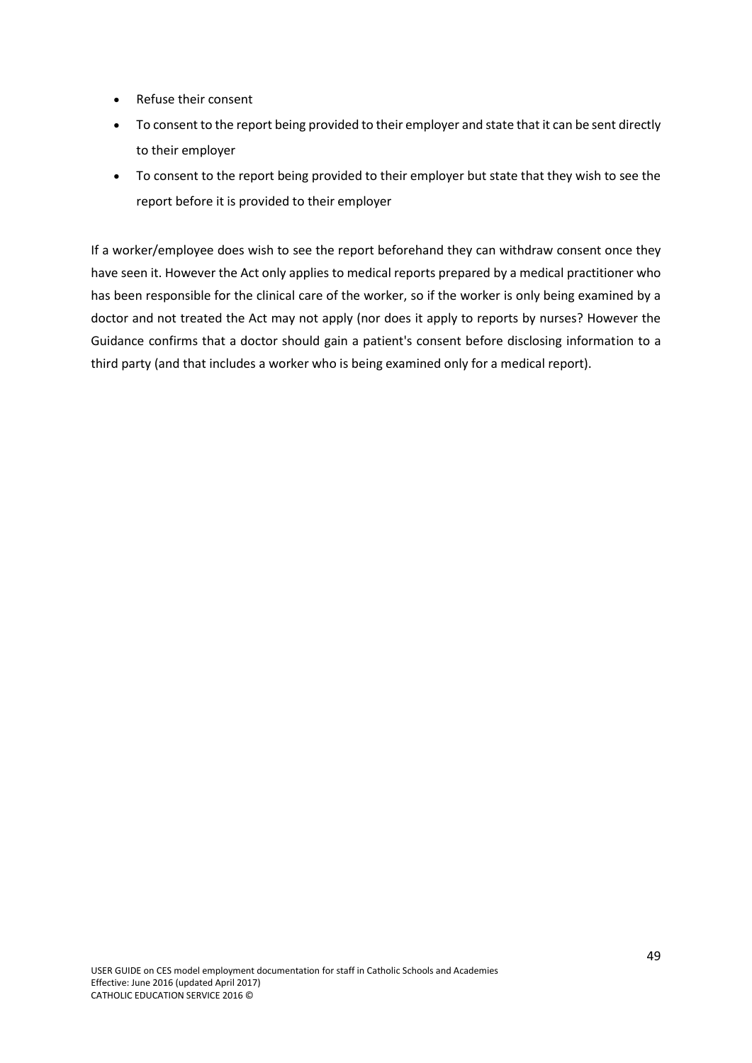- Refuse their consent
- To consent to the report being provided to their employer and state that it can be sent directly to their employer
- To consent to the report being provided to their employer but state that they wish to see the report before it is provided to their employer

If a worker/employee does wish to see the report beforehand they can withdraw consent once they have seen it. However the Act only applies to medical reports prepared by a medical practitioner who has been responsible for the clinical care of the worker, so if the worker is only being examined by a doctor and not treated the Act may not apply (nor does it apply to reports by nurses? However the Guidance confirms that a doctor should gain a patient's consent before disclosing information to a third party (and that includes a worker who is being examined only for a medical report).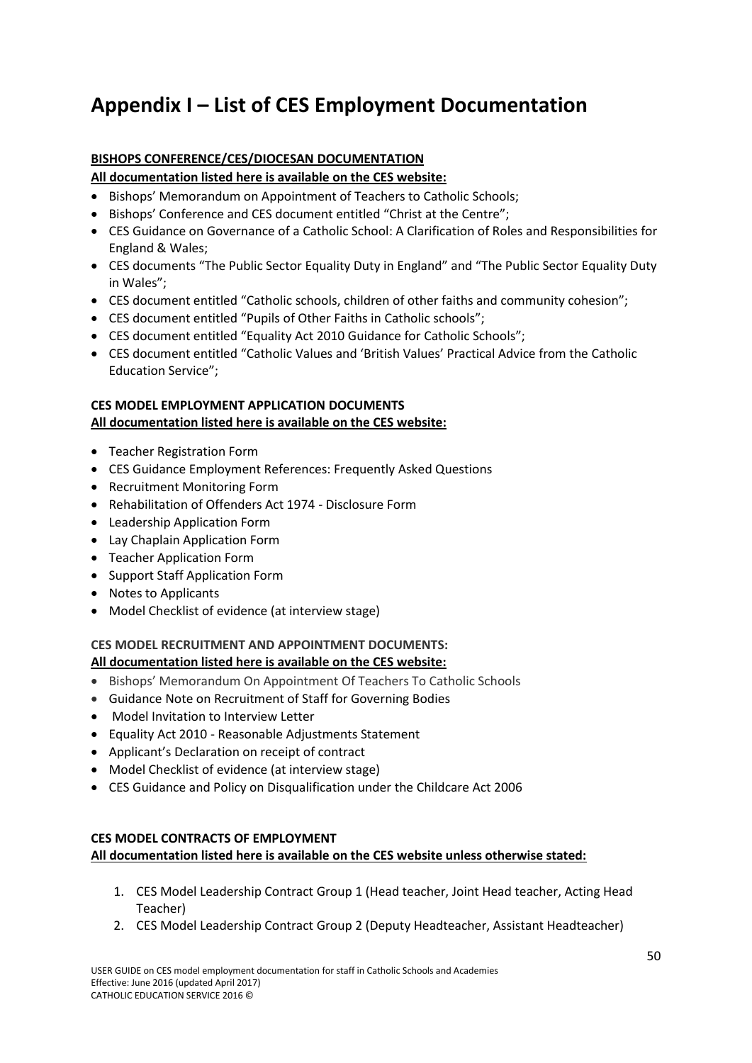# <span id="page-51-0"></span>**Appendix I – List of CES Employment Documentation**

# **BISHOPS CONFERENCE/CES/DIOCESAN DOCUMENTATION**

**All documentation listed here is available on the CES website:** 

- Bishops' Memorandum on Appointment of Teachers to Catholic Schools;
- Bishops' Conference and CES document entitled "Christ at the Centre";
- CES Guidance on Governance of a Catholic School: A Clarification of Roles and Responsibilities for England & Wales;
- CES documents "The Public Sector Equality Duty in England" and "The Public Sector Equality Duty in Wales";
- CES document entitled "Catholic schools, children of other faiths and community cohesion";
- CES document entitled "Pupils of Other Faiths in Catholic schools";
- CES document entitled "Equality Act 2010 Guidance for Catholic Schools";
- CES document entitled "Catholic Values and 'British Values' Practical Advice from the Catholic Education Service";

# **CES MODEL EMPLOYMENT APPLICATION DOCUMENTS All documentation listed here is available on the CES website:**

- Teacher Registration Form
- CES Guidance Employment References: Frequently Asked Questions
- Recruitment Monitoring Form
- Rehabilitation of Offenders Act 1974 Disclosure Form
- Leadership Application Form
- Lay Chaplain Application Form
- Teacher Application Form
- Support Staff Application Form
- Notes to Applicants
- Model Checklist of evidence (at interview stage)

#### **CES MODEL RECRUITMENT AND APPOINTMENT DOCUMENTS: All documentation listed here is available on the CES website:**

- Bishops' Memorandum On Appointment Of Teachers To Catholic Schools
- Guidance Note on Recruitment of Staff for Governing Bodies
- Model Invitation to Interview Letter
- Equality Act 2010 Reasonable Adjustments Statement
- Applicant's Declaration on receipt of contract
- Model Checklist of evidence (at interview stage)
- CES Guidance and Policy on Disqualification under the Childcare Act 2006

# **CES MODEL CONTRACTS OF EMPLOYMENT All documentation listed here is available on the CES website unless otherwise stated:**

- 1. CES Model Leadership Contract Group 1 (Head teacher, Joint Head teacher, Acting Head Teacher)
- 2. CES Model Leadership Contract Group 2 (Deputy Headteacher, Assistant Headteacher)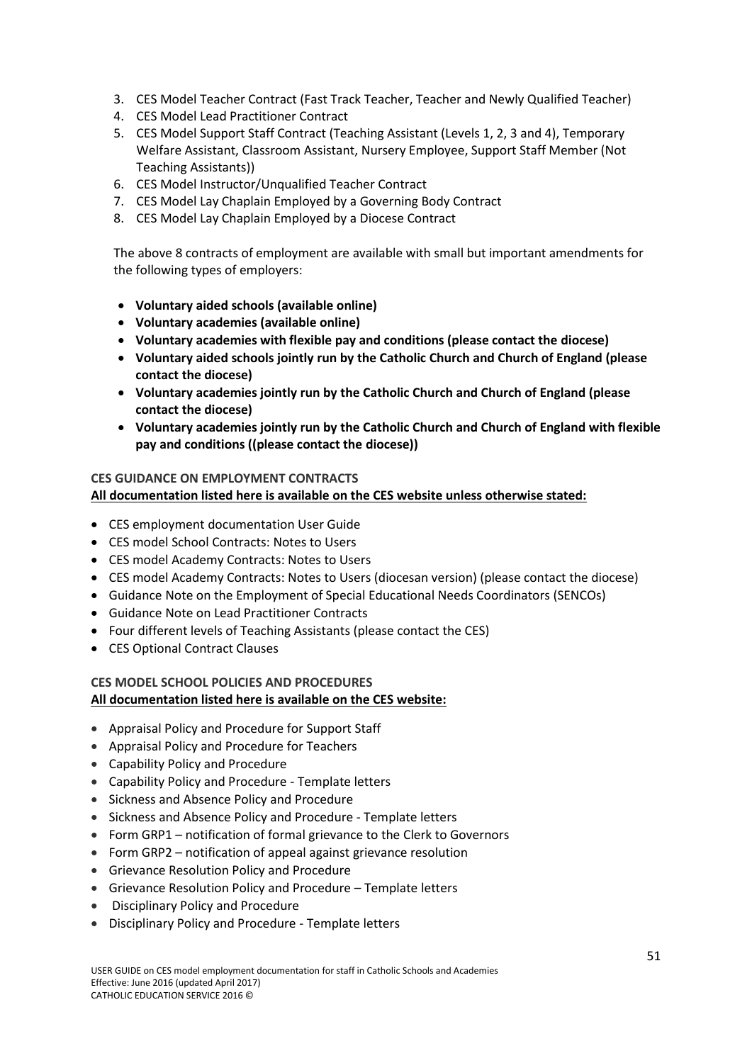- 3. CES Model Teacher Contract (Fast Track Teacher, Teacher and Newly Qualified Teacher)
- 4. CES Model Lead Practitioner Contract
- 5. CES Model Support Staff Contract (Teaching Assistant (Levels 1, 2, 3 and 4), Temporary Welfare Assistant, Classroom Assistant, Nursery Employee, Support Staff Member (Not Teaching Assistants))
- 6. CES Model Instructor/Unqualified Teacher Contract
- 7. CES Model Lay Chaplain Employed by a Governing Body Contract
- 8. CES Model Lay Chaplain Employed by a Diocese Contract

The above 8 contracts of employment are available with small but important amendments for the following types of employers:

- **Voluntary aided schools (available online)**
- **Voluntary academies (available online)**
- **Voluntary academies with flexible pay and conditions (please contact the diocese)**
- **Voluntary aided schools jointly run by the Catholic Church and Church of England (please contact the diocese)**
- **Voluntary academies jointly run by the Catholic Church and Church of England (please contact the diocese)**
- **Voluntary academies jointly run by the Catholic Church and Church of England with flexible pay and conditions ((please contact the diocese))**

#### **CES GUIDANCE ON EMPLOYMENT CONTRACTS**

**All documentation listed here is available on the CES website unless otherwise stated:** 

- CES employment documentation User Guide
- CES model School Contracts: Notes to Users
- CES model Academy Contracts: Notes to Users
- CES model Academy Contracts: Notes to Users (diocesan version) (please contact the diocese)
- Guidance Note on the Employment of Special Educational Needs Coordinators (SENCOs)
- Guidance Note on Lead Practitioner Contracts
- Four different levels of Teaching Assistants (please contact the CES)
- CES Optional Contract Clauses

### **CES MODEL SCHOOL POLICIES AND PROCEDURES All documentation listed here is available on the CES website:**

- Appraisal Policy and Procedure for Support Staff
- Appraisal Policy and Procedure for Teachers
- Capability Policy and Procedure
- Capability Policy and Procedure Template letters
- Sickness and Absence Policy and Procedure
- Sickness and Absence Policy and Procedure Template letters
- Form GRP1 notification of formal grievance to the Clerk to Governors
- Form GRP2 notification of appeal against grievance resolution
- Grievance Resolution Policy and Procedure
- Grievance Resolution Policy and Procedure Template letters
- Disciplinary Policy and Procedure
- Disciplinary Policy and Procedure Template letters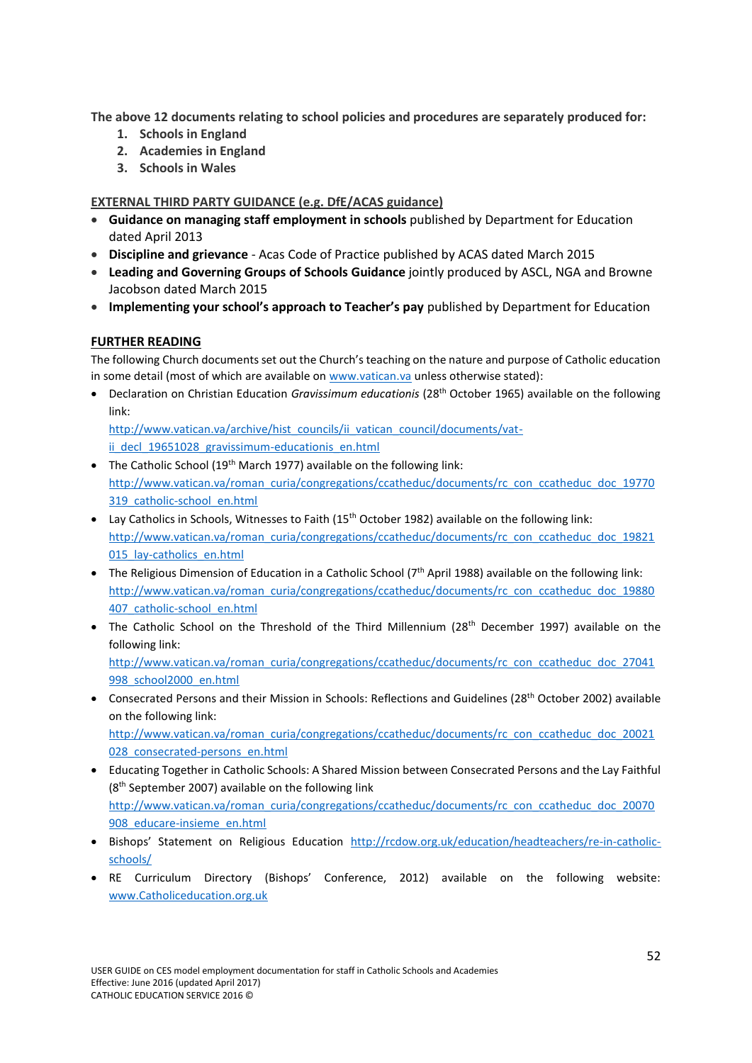**The above 12 documents relating to school policies and procedures are separately produced for:**

- **1. Schools in England**
- **2. Academies in England**
- **3. Schools in Wales**

# **EXTERNAL THIRD PARTY GUIDANCE (e.g. DfE/ACAS guidance)**

- **Guidance on managing staff employment in schools** published by Department for Education dated April 2013
- **Discipline and grievance**  Acas Code of Practice published by ACAS dated March 2015
- **Leading and Governing Groups of Schools Guidance** jointly produced by ASCL, NGA and Browne Jacobson dated March 2015
- **Implementing your school's approach to Teacher's pay** published by Department for Education

# **FURTHER READING**

The following Church documents set out the Church's teaching on the nature and purpose of Catholic education in some detail (most of which are available on [www.vatican.va](http://www.vatican.va/) unless otherwise stated):

 Declaration on Christian Education *Gravissimum educationis* (28th October 1965) available on the following link:

[http://www.vatican.va/archive/hist\\_councils/ii\\_vatican\\_council/documents/vat](http://www.vatican.va/archive/hist_councils/ii_vatican_council/documents/vat-ii_decl_19651028_gravissimum-educationis_en.html)ii decl 19651028 gravissimum-educationis en.html

- The Catholic School ( $19<sup>th</sup>$  March 1977) available on the following link: [http://www.vatican.va/roman\\_curia/congregations/ccatheduc/documents/rc\\_con\\_ccatheduc\\_doc\\_19770](http://www.vatican.va/roman_curia/congregations/ccatheduc/documents/rc_con_ccatheduc_doc_19770319_catholic-school_en.html) [319\\_catholic-school\\_en.html](http://www.vatican.va/roman_curia/congregations/ccatheduc/documents/rc_con_ccatheduc_doc_19770319_catholic-school_en.html)
- Lay Catholics in Schools, Witnesses to Faith (15<sup>th</sup> October 1982) available on the following link: [http://www.vatican.va/roman\\_curia/congregations/ccatheduc/documents/rc\\_con\\_ccatheduc\\_doc\\_19821](http://www.vatican.va/roman_curia/congregations/ccatheduc/documents/rc_con_ccatheduc_doc_19821015_lay-catholics_en.html) 015 lay-catholics en.html
- The Religious Dimension of Education in a Catholic School ( $7<sup>th</sup>$  April 1988) available on the following link: [http://www.vatican.va/roman\\_curia/congregations/ccatheduc/documents/rc\\_con\\_ccatheduc\\_doc\\_19880](http://www.vatican.va/roman_curia/congregations/ccatheduc/documents/rc_con_ccatheduc_doc_19880407_catholic-school_en.html) [407\\_catholic-school\\_en.html](http://www.vatican.va/roman_curia/congregations/ccatheduc/documents/rc_con_ccatheduc_doc_19880407_catholic-school_en.html)
- The Catholic School on the Threshold of the Third Millennium (28<sup>th</sup> December 1997) available on the following link:

[http://www.vatican.va/roman\\_curia/congregations/ccatheduc/documents/rc\\_con\\_ccatheduc\\_doc\\_27041](http://www.vatican.va/roman_curia/congregations/ccatheduc/documents/rc_con_ccatheduc_doc_27041998_school2000_en.html) [998\\_school2000\\_en.html](http://www.vatican.va/roman_curia/congregations/ccatheduc/documents/rc_con_ccatheduc_doc_27041998_school2000_en.html)

 Consecrated Persons and their Mission in Schools: Reflections and Guidelines (28th October 2002) available on the following link:

[http://www.vatican.va/roman\\_curia/congregations/ccatheduc/documents/rc\\_con\\_ccatheduc\\_doc\\_20021](http://www.vatican.va/roman_curia/congregations/ccatheduc/documents/rc_con_ccatheduc_doc_20021028_consecrated-persons_en.html) 028 consecrated-persons en.html

- Educating Together in Catholic Schools: A Shared Mission between Consecrated Persons and the Lay Faithful (8<sup>th</sup> September 2007) available on the following link [http://www.vatican.va/roman\\_curia/congregations/ccatheduc/documents/rc\\_con\\_ccatheduc\\_doc\\_20070](http://www.vatican.va/roman_curia/congregations/ccatheduc/documents/rc_con_ccatheduc_doc_20070908_educare-insieme_en.html) [908\\_educare-insieme\\_en.html](http://www.vatican.va/roman_curia/congregations/ccatheduc/documents/rc_con_ccatheduc_doc_20070908_educare-insieme_en.html)
- Bishops' Statement on Religious Education [http://rcdow.org.uk/education/headteachers/re-in-catholic](http://rcdow.org.uk/education/headteachers/re-in-catholic-schools/)[schools/](http://rcdow.org.uk/education/headteachers/re-in-catholic-schools/)
- RE Curriculum Directory (Bishops' Conference, 2012) available on the following website: [www.Catholiceducation.org.uk](http://www.catholiceducation.org.uk/)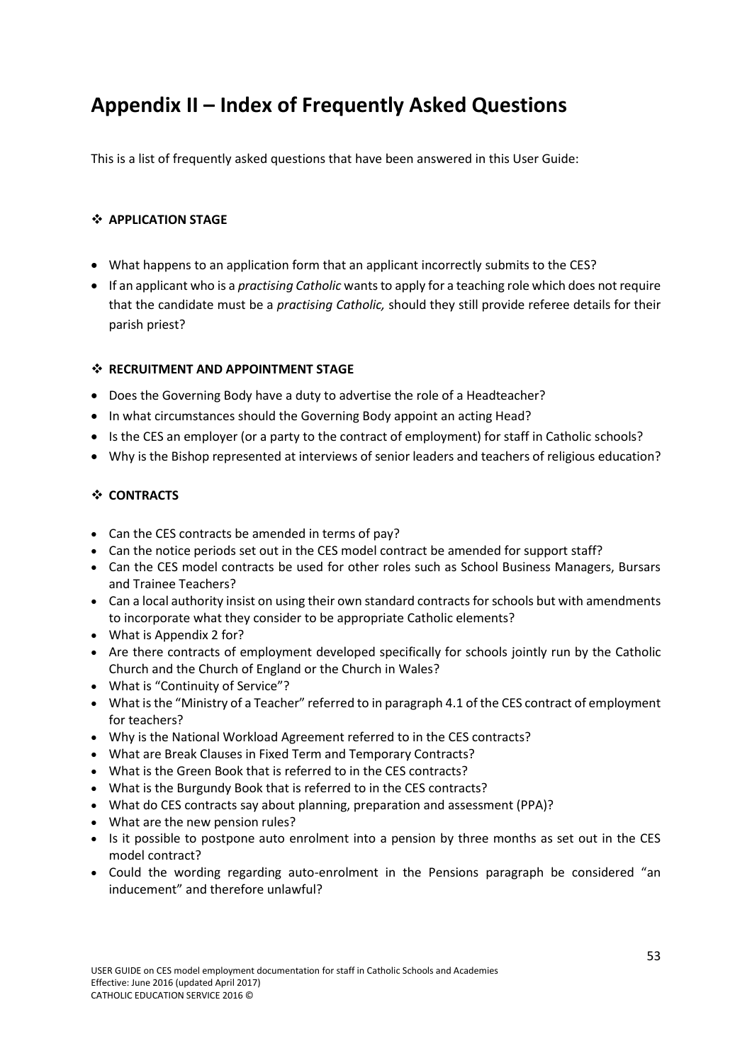# <span id="page-54-0"></span>**Appendix II – Index of Frequently Asked Questions**

This is a list of frequently asked questions that have been answered in this User Guide:

# **APPLICATION STAGE**

- What happens to an application form that an applicant incorrectly submits to the CES?
- If an applicant who is a *practising Catholic* wants to apply for a teaching role which does not require that the candidate must be a *practising Catholic,* should they still provide referee details for their parish priest?

### $\cdot$  **RECRUITMENT AND APPOINTMENT STAGE**

- Does the Governing Body have a duty to advertise the role of a Headteacher?
- In what circumstances should the Governing Body appoint an acting Head?
- Is the CES an employer (or a party to the contract of employment) for staff in Catholic schools?
- Why is the Bishop represented at interviews of senior leaders and teachers of religious education?

# **CONTRACTS**

- Can the CES contracts be amended in terms of pay?
- Can the notice periods set out in the CES model contract be amended for support staff?
- Can the CES model contracts be used for other roles such as School Business Managers, Bursars and Trainee Teachers?
- Can a local authority insist on using their own standard contracts for schools but with amendments to incorporate what they consider to be appropriate Catholic elements?
- What is Appendix 2 for?
- Are there contracts of employment developed specifically for schools jointly run by the Catholic Church and the Church of England or the Church in Wales?
- What is "Continuity of Service"?
- What is the "Ministry of a Teacher" referred to in paragraph 4.1 of the CES contract of employment for teachers?
- Why is the National Workload Agreement referred to in the CES contracts?
- What are Break Clauses in Fixed Term and Temporary Contracts?
- What is the Green Book that is referred to in the CES contracts?
- What is the Burgundy Book that is referred to in the CES contracts?
- What do CES contracts say about planning, preparation and assessment (PPA)?
- What are the new pension rules?
- Is it possible to postpone auto enrolment into a pension by three months as set out in the CES model contract?
- Could the wording regarding auto-enrolment in the Pensions paragraph be considered "an inducement" and therefore unlawful?